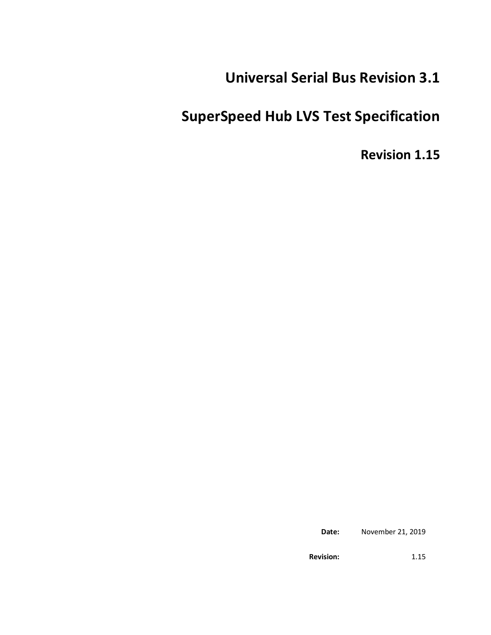# **Universal Serial Bus Revision 3.1**

# **SuperSpeed Hub LVS Test Specification**

**Revision 1.15**

**Date:** November 21, 2019

**Revision:** 1.15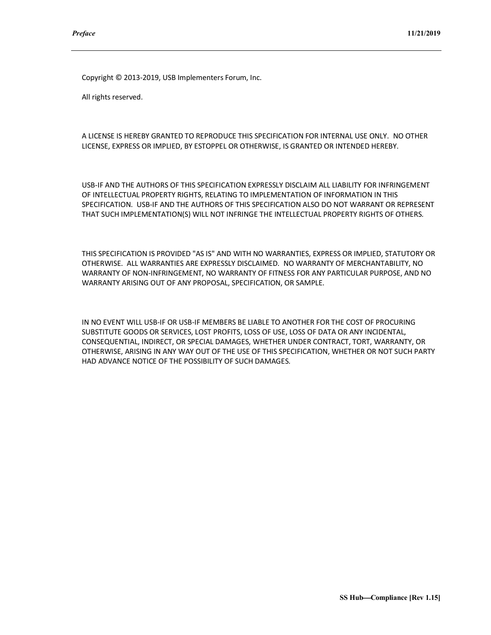Copyright © 2013-2019, USB Implementers Forum, Inc.

All rights reserved.

A LICENSE IS HEREBY GRANTED TO REPRODUCE THIS SPECIFICATION FOR INTERNAL USE ONLY. NO OTHER LICENSE, EXPRESS OR IMPLIED, BY ESTOPPEL OR OTHERWISE, IS GRANTED OR INTENDED HEREBY.

USB-IF AND THE AUTHORS OF THIS SPECIFICATION EXPRESSLY DISCLAIM ALL LIABILITY FOR INFRINGEMENT OF INTELLECTUAL PROPERTY RIGHTS, RELATING TO IMPLEMENTATION OF INFORMATION IN THIS SPECIFICATION. USB-IF AND THE AUTHORS OF THIS SPECIFICATION ALSO DO NOT WARRANT OR REPRESENT THAT SUCH IMPLEMENTATION(S) WILL NOT INFRINGE THE INTELLECTUAL PROPERTY RIGHTS OF OTHERS.

THIS SPECIFICATION IS PROVIDED "AS IS" AND WITH NO WARRANTIES, EXPRESS OR IMPLIED, STATUTORY OR OTHERWISE. ALL WARRANTIES ARE EXPRESSLY DISCLAIMED. NO WARRANTY OF MERCHANTABILITY, NO WARRANTY OF NON-INFRINGEMENT, NO WARRANTY OF FITNESS FOR ANY PARTICULAR PURPOSE, AND NO WARRANTY ARISING OUT OF ANY PROPOSAL, SPECIFICATION, OR SAMPLE.

IN NO EVENT WILL USB-IF OR USB-IF MEMBERS BE LIABLE TO ANOTHER FOR THE COST OF PROCURING SUBSTITUTE GOODS OR SERVICES, LOST PROFITS, LOSS OF USE, LOSS OF DATA OR ANY INCIDENTAL, CONSEQUENTIAL, INDIRECT, OR SPECIAL DAMAGES, WHETHER UNDER CONTRACT, TORT, WARRANTY, OR OTHERWISE, ARISING IN ANY WAY OUT OF THE USE OF THIS SPECIFICATION, WHETHER OR NOT SUCH PARTY HAD ADVANCE NOTICE OF THE POSSIBILITY OF SUCH DAMAGES.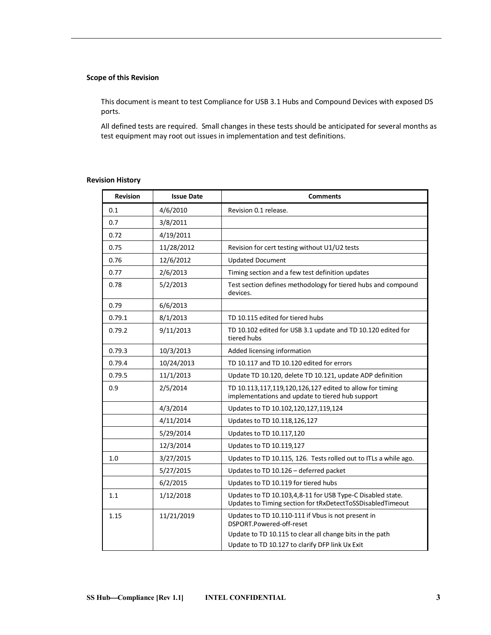## **Scope of this Revision**

This document is meant to test Compliance for USB 3.1 Hubs and Compound Devices with exposed DS ports.

All defined tests are required. Small changes in these tests should be anticipated for several months as test equipment may root out issues in implementation and test definitions.

## **Revision History**

| <b>Revision</b> | <b>Issue Date</b> | <b>Comments</b>                                                                                                          |
|-----------------|-------------------|--------------------------------------------------------------------------------------------------------------------------|
| 0.1             | 4/6/2010          | Revision 0.1 release.                                                                                                    |
| 0.7             | 3/8/2011          |                                                                                                                          |
| 0.72            | 4/19/2011         |                                                                                                                          |
| 0.75            | 11/28/2012        | Revision for cert testing without U1/U2 tests                                                                            |
| 0.76            | 12/6/2012         | <b>Updated Document</b>                                                                                                  |
| 0.77            | 2/6/2013          | Timing section and a few test definition updates                                                                         |
| 0.78            | 5/2/2013          | Test section defines methodology for tiered hubs and compound<br>devices.                                                |
| 0.79            | 6/6/2013          |                                                                                                                          |
| 0.79.1          | 8/1/2013          | TD 10.115 edited for tiered hubs                                                                                         |
| 0.79.2          | 9/11/2013         | TD 10.102 edited for USB 3.1 update and TD 10.120 edited for<br>tiered hubs                                              |
| 0.79.3          | 10/3/2013         | Added licensing information                                                                                              |
| 0.79.4          | 10/24/2013        | TD 10.117 and TD 10.120 edited for errors                                                                                |
| 0.79.5          | 11/1/2013         | Update TD 10.120, delete TD 10.121, update ADP definition                                                                |
| 0.9             | 2/5/2014          | TD 10.113,117,119,120,126,127 edited to allow for timing<br>implementations and update to tiered hub support             |
|                 | 4/3/2014          | Updates to TD 10.102,120,127,119,124                                                                                     |
|                 | 4/11/2014         | Updates to TD 10.118,126,127                                                                                             |
|                 | 5/29/2014         | Updates to TD 10.117,120                                                                                                 |
|                 | 12/3/2014         | Updates to TD 10.119,127                                                                                                 |
| 1.0             | 3/27/2015         | Updates to TD 10.115, 126. Tests rolled out to ITLs a while ago.                                                         |
|                 | 5/27/2015         | Updates to TD 10.126 - deferred packet                                                                                   |
|                 | 6/2/2015          | Updates to TD 10.119 for tiered hubs                                                                                     |
| 1.1             | 1/12/2018         | Updates to TD 10.103,4,8-11 for USB Type-C Disabled state.<br>Updates to Timing section for tRxDetectToSSDisabledTimeout |
| 1.15            | 11/21/2019        | Updates to TD 10.110-111 if Vbus is not present in<br>DSPORT.Powered-off-reset                                           |
|                 |                   | Update to TD 10.115 to clear all change bits in the path<br>Update to TD 10.127 to clarify DFP link Ux Exit              |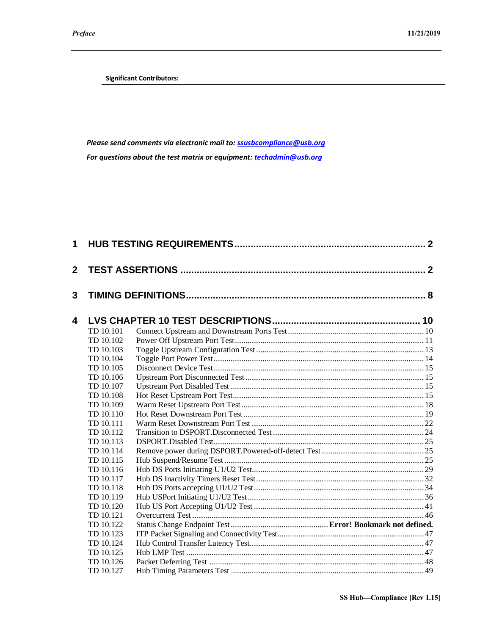**Significant Contributors:**

*Please send comments via electronic mail to: [ssusbcompliance@usb.org](mailto:ssusbcompliance@usb.org) For questions about the test matrix or equipment: [techadmin@usb.org](mailto:techadmin@usb.org)*

| 1              |           |  |
|----------------|-----------|--|
| $\overline{2}$ |           |  |
| 3              |           |  |
| 4              |           |  |
|                | TD 10.101 |  |
|                | TD 10.102 |  |
|                | TD 10.103 |  |
|                | TD 10.104 |  |
|                | TD 10.105 |  |
|                | TD 10.106 |  |
|                | TD 10.107 |  |
|                | TD 10.108 |  |
|                | TD 10.109 |  |
|                | TD 10.110 |  |
|                | TD 10.111 |  |
|                | TD 10.112 |  |
|                | TD 10.113 |  |
|                | TD 10.114 |  |
|                | TD 10.115 |  |
|                | TD 10.116 |  |
|                | TD 10.117 |  |
|                | TD 10.118 |  |
|                | TD 10.119 |  |
|                | TD 10.120 |  |
|                | TD 10.121 |  |
|                | TD 10.122 |  |
|                | TD 10.123 |  |
|                | TD 10.124 |  |
|                | TD 10.125 |  |
|                | TD 10.126 |  |
|                | TD 10.127 |  |
|                |           |  |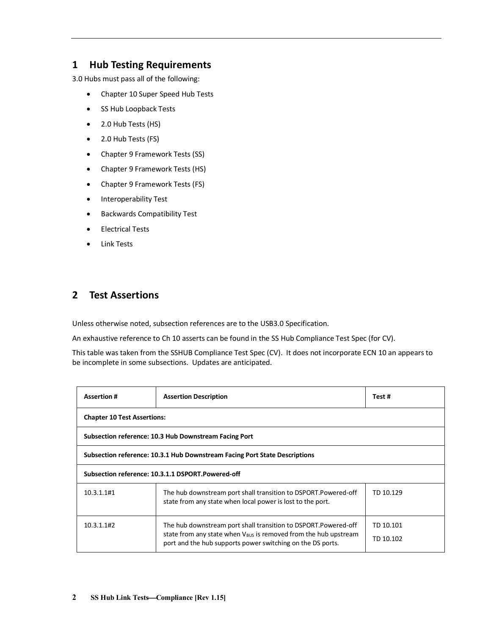## <span id="page-5-0"></span>**1 Hub Testing Requirements**

3.0 Hubs must pass all of the following:

- Chapter 10 Super Speed Hub Tests
- SS Hub Loopback Tests
- 2.0 Hub Tests (HS)
- 2.0 Hub Tests (FS)
- Chapter 9 Framework Tests (SS)
- Chapter 9 Framework Tests (HS)
- Chapter 9 Framework Tests (FS)
- Interoperability Test
- Backwards Compatibility Test
- Electrical Tests
- Link Tests

## <span id="page-5-1"></span>**2 Test Assertions**

Unless otherwise noted, subsection references are to the USB3.0 Specification.

An exhaustive reference to Ch 10 asserts can be found in the SS Hub Compliance Test Spec (for CV).

This table was taken from the SSHUB Compliance Test Spec (CV). It does not incorporate ECN 10 an appears to be incomplete in some subsections. Updates are anticipated.

| <b>Assertion#</b>                                                          | <b>Assertion Description</b>                                                                                                                                                                         | Test #                 |  |
|----------------------------------------------------------------------------|------------------------------------------------------------------------------------------------------------------------------------------------------------------------------------------------------|------------------------|--|
| <b>Chapter 10 Test Assertions:</b>                                         |                                                                                                                                                                                                      |                        |  |
| Subsection reference: 10.3 Hub Downstream Facing Port                      |                                                                                                                                                                                                      |                        |  |
| Subsection reference: 10.3.1 Hub Downstream Facing Port State Descriptions |                                                                                                                                                                                                      |                        |  |
| Subsection reference: 10.3.1.1 DSPORT.Powered-off                          |                                                                                                                                                                                                      |                        |  |
| 10.3.1.1#1                                                                 | The hub downstream port shall transition to DSPORT.Powered-off<br>state from any state when local power is lost to the port.                                                                         | TD 10.129              |  |
| 10.3.1.1#2                                                                 | The hub downstream port shall transition to DSPORT.Powered-off<br>state from any state when $V_{BUS}$ is removed from the hub upstream<br>port and the hub supports power switching on the DS ports. | TD 10.101<br>TD 10.102 |  |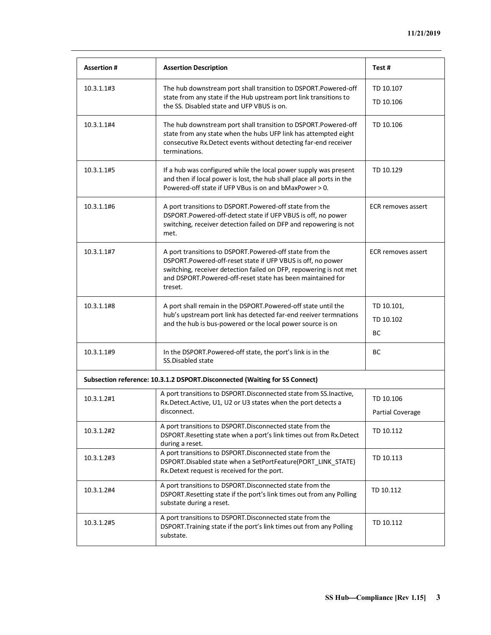| <b>Assertion#</b> | <b>Assertion Description</b>                                                                                                                                                                                                                                          | Test#                                |
|-------------------|-----------------------------------------------------------------------------------------------------------------------------------------------------------------------------------------------------------------------------------------------------------------------|--------------------------------------|
| 10.3.1.1#3        | The hub downstream port shall transition to DSPORT.Powered-off<br>state from any state if the Hub upstream port link transitions to<br>the SS. Disabled state and UFP VBUS is on.                                                                                     | TD 10.107<br>TD 10.106               |
| 10.3.1.1#4        | The hub downstream port shall transition to DSPORT.Powered-off<br>state from any state when the hubs UFP link has attempted eight<br>consecutive Rx. Detect events without detecting far-end receiver<br>terminations.                                                | TD 10.106                            |
| 10.3.1.1#5        | If a hub was configured while the local power supply was present<br>and then if local power is lost, the hub shall place all ports in the<br>Powered-off state if UFP VBus is on and bMaxPower > 0.                                                                   | TD 10.129                            |
| 10.3.1.1#6        | A port transitions to DSPORT. Powered-off state from the<br>DSPORT.Powered-off-detect state if UFP VBUS is off, no power<br>switching, receiver detection failed on DFP and repowering is not<br>met.                                                                 | <b>ECR</b> removes assert            |
| 10.3.1.1#7        | A port transitions to DSPORT.Powered-off state from the<br>DSPORT.Powered-off-reset state if UFP VBUS is off, no power<br>switching, receiver detection failed on DFP, repowering is not met<br>and DSPORT.Powered-off-reset state has been maintained for<br>treset. | <b>ECR</b> removes assert            |
| 10.3.1.1#8        | A port shall remain in the DSPORT.Powered-off state until the<br>hub's upstream port link has detected far-end reeiver termnations<br>and the hub is bus-powered or the local power source is on                                                                      | TD 10.101,<br>TD 10.102<br>BC        |
| 10.3.1.1#9        | In the DSPORT. Powered-off state, the port's link is in the<br>SS.Disabled state                                                                                                                                                                                      | BC                                   |
|                   | Subsection reference: 10.3.1.2 DSPORT.Disconnected (Waiting for SS Connect)                                                                                                                                                                                           |                                      |
| 10.3.1.2#1        | A port transitions to DSPORT. Disconnected state from SS. Inactive,<br>Rx.Detect.Active, U1, U2 or U3 states when the port detects a<br>disconnect.                                                                                                                   | TD 10.106<br><b>Partial Coverage</b> |
| 10.3.1.2#2        | A port transitions to DSPORT. Disconnected state from the<br>DSPORT. Resetting state when a port's link times out from Rx. Detect<br>during a reset.                                                                                                                  | TD 10.112                            |
| 10.3.1.2#3        | A port transitions to DSPORT. Disconnected state from the<br>DSPORT.Disabled state when a SetPortFeature(PORT_LINK_STATE)<br>Rx. Detext request is received for the port.                                                                                             | TD 10.113                            |
| 10.3.1.2#4        | A port transitions to DSPORT. Disconnected state from the<br>DSPORT.Resetting state if the port's link times out from any Polling<br>substate during a reset.                                                                                                         | TD 10.112                            |
| 10.3.1.2#5        | A port transitions to DSPORT. Disconnected state from the<br>DSPORT. Training state if the port's link times out from any Polling<br>substate.                                                                                                                        | TD 10.112                            |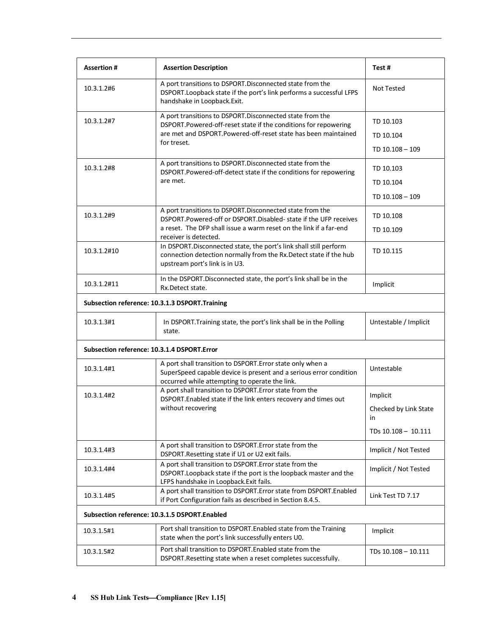| <b>Assertion#</b>                           | <b>Assertion Description</b>                                                                                                                                                       | Test#                       |
|---------------------------------------------|------------------------------------------------------------------------------------------------------------------------------------------------------------------------------------|-----------------------------|
| 10.3.1.2#6                                  | A port transitions to DSPORT. Disconnected state from the<br>DSPORT. Loopback state if the port's link performs a successful LFPS<br>handshake in Loopback.Exit.                   | <b>Not Tested</b>           |
| 10.3.1.2#7                                  | A port transitions to DSPORT. Disconnected state from the<br>DSPORT.Powered-off-reset state if the conditions for repowering                                                       | TD 10.103                   |
|                                             | are met and DSPORT.Powered-off-reset state has been maintained                                                                                                                     | TD 10.104                   |
|                                             | for treset.                                                                                                                                                                        | TD 10.108 - 109             |
| 10.3.1.2#8                                  | A port transitions to DSPORT. Disconnected state from the<br>DSPORT.Powered-off-detect state if the conditions for repowering                                                      | TD 10.103                   |
|                                             | are met.                                                                                                                                                                           | TD 10.104                   |
|                                             |                                                                                                                                                                                    | TD 10.108 - 109             |
| 10.3.1.2#9                                  | A port transitions to DSPORT. Disconnected state from the<br>DSPORT.Powered-off or DSPORT.Disabled-state if the UFP receives                                                       | TD 10.108                   |
|                                             | a reset. The DFP shall issue a warm reset on the link if a far-end<br>receiver is detected.                                                                                        | TD 10.109                   |
| 10.3.1.2#10                                 | In DSPORT. Disconnected state, the port's link shall still perform<br>connection detection normally from the Rx. Detect state if the hub<br>upstream port's link is in U3.         | TD 10.115                   |
| 10.3.1.2#11                                 | In the DSPORT. Disconnected state, the port's link shall be in the<br>Rx.Detect state.                                                                                             | Implicit                    |
|                                             | Subsection reference: 10.3.1.3 DSPORT. Training                                                                                                                                    |                             |
| 10.3.1.3#1                                  | In DSPORT. Training state, the port's link shall be in the Polling<br>state.                                                                                                       | Untestable / Implicit       |
| Subsection reference: 10.3.1.4 DSPORT.Error |                                                                                                                                                                                    |                             |
| 10.3.1.4#1                                  | A port shall transition to DSPORT. Error state only when a<br>SuperSpeed capable device is present and a serious error condition<br>occurred while attempting to operate the link. | Untestable                  |
| 10.3.1.4#2                                  | A port shall transition to DSPORT. Error state from the<br>DSPORT.Enabled state if the link enters recovery and times out                                                          | Implicit                    |
|                                             | without recovering                                                                                                                                                                 | Checked by Link State<br>in |
|                                             |                                                                                                                                                                                    | TDs 10.108 - 10.111         |
| 10.3.1.4#3                                  | A port shall transition to DSPORT. Error state from the<br>DSPORT.Resetting state if U1 or U2 exit fails.                                                                          | Implicit / Not Tested       |
| 10.3.1.4#4                                  | A port shall transition to DSPORT. Error state from the<br>DSPORT. Loopback state if the port is the loopback master and the<br>LFPS handshake in Loopback. Exit fails.            | Implicit / Not Tested       |
| 10.3.1.4#5                                  | A port shall transition to DSPORT. Error state from DSPORT. Enabled<br>if Port Configuration fails as described in Section 8.4.5.                                                  | Link Test TD 7.17           |
|                                             | Subsection reference: 10.3.1.5 DSPORT.Enabled                                                                                                                                      |                             |
| 10.3.1.5#1                                  | Port shall transition to DSPORT. Enabled state from the Training<br>state when the port's link successfully enters U0.                                                             | Implicit                    |
| 10.3.1.5#2                                  | Port shall transition to DSPORT. Enabled state from the<br>DSPORT. Resetting state when a reset completes successfully.                                                            | TDs 10.108 - 10.111         |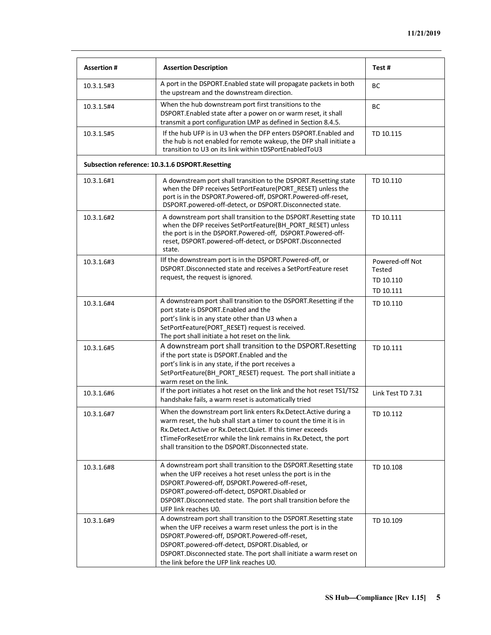| <b>Assertion#</b> | <b>Assertion Description</b>                                                                                                                                                                                                                                                                                                                            | Test#                                               |
|-------------------|---------------------------------------------------------------------------------------------------------------------------------------------------------------------------------------------------------------------------------------------------------------------------------------------------------------------------------------------------------|-----------------------------------------------------|
| 10.3.1.5#3        | A port in the DSPORT. Enabled state will propagate packets in both<br>the upstream and the downstream direction.                                                                                                                                                                                                                                        | <b>BC</b>                                           |
| 10.3.1.5#4        | When the hub downstream port first transitions to the<br>DSPORT. Enabled state after a power on or warm reset, it shall<br>transmit a port configuration LMP as defined in Section 8.4.5.                                                                                                                                                               | BC                                                  |
| 10.3.1.5#5        | If the hub UFP is in U3 when the DFP enters DSPORT. Enabled and<br>the hub is not enabled for remote wakeup, the DFP shall initiate a<br>transition to U3 on its link within tDSPortEnabledToU3                                                                                                                                                         | TD 10.115                                           |
|                   | Subsection reference: 10.3.1.6 DSPORT.Resetting                                                                                                                                                                                                                                                                                                         |                                                     |
| 10.3.1.6#1        | A downstream port shall transition to the DSPORT. Resetting state<br>when the DFP receives SetPortFeature(PORT RESET) unless the<br>port is in the DSPORT.Powered-off, DSPORT.Powered-off-reset,<br>DSPORT.powered-off-detect, or DSPORT.Disconnected state.                                                                                            | TD 10.110                                           |
| 10.3.1.6#2        | A downstream port shall transition to the DSPORT. Resetting state<br>when the DFP receives SetPortFeature(BH_PORT_RESET) unless<br>the port is in the DSPORT.Powered-off, DSPORT.Powered-off-<br>reset, DSPORT.powered-off-detect, or DSPORT.Disconnected<br>state.                                                                                     | TD 10.111                                           |
| 10.3.1.6#3        | Ilf the downstream port is in the DSPORT.Powered-off, or<br>DSPORT. Disconnected state and receives a SetPortFeature reset<br>request, the request is ignored.                                                                                                                                                                                          | Powered-off Not<br>Tested<br>TD 10.110<br>TD 10.111 |
| 10.3.1.6#4        | A downstream port shall transition to the DSPORT. Resetting if the<br>port state is DSPORT.Enabled and the<br>port's link is in any state other than U3 when a<br>SetPortFeature(PORT_RESET) request is received.<br>The port shall initiate a hot reset on the link.                                                                                   | TD 10.110                                           |
| 10.3.1.6#5        | A downstream port shall transition to the DSPORT. Resetting<br>if the port state is DSPORT. Enabled and the<br>port's link is in any state, if the port receives a<br>SetPortFeature(BH_PORT_RESET) request. The port shall initiate a<br>warm reset on the link.                                                                                       | TD 10.111                                           |
| 10.3.1.6#6        | If the port initiates a hot reset on the link and the hot reset TS1/TS2<br>handshake fails, a warm reset is automatically tried                                                                                                                                                                                                                         | Link Test TD 7.31                                   |
| 10.3.1.6#7        | When the downstream port link enters Rx. Detect. Active during a<br>warm reset, the hub shall start a timer to count the time it is in<br>Rx.Detect.Active or Rx.Detect.Quiet. If this timer exceeds<br>tTimeForResetError while the link remains in Rx.Detect, the port<br>shall transition to the DSPORT. Disconnected state.                         | TD 10.112                                           |
| 10.3.1.6#8        | A downstream port shall transition to the DSPORT. Resetting state<br>when the UFP receives a hot reset unless the port is in the<br>DSPORT.Powered-off, DSPORT.Powered-off-reset,<br>DSPORT.powered-off-detect, DSPORT.Disabled or<br>DSPORT. Disconnected state. The port shall transition before the<br>UFP link reaches U0.                          | TD 10.108                                           |
| 10.3.1.6#9        | A downstream port shall transition to the DSPORT. Resetting state<br>when the UFP receives a warm reset unless the port is in the<br>DSPORT.Powered-off, DSPORT.Powered-off-reset,<br>DSPORT.powered-off-detect, DSPORT.Disabled, or<br>DSPORT. Disconnected state. The port shall initiate a warm reset on<br>the link before the UFP link reaches U0. | TD 10.109                                           |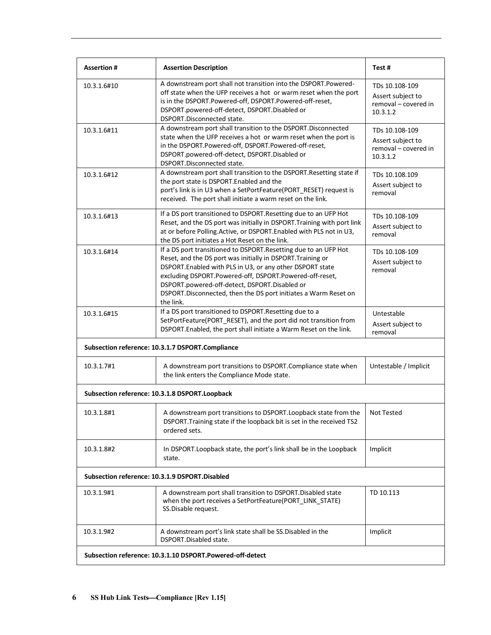| <b>Assertion#</b> | <b>Assertion Description</b>                                                                                                                                                                                                                                                                                                                                                             | Test#                                                                   |
|-------------------|------------------------------------------------------------------------------------------------------------------------------------------------------------------------------------------------------------------------------------------------------------------------------------------------------------------------------------------------------------------------------------------|-------------------------------------------------------------------------|
| 10.3.1.6#10       | A downstream port shall not transition into the DSPORT.Powered-<br>off state when the UFP receives a hot or warm reset when the port<br>is in the DSPORT.Powered-off, DSPORT.Powered-off-reset,<br>DSPORT.powered-off-detect, DSPORT.Disabled or<br>DSPORT.Disconnected state.                                                                                                           | TDs 10.108-109<br>Assert subject to<br>removal - covered in<br>10.3.1.2 |
| 10.3.1.6#11       | A downstream port shall transition to the DSPORT. Disconnected<br>state when the UFP receives a hot or warm reset when the port is<br>in the DSPORT.Powered-off, DSPORT.Powered-off-reset,<br>DSPORT.powered-off-detect, DSPORT.Disabled or<br>DSPORT.Disconnected state.                                                                                                                | TDs 10.108-109<br>Assert subject to<br>removal - covered in<br>10.3.1.2 |
| 10.3.1.6#12       | A downstream port shall transition to the DSPORT. Resetting state if<br>the port state is DSPORT.Enabled and the<br>port's link is in U3 when a SetPortFeature(PORT_RESET) request is<br>received. The port shall initiate a warm reset on the link.                                                                                                                                     | TDs 10.108.109<br>Assert subject to<br>removal                          |
| 10.3.1.6#13       | If a DS port transitioned to DSPORT. Resetting due to an UFP Hot<br>Reset, and the DS port was initially in DSPORT. Training with port link<br>at or before Polling. Active, or DSPORT. Enabled with PLS not in U3,<br>the DS port initiates a Hot Reset on the link.                                                                                                                    | TDs 10.108-109<br>Assert subject to<br>removal                          |
| 10.3.1.6#14       | If a DS port transitioned to DSPORT. Resetting due to an UFP Hot<br>Reset, and the DS port was initially in DSPORT. Training or<br>DSPORT. Enabled with PLS in U3, or any other DSPORT state<br>excluding DSPORT.Powered-off, DSPORT.Powered-off-reset,<br>DSPORT.powered-off-detect, DSPORT.Disabled or<br>DSPORT.Disconnected, then the DS port initiates a Warm Reset on<br>the link. | TDs 10.108-109<br>Assert subject to<br>removal                          |
| 10.3.1.6#15       | If a DS port transitioned to DSPORT. Resetting due to a<br>SetPortFeature(PORT_RESET), and the port did not transition from<br>DSPORT.Enabled, the port shall initiate a Warm Reset on the link.                                                                                                                                                                                         | Untestable<br>Assert subject to<br>removal                              |
|                   | Subsection reference: 10.3.1.7 DSPORT.Compliance                                                                                                                                                                                                                                                                                                                                         |                                                                         |
| 10.3.1.7#1        | A downstream port transitions to DSPORT.Compliance state when<br>the link enters the Compliance Mode state.                                                                                                                                                                                                                                                                              | Untestable / Implicit                                                   |
|                   | Subsection reference: 10.3.1.8 DSPORT.Loopback                                                                                                                                                                                                                                                                                                                                           |                                                                         |
| 10.3.1.8#1        | A downstream port transitions to DSPORT. Loopback state from the<br>DSPORT. Training state if the loopback bit is set in the received TS2<br>ordered sets.                                                                                                                                                                                                                               | <b>Not Tested</b>                                                       |
| 10.3.1.8#2        | In DSPORT. Loopback state, the port's link shall be in the Loopback<br>state.                                                                                                                                                                                                                                                                                                            | Implicit                                                                |
|                   | Subsection reference: 10.3.1.9 DSPORT.Disabled                                                                                                                                                                                                                                                                                                                                           |                                                                         |
| 10.3.1.9#1        | A downstream port shall transition to DSPORT. Disabled state<br>when the port receives a SetPortFeature(PORT_LINK_STATE)<br>SS.Disable request.                                                                                                                                                                                                                                          | TD 10.113                                                               |
| 10.3.1.9#2        | A downstream port's link state shall be SS. Disabled in the<br>DSPORT.Disabled state.                                                                                                                                                                                                                                                                                                    | Implicit                                                                |
|                   | Subsection reference: 10.3.1.10 DSPORT.Powered-off-detect                                                                                                                                                                                                                                                                                                                                |                                                                         |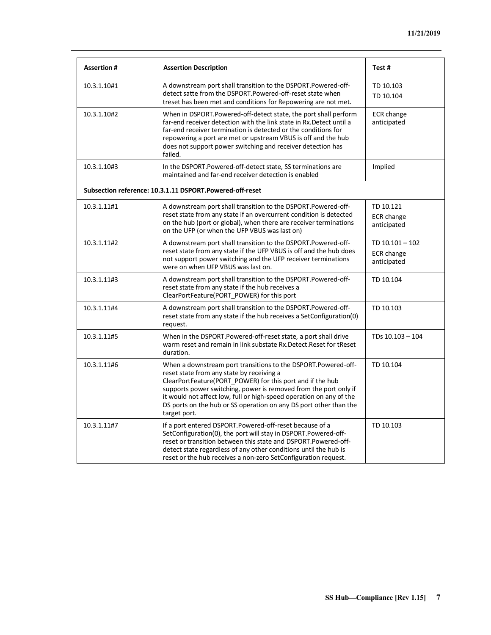| <b>Assertion#</b> | <b>Assertion Description</b>                                                                                                                                                                                                                                                                                                                                                                            | Test#                                         |
|-------------------|---------------------------------------------------------------------------------------------------------------------------------------------------------------------------------------------------------------------------------------------------------------------------------------------------------------------------------------------------------------------------------------------------------|-----------------------------------------------|
| 10.3.1.10#1       | A downstream port shall transition to the DSPORT.Powered-off-<br>detect satte from the DSPORT.Powered-off-reset state when<br>treset has been met and conditions for Repowering are not met.                                                                                                                                                                                                            | TD 10.103<br>TD 10.104                        |
| 10.3.1.10#2       | When in DSPORT.Powered-off-detect state, the port shall perform<br>far-end receiver detection with the link state in Rx. Detect until a<br>far-end receiver termination is detected or the conditions for<br>repowering a port are met or upstream VBUS is off and the hub<br>does not support power switching and receiver detection has<br>failed.                                                    | ECR change<br>anticipated                     |
| 10.3.1.10#3       | In the DSPORT.Powered-off-detect state, SS terminations are<br>maintained and far-end receiver detection is enabled                                                                                                                                                                                                                                                                                     | Implied                                       |
|                   | Subsection reference: 10.3.1.11 DSPORT.Powered-off-reset                                                                                                                                                                                                                                                                                                                                                |                                               |
| 10.3.1.11#1       | A downstream port shall transition to the DSPORT.Powered-off-<br>reset state from any state if an overcurrent condition is detected<br>on the hub (port or global), when there are receiver terminations<br>on the UFP (or when the UFP VBUS was last on)                                                                                                                                               | TD 10.121<br><b>ECR</b> change<br>anticipated |
| 10.3.1.11#2       | A downstream port shall transition to the DSPORT.Powered-off-<br>reset state from any state if the UFP VBUS is off and the hub does<br>not support power switching and the UFP receiver terminations<br>were on when UFP VBUS was last on.                                                                                                                                                              | TD 10.101 - 102<br>ECR change<br>anticipated  |
| 10.3.1.11#3       | A downstream port shall transition to the DSPORT.Powered-off-<br>reset state from any state if the hub receives a<br>ClearPortFeature(PORT POWER) for this port                                                                                                                                                                                                                                         | TD 10.104                                     |
| 10.3.1.11#4       | A downstream port shall transition to the DSPORT.Powered-off-<br>reset state from any state if the hub receives a SetConfiguration(0)<br>request.                                                                                                                                                                                                                                                       | TD 10.103                                     |
| 10.3.1.11#5       | When in the DSPORT.Powered-off-reset state, a port shall drive<br>warm reset and remain in link substate Rx. Detect. Reset for tReset<br>duration.                                                                                                                                                                                                                                                      | TDs 10.103 - 104                              |
| 10.3.1.11#6       | When a downstream port transitions to the DSPORT.Powered-off-<br>reset state from any state by receiving a<br>ClearPortFeature(PORT POWER) for this port and if the hub<br>supports power switching, power is removed from the port only if<br>it would not affect low, full or high-speed operation on any of the<br>DS ports on the hub or SS operation on any DS port other than the<br>target port. | TD 10.104                                     |
| 10.3.1.11#7       | If a port entered DSPORT.Powered-off-reset because of a<br>SetConfiguration(0), the port will stay in DSPORT.Powered-off-<br>reset or transition between this state and DSPORT.Powered-off-<br>detect state regardless of any other conditions until the hub is<br>reset or the hub receives a non-zero SetConfiguration request.                                                                       | TD 10.103                                     |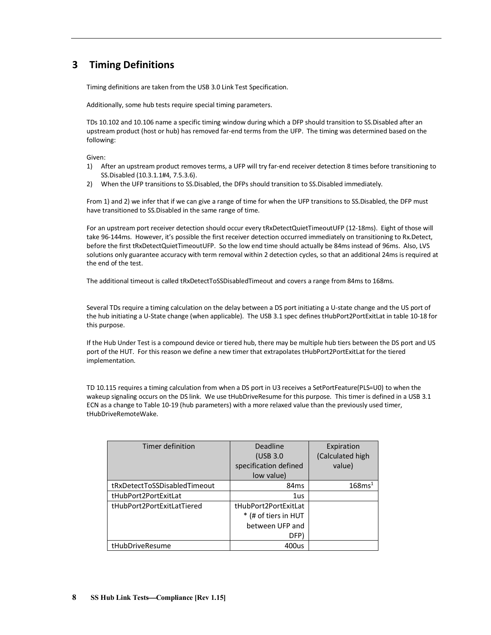# <span id="page-11-0"></span>**3 Timing Definitions**

Timing definitions are taken from the USB 3.0 Link Test Specification.

Additionally, some hub tests require special timing parameters.

TDs 10.102 and 10.106 name a specific timing window during which a DFP should transition to SS.Disabled after an upstream product (host or hub) has removed far-end terms from the UFP. The timing was determined based on the following:

Given:

- 1) After an upstream product removes terms, a UFP will try far-end receiver detection 8 times before transitioning to SS.Disabled (10.3.1.1#4, 7.5.3.6).
- 2) When the UFP transitions to SS.Disabled, the DFPs should transition to SS.Disabled immediately.

From 1) and 2) we infer that if we can give a range of time for when the UFP transitions to SS.Disabled, the DFP must have transitioned to SS.Disabled in the same range of time.

For an upstream port receiver detection should occur every tRxDetectQuietTimeoutUFP (12-18ms). Eight of those will take 96-144ms. However, it's possible the first receiver detection occurred immediately on transitioning to Rx.Detect, before the first tRxDetectQuietTimeoutUFP. So the low end time should actually be 84ms instead of 96ms. Also, LVS solutions only guarantee accuracy with term removal within 2 detection cycles, so that an additional 24ms is required at the end of the test.

The additional timeout is called tRxDetectToSSDisabledTimeout and covers a range from 84ms to 168ms.

Several TDs require a timing calculation on the delay between a DS port initiating a U-state change and the US port of the hub initiating a U-State change (when applicable). The USB 3.1 spec defines tHubPort2PortExitLat in table 10-18 for this purpose.

If the Hub Under Test is a compound device or tiered hub, there may be multiple hub tiers between the DS port and US port of the HUT. For this reason we define a new timer that extrapolates tHubPort2PortExitLat for the tiered implementation.

TD 10.115 requires a timing calculation from when a DS port in U3 receives a SetPortFeature(PLS=U0) to when the wakeup signaling occurs on the DS link. We use tHubDriveResume for this purpose. This timer is defined in a USB 3.1 ECN as a change to Table 10-19 (hub parameters) with a more relaxed value than the previously used timer, tHubDriveRemoteWake.

| Timer definition             | <b>Deadline</b>       | Expiration         |
|------------------------------|-----------------------|--------------------|
|                              | (USB 3.0)             | (Calculated high   |
|                              | specification defined | value)             |
|                              | low value)            |                    |
| tRxDetectToSSDisabledTimeout | 84 <sub>ms</sub>      | 168ms <sup>1</sup> |
| tHubPort2PortExitLat         | 1us                   |                    |
| tHubPort2PortExitLatTiered   | tHubPort2PortExitLat  |                    |
|                              | * (# of tiers in HUT  |                    |
|                              | between UFP and       |                    |
|                              | DFP)                  |                    |
| tHubDriveResume              | 400us                 |                    |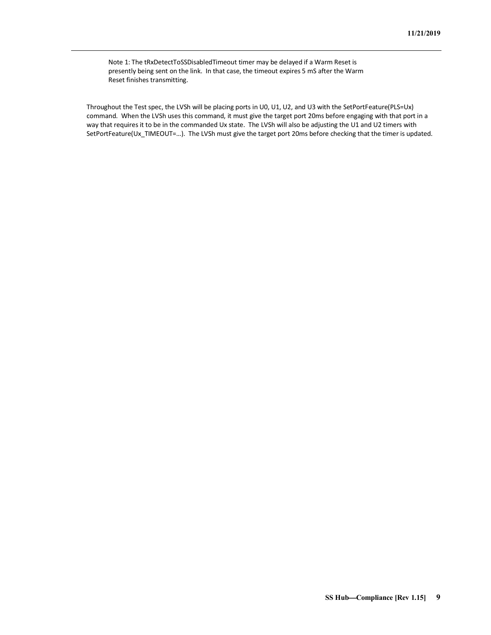Note 1: The tRxDetectToSSDisabledTimeout timer may be delayed if a Warm Reset is presently being sent on the link. In that case, the timeout expires 5 mS after the Warm Reset finishes transmitting.

Throughout the Test spec, the LVSh will be placing ports in U0, U1, U2, and U3 with the SetPortFeature(PLS=Ux) command. When the LVSh uses this command, it must give the target port 20ms before engaging with that port in a way that requires it to be in the commanded Ux state. The LVSh will also be adjusting the U1 and U2 timers with SetPortFeature(Ux\_TIMEOUT=…). The LVSh must give the target port 20ms before checking that the timer is updated.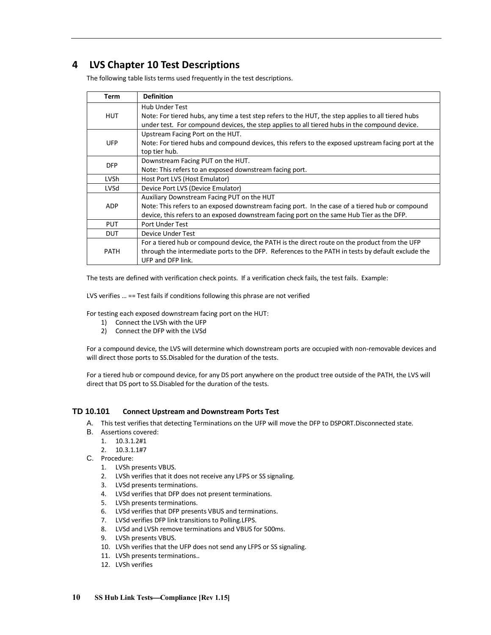# <span id="page-13-0"></span>**4 LVS Chapter 10 Test Descriptions**

The following table lists terms used frequently in the test descriptions.

| Term        | <b>Definition</b>                                                                                  |
|-------------|----------------------------------------------------------------------------------------------------|
|             | <b>Hub Under Test</b>                                                                              |
| <b>HUT</b>  | Note: For tiered hubs, any time a test step refers to the HUT, the step applies to all tiered hubs |
|             | under test. For compound devices, the step applies to all tiered hubs in the compound device.      |
|             | Upstream Facing Port on the HUT.                                                                   |
| <b>UFP</b>  | Note: For tiered hubs and compound devices, this refers to the exposed upstream facing port at the |
|             | top tier hub.                                                                                      |
| <b>DFP</b>  | Downstream Facing PUT on the HUT.                                                                  |
|             | Note: This refers to an exposed downstream facing port.                                            |
| <b>LVSh</b> | Host Port LVS (Host Emulator)                                                                      |
| LVSd        | Device Port LVS (Device Emulator)                                                                  |
|             | Auxiliary Downstream Facing PUT on the HUT                                                         |
| <b>ADP</b>  | Note: This refers to an exposed downstream facing port. In the case of a tiered hub or compound    |
|             | device, this refers to an exposed downstream facing port on the same Hub Tier as the DFP.          |
| <b>PUT</b>  | Port Under Test                                                                                    |
| <b>DUT</b>  | Device Under Test                                                                                  |
| <b>PATH</b> | For a tiered hub or compound device, the PATH is the direct route on the product from the UFP      |
|             | through the intermediate ports to the DFP. References to the PATH in tests by default exclude the  |
|             | UFP and DFP link.                                                                                  |

The tests are defined with verification check points. If a verification check fails, the test fails. Example:

LVS verifies … == Test fails if conditions following this phrase are not verified

For testing each exposed downstream facing port on the HUT:

- 1) Connect the LVSh with the UFP
- 2) Connect the DFP with the LVSd

For a compound device, the LVS will determine which downstream ports are occupied with non-removable devices and will direct those ports to SS.Disabled for the duration of the tests.

For a tiered hub or compound device, for any DS port anywhere on the product tree outside of the PATH, the LVS will direct that DS port to SS.Disabled for the duration of the tests.

## <span id="page-13-1"></span>**TD 10.101 Connect Upstream and Downstream Ports Test**

- A. This test verifies that detecting Terminations on the UFP will move the DFP to DSPORT.Disconnected state.
- B. Assertions covered:
	- 1. 10.3.1.2#1
	- 2. 10.3.1.1#7
- C. Procedure:
	- 1. LVSh presents VBUS.
	- 2. LVSh verifies that it does not receive any LFPS or SS signaling.
	- 3. LVSd presents terminations.
	- 4. LVSd verifies that DFP does not present terminations.
	- 5. LVSh presents terminations.
	- 6. LVSd verifies that DFP presents VBUS and terminations.
	- 7. LVSd verifies DFP link transitions to Polling.LFPS.
	- 8. LVSd and LVSh remove terminations and VBUS for 500ms.
	- 9. LVSh presents VBUS.
	- 10. LVSh verifies that the UFP does not send any LFPS or SS signaling.
	- 11. LVSh presents terminations..
	- 12. LVSh verifies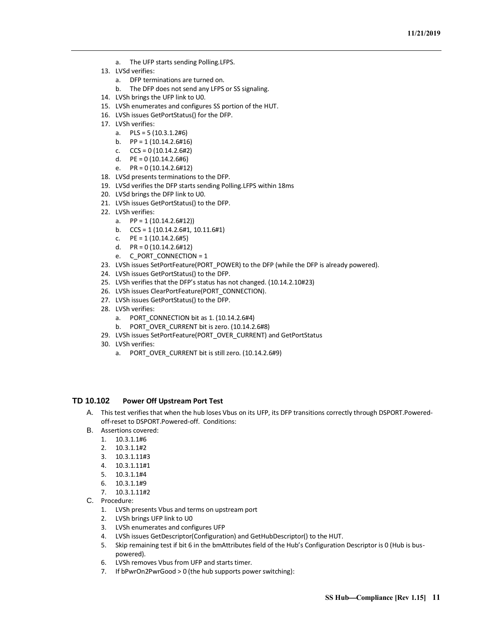- a. The UFP starts sending Polling.LFPS.
- 13. LVSd verifies:
	- a. DFP terminations are turned on.
	- b. The DFP does not send any LFPS or SS signaling.
- 14. LVSh brings the UFP link to U0.
- 15. LVSh enumerates and configures SS portion of the HUT.
- 16. LVSh issues GetPortStatus() for the DFP.
- 17. LVSh verifies:
	- a. PLS = 5 (10.3.1.2#6)
	- b.  $PP = 1 (10.14.2.6#16)$
	- c.  $CCS = 0 (10.14.2.6#2)$
	- d.  $PE = 0 (10.14.2.6#6)$
	- e.  $PR = 0 (10.14.2.6 \# 12)$
- 18. LVSd presents terminations to the DFP.
- 19. LVSd verifies the DFP starts sending Polling.LFPS within 18ms
- 20. LVSd brings the DFP link to U0.
- 21. LVSh issues GetPortStatus() to the DFP.
- 22. LVSh verifies:
	- a.  $PP = 1 (10.14.2.6 \# 12)$
	- b. CCS = 1 (10.14.2.6#1, 10.11.6#1)
	- c.  $PE = 1 (10.14.2.6#5)$
	- d. PR = 0 (10.14.2.6#12)
	- e. C\_PORT\_CONNECTION = 1
- 23. LVSh issues SetPortFeature(PORT\_POWER) to the DFP (while the DFP is already powered).
- 24. LVSh issues GetPortStatus() to the DFP.
- 25. LVSh verifies that the DFP's status has not changed. (10.14.2.10#23)
- 26. LVSh issues ClearPortFeature(PORT\_CONNECTION).
- 27. LVSh issues GetPortStatus() to the DFP.
- 28. LVSh verifies:
	- a. PORT CONNECTION bit as  $1. (10.14.2.6#4)$
	- b. PORT\_OVER\_CURRENT bit is zero. (10.14.2.6#8)
- 29. LVSh issues SetPortFeature(PORT\_OVER\_CURRENT) and GetPortStatus
- 30. LVSh verifies:
	- a. PORT\_OVER\_CURRENT bit is still zero. (10.14.2.6#9)

## <span id="page-14-0"></span>**TD 10.102 Power Off Upstream Port Test**

- A. This test verifies that when the hub loses Vbus on its UFP, its DFP transitions correctly through DSPORT.Poweredoff-reset to DSPORT.Powered-off. Conditions:
- B. Assertions covered:
	- 1. 10.3.1.1#6
	- 2. 10.3.1.1#2
	- 3. 10.3.1.11#3
	- 4. 10.3.1.11#1
	- 5. 10.3.1.1#4
	- 6. 10.3.1.1#9
	- 7. 10.3.1.11#2
- C. Procedure:
	- 1. LVSh presents Vbus and terms on upstream port
	- 2. LVSh brings UFP link to U0
	- 3. LVSh enumerates and configures UFP
	- 4. LVSh issues GetDescriptor(Configuration) and GetHubDescriptor() to the HUT.
	- 5. Skip remaining test if bit 6 in the bmAttributes field of the Hub's Configuration Descriptor is 0 (Hub is buspowered).
	- 6. LVSh removes Vbus from UFP and starts timer.
	- 7. If bPwrOn2PwrGood > 0 (the hub supports power switching):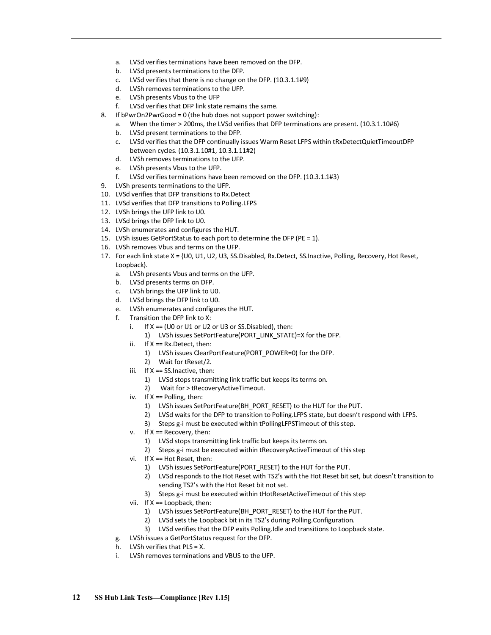- a. LVSd verifies terminations have been removed on the DFP.
- b. LVSd presents terminations to the DFP.
- c. LVSd verifies that there is no change on the DFP. (10.3.1.1#9)
- d. LVSh removes terminations to the UFP.
- e. LVSh presents Vbus to the UFP
- f. LVSd verifies that DFP link state remains the same.
- 8. If bPwrOn2PwrGood = 0 (the hub does not support power switching):
	- a. When the timer > 200ms, the LVSd verifies that DFP terminations are present. (10.3.1.10#6)
	- b. LVSd present terminations to the DFP.
	- c. LVSd verifies that the DFP continually issues Warm Reset LFPS within tRxDetectQuietTimeoutDFP between cycles. (10.3.1.10#1, 10.3.1.11#2)
	- d. LVSh removes terminations to the UFP.
	- e. LVSh presents Vbus to the UFP.
	- f. LVSd verifies terminations have been removed on the DFP. (10.3.1.1#3)
- 9. LVSh presents terminations to the UFP.
- 10. LVSd verifies that DFP transitions to Rx.Detect
- 11. LVSd verifies that DFP transitions to Polling.LFPS
- 12. LVSh brings the UFP link to U0.
- 13. LVSd brings the DFP link to U0.
- 14. LVSh enumerates and configures the HUT.
- 15. LVSh issues GetPortStatus to each port to determine the DFP (PE = 1).
- 16. LVSh removes Vbus and terms on the UFP.
- 17. For each link state X = {U0, U1, U2, U3, SS.Disabled, Rx.Detect, SS.Inactive, Polling, Recovery, Hot Reset, Loopback}.
	- a. LVSh presents Vbus and terms on the UFP.
	- b. LVSd presents terms on DFP.
	- c. LVSh brings the UFP link to U0.
	- d. LVSd brings the DFP link to U0.
	- e. LVSh enumerates and configures the HUT.
	- f. Transition the DFP link to X:
		- i. If  $X = (U0 \text{ or } U1 \text{ or } U2 \text{ or } U3 \text{ or } S5$ . Disabled), then:
			- 1) LVSh issues SetPortFeature(PORT\_LINK\_STATE)=X for the DFP.
		- ii. If  $X = Rx$ . Detect, then:
			- 1) LVSh issues ClearPortFeature(PORT\_POWER=0) for the DFP.
			- 2) Wait for tReset/2.
		- iii. If X == SS.Inactive, then:
			- 1) LVSd stops transmitting link traffic but keeps its terms on.
			- 2) Wait for > tRecoveryActiveTimeout.
		- iv. If X == Polling, then:
			- 1) LVSh issues SetPortFeature(BH\_PORT\_RESET) to the HUT for the PUT.
			- 2) LVSd waits for the DFP to transition to Polling.LFPS state, but doesn't respond with LFPS.
			- 3) Steps g-i must be executed within tPollingLFPSTimeout of this step.
		- v. If X == Recovery, then:
			- 1) LVSd stops transmitting link traffic but keeps its terms on.
			- 2) Steps g-i must be executed within tRecoveryActiveTimeout of this step
		- vi. If X == Hot Reset, then:
			- 1) LVSh issues SetPortFeature(PORT\_RESET) to the HUT for the PUT.
			- 2) LVSd responds to the Hot Reset with TS2's with the Hot Reset bit set, but doesn't transition to sending TS2's with the Hot Reset bit not set.
			- 3) Steps g-i must be executed within tHotResetActiveTimeout of this step
		- vii. If X == Loopback, then:
			- 1) LVSh issues SetPortFeature(BH\_PORT\_RESET) to the HUT for the PUT.
			- 2) LVSd sets the Loopback bit in its TS2's during Polling.Configuration.
			- 3) LVSd verifies that the DFP exits Polling.Idle and transitions to Loopback state.
	- g. LVSh issues a GetPortStatus request for the DFP.
	- h. LVSh verifies that PLS = X.
	- i. LVSh removes terminations and VBUS to the UFP.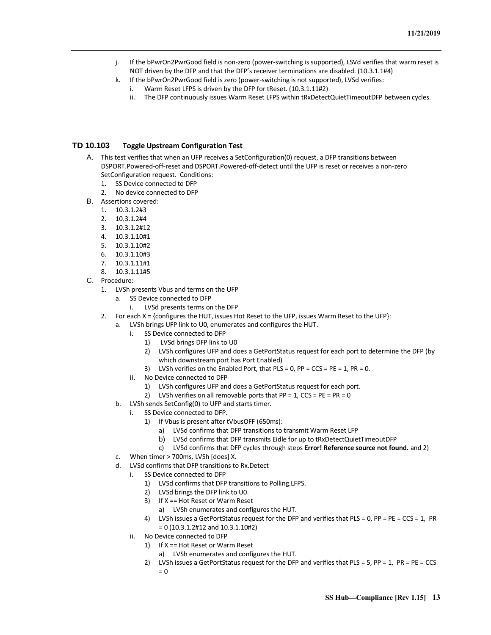- j. If the bPwrOn2PwrGood field is non-zero (power-switching is supported), LSVd verifies that warm reset is NOT driven by the DFP and that the DFP's receiver terminations are disabled. (10.3.1.1#4)
- k. If the bPwrOn2PwrGood field is zero (power-switching is not supported), LVSd verifies: i. Warm Reset LFPS is driven by the DFP for tReset. (10.3.1.11#2)
	- ii. The DFP continuously issues Warm Reset LFPS within tRxDetectQuietTimeoutDFP between cycles.

## <span id="page-16-0"></span>**TD 10.103 Toggle Upstream Configuration Test**

- A. This test verifies that when an UFP receives a SetConfiguration(0) request, a DFP transitions between DSPORT.Powered-off-reset and DSPORT.Powered-off-detect until the UFP is reset or receives a non-zero SetConfiguration request. Conditions:
	- 1. SS Device connected to DFP
	- 2. No device connected to DFP
- B. Assertions covered:
	- 1. 10.3.1.2#3
	- 2. 10.3.1.2#4
	- 3. 10.3.1.2#12
	- 4. 10.3.1.10#1
	- 5. 10.3.1.10#2
	- 6. 10.3.1.10#3
	- 7. 10.3.1.11#1
	- 8. 10.3.1.11#5
- C. Procedure:
	- 1. LVSh presents Vbus and terms on the UFP
		- a. SS Device connected to DFP
			- i. LVSd presents terms on the DFP
	- 2. For each X = {configures the HUT, issues Hot Reset to the UFP, issues Warm Reset to the UFP}:
		- a. LVSh brings UFP link to U0, enumerates and configures the HUT.
			- i. SS Device connected to DFP
				- 1) LVSd brings DFP link to U0
				- 2) LVSh configures UFP and does a GetPortStatus request for each port to determine the DFP (by which downstream port has Port Enabled)
				- 3) LVSh verifies on the Enabled Port, that PLS = 0, PP =  $CCS = PE = 1$ , PR = 0.
			- ii. No Device connected to DFP
				- 1) LVSh configures UFP and does a GetPortStatus request for each port.
				- 2) LVSh verifies on all removable ports that  $PP = 1$ ,  $CCS = PE = PR = 0$
			- b. LVSh sends SetConfig(0) to UFP and starts timer.
				- SS Device connected to DFP.
					- 1) If Vbus is present after tVbusOFF (650ms):
						- a) LVSd confirms that DFP transitions to transmit Warm Reset LFP
						- b) LVSd confirms that DFP transmits Eidle for up to tRxDetectQuietTimeoutDFP
						- c) LVSd confirms that DFP cycles through steps **Error! Reference source not found.** and 2)
			- c. When timer > 700ms, LVSh [does] X.
			- d. LVSd confirms that DFP transitions to Rx.Detect
				- i. SS Device connected to DFP
					- 1) LVSd confirms that DFP transitions to Polling.LFPS.
					- 2) LVSd brings the DFP link to U0.
					- 3) If X == Hot Reset or Warm Reset
						- a) LVSh enumerates and configures the HUT.
					- 4) LVSh issues a GetPortStatus request for the DFP and verifies that PLS = 0, PP = PE = CCS = 1, PR = 0 (10.3.1.2#12 and 10.3.1.10#2)
				- ii. No Device connected to DFP
					- 1) If X == Hot Reset or Warm Reset
						- a) LVSh enumerates and configures the HUT.
					- 2) LVSh issues a GetPortStatus request for the DFP and verifies that PLS = 5, PP = 1, PR = PE = CCS  $= 0$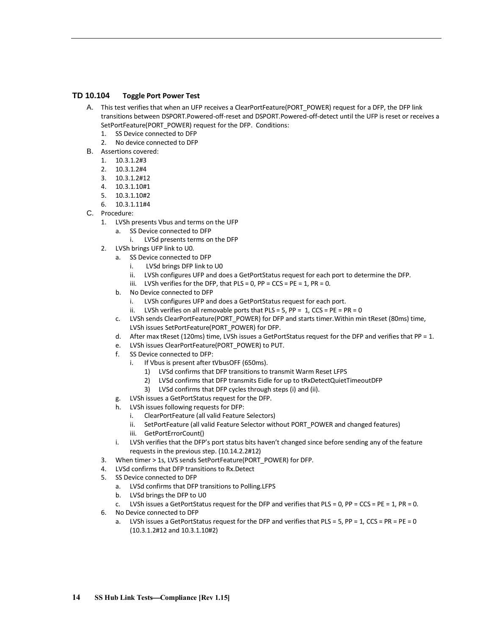## <span id="page-17-0"></span>**TD 10.104 Toggle Port Power Test**

- A. This test verifies that when an UFP receives a ClearPortFeature(PORT\_POWER) request for a DFP, the DFP link transitions between DSPORT.Powered-off-reset and DSPORT.Powered-off-detect until the UFP is reset or receives a SetPortFeature(PORT\_POWER) request for the DFP. Conditions:
	- 1. SS Device connected to DFP
	- 2. No device connected to DFP
- B. Assertions covered:
	- 1. 10.3.1.2#3
	- 2. 10.3.1.2#4
	- 3. 10.3.1.2#12
	- 4. 10.3.1.10#1
	- 5. 10.3.1.10#2
	- 6. 10.3.1.11#4
- C. Procedure:
	- 1. LVSh presents Vbus and terms on the UFP
		- a. SS Device connected to DFP
			- i. LVSd presents terms on the DFP
	- 2. LVSh brings UFP link to U0.
		- a. SS Device connected to DFP
			- i. LVSd brings DFP link to U0
			- ii. LVSh configures UFP and does a GetPortStatus request for each port to determine the DFP.
			- iii. LVSh verifies for the DFP, that  $PLS = 0$ ,  $PP = CCS = PE = 1$ ,  $PR = 0$ .
		- b. No Device connected to DFP
			- i. LVSh configures UFP and does a GetPortStatus request for each port.
			- ii. LVSh verifies on all removable ports that  $PLS = 5$ ,  $PP = 1$ ,  $CCS = PE = PR = 0$
		- c. LVSh sends ClearPortFeature(PORT\_POWER) for DFP and starts timer.Within min tReset (80ms) time, LVSh issues SetPortFeature(PORT\_POWER) for DFP.
		- d. After max tReset (120ms) time, LVSh issues a GetPortStatus request for the DFP and verifies that PP = 1.
		- e. LVSh issues ClearPortFeature(PORT\_POWER) to PUT.
		- f. SS Device connected to DFP:
			- i. If Vbus is present after tVbusOFF (650ms).
				- 1) LVSd confirms that DFP transitions to transmit Warm Reset LFPS
				- 2) LVSd confirms that DFP transmits Eidle for up to tRxDetectQuietTimeoutDFP
				- 3) LVSd confirms that DFP cycles through steps (i) and (ii).
		- g. LVSh issues a GetPortStatus request for the DFP.
		- h. LVSh issues following requests for DFP:
			- i. ClearPortFeature (all valid Feature Selectors)
			- ii. SetPortFeature (all valid Feature Selector without PORT\_POWER and changed features)
			- iii. GetPortErrorCount()
		- i. LVSh verifies that the DFP's port status bits haven't changed since before sending any of the feature requests in the previous step. (10.14.2.2#12)
	- 3. When timer > 1s, LVS sends SetPortFeature(PORT\_POWER) for DFP.
	- 4. LVSd confirms that DFP transitions to Rx.Detect
	- 5. SS Device connected to DFP
		- a. LVSd confirms that DFP transitions to Polling.LFPS
		- b. LVSd brings the DFP to U0
		- c. LVSh issues a GetPortStatus request for the DFP and verifies that PLS = 0, PP = CCS = PE = 1, PR = 0.
	- 6. No Device connected to DFP
		- a. LVSh issues a GetPortStatus request for the DFP and verifies that PLS = 5, PP = 1, CCS = PR = PE = 0 (10.3.1.2#12 and 10.3.1.10#2)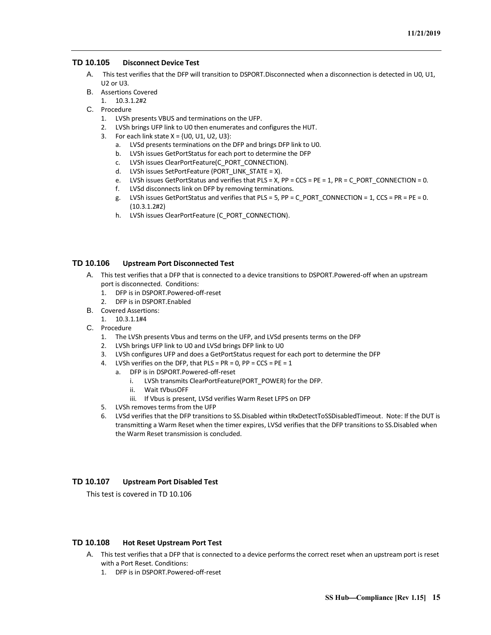## <span id="page-18-0"></span>**TD 10.105 Disconnect Device Test**

- A. This test verifies that the DFP will transition to DSPORT.Disconnected when a disconnection is detected in U0, U1, U2 or U3.
- B. Assertions Covered
	- 1. 10.3.1.2#2
- C. Procedure
	- 1. LVSh presents VBUS and terminations on the UFP.
	- 2. LVSh brings UFP link to U0 then enumerates and configures the HUT.
	- 3. For each link state  $X = \{U0, U1, U2, U3\}$ :
		- a. LVSd presents terminations on the DFP and brings DFP link to U0.
		- b. LVSh issues GetPortStatus for each port to determine the DFP
		- c. LVSh issues ClearPortFeature(C\_PORT\_CONNECTION).
		- d. LVSh issues SetPortFeature (PORT\_LINK\_STATE = X).
		- e. LVSh issues GetPortStatus and verifies that PLS = X, PP = CCS = PE = 1, PR = C\_PORT\_CONNECTION = 0.
		- f. LVSd disconnects link on DFP by removing terminations.
		- g. LVSh issues GetPortStatus and verifies that PLS = 5, PP = C\_PORT\_CONNECTION = 1, CCS = PR = PE = 0. (10.3.1.2#2)
		- h. LVSh issues ClearPortFeature (C\_PORT\_CONNECTION).

## <span id="page-18-1"></span>**TD 10.106 Upstream Port Disconnected Test**

- A. This test verifies that a DFP that is connected to a device transitions to DSPORT.Powered-off when an upstream port is disconnected. Conditions:
	- 1. DFP is in DSPORT.Powered-off-reset
	- 2. DFP is in DSPORT.Enabled
- B. Covered Assertions:
	- 1. 10.3.1.1#4
- C. Procedure
	- 1. The LVSh presents Vbus and terms on the UFP, and LVSd presents terms on the DFP
	- 2. LVSh brings UFP link to U0 and LVSd brings DFP link to U0
	- 3. LVSh configures UFP and does a GetPortStatus request for each port to determine the DFP
	- 4. LVSh verifies on the DFP, that  $PLS = PR = 0$ ,  $PP = CCS = PE = 1$ 
		- a. DFP is in DSPORT.Powered-off-reset
			- i. LVSh transmits ClearPortFeature(PORT\_POWER) for the DFP.
			- ii. Wait tVbusOFF
			- iii. If Vbus is present, LVSd verifies Warm Reset LFPS on DFP
	- 5. LVSh removes terms from the UFP
	- 6. LVSd verifies that the DFP transitions to SS.Disabled within tRxDetectToSSDisabledTimeout. Note: If the DUT is transmitting a Warm Reset when the timer expires, LVSd verifies that the DFP transitions to SS.Disabled when the Warm Reset transmission is concluded.

## <span id="page-18-2"></span>**TD 10.107 Upstream Port Disabled Test**

This test is covered in TD 10.106

## <span id="page-18-3"></span>**TD 10.108 Hot Reset Upstream Port Test**

- A. This test verifies that a DFP that is connected to a device performs the correct reset when an upstream port is reset with a Port Reset. Conditions:
	- 1. DFP is in DSPORT.Powered-off-reset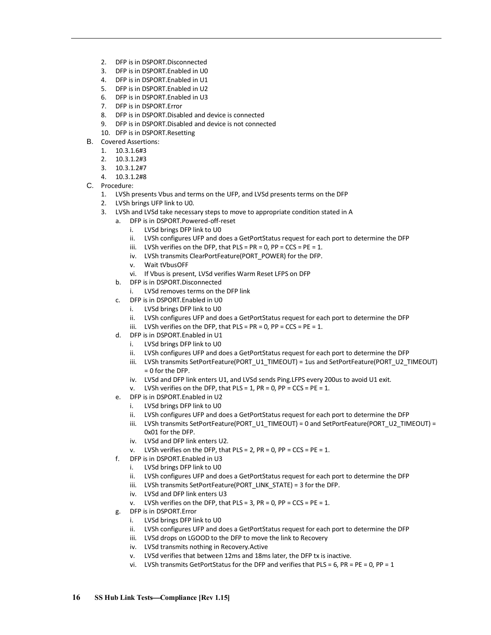- 2. DFP is in DSPORT.Disconnected
- 3. DFP is in DSPORT.Enabled in U0
- 4. DFP is in DSPORT.Enabled in U1
- 5. DFP is in DSPORT.Enabled in U2
- 6. DFP is in DSPORT.Enabled in U3
- 7. DFP is in DSPORT.Error
- 8. DFP is in DSPORT.Disabled and device is connected
- 9. DFP is in DSPORT.Disabled and device is not connected
- 10. DFP is in DSPORT.Resetting
- B. Covered Assertions:
	- 1. 10.3.1.6#3
	- 2. 10.3.1.2#3
	- 3. 10.3.1.2#7
	- 4. 10.3.1.2#8
- C. Procedure:
	- 1. LVSh presents Vbus and terms on the UFP, and LVSd presents terms on the DFP
	- 2. LVSh brings UFP link to U0.
	- 3. LVSh and LVSd take necessary steps to move to appropriate condition stated in A
		- a. DFP is in DSPORT.Powered-off-reset
			- i. LVSd brings DFP link to U0
			- ii. LVSh configures UFP and does a GetPortStatus request for each port to determine the DFP
			- iii. LVSh verifies on the DFP, that  $PLS = PR = 0$ ,  $PP = CCS = PE = 1$ .
			- iv. LVSh transmits ClearPortFeature(PORT\_POWER) for the DFP.
			- v. Wait tVbusOFF
			- vi. If Vbus is present, LVSd verifies Warm Reset LFPS on DFP
		- b. DFP is in DSPORT.Disconnected
			- i. LVSd removes terms on the DFP link
		- c. DFP is in DSPORT.Enabled in U0
			- i. LVSd brings DFP link to U0
			- ii. LVSh configures UFP and does a GetPortStatus request for each port to determine the DFP
			- iii. LVSh verifies on the DFP, that  $PLS = PR = 0$ ,  $PP = CCS = PE = 1$ .
		- d. DFP is in DSPORT.Enabled in U1
			- i. LVSd brings DFP link to U0
			- ii. LVSh configures UFP and does a GetPortStatus request for each port to determine the DFP
			- iii. LVSh transmits SetPortFeature(PORT\_U1\_TIMEOUT) = 1us and SetPortFeature(PORT\_U2\_TIMEOUT)  $= 0$  for the DFP.
			- iv. LVSd and DFP link enters U1, and LVSd sends Ping.LFPS every 200us to avoid U1 exit.
			- v. LVSh verifies on the DFP, that  $PLS = 1$ ,  $PR = 0$ ,  $PP = CCS = PE = 1$ .
		- e. DFP is in DSPORT.Enabled in U2
			- i. LVSd brings DFP link to U0
			- ii. LVSh configures UFP and does a GetPortStatus request for each port to determine the DFP
			- iii. LVSh transmits SetPortFeature(PORT\_U1\_TIMEOUT) = 0 and SetPortFeature(PORT\_U2\_TIMEOUT) = 0x01 for the DFP.
			- iv. LVSd and DFP link enters U2.
			- v. LVSh verifies on the DFP, that  $PLS = 2$ ,  $PR = 0$ ,  $PP = CCS = PE = 1$ .
		- f. DFP is in DSPORT.Enabled in U3
			- i. LVSd brings DFP link to U0
			- ii. LVSh configures UFP and does a GetPortStatus request for each port to determine the DFP
			- iii. LVSh transmits SetPortFeature(PORT\_LINK\_STATE) = 3 for the DFP.
			- iv. LVSd and DFP link enters U3
			- v. LVSh verifies on the DFP, that  $PLS = 3$ ,  $PR = 0$ ,  $PP = CCS = PE = 1$ .
		- g. DFP is in DSPORT.Error
			- i. LVSd brings DFP link to U0
			- ii. LVSh configures UFP and does a GetPortStatus request for each port to determine the DFP
			- iii. LVSd drops on LGOOD to the DFP to move the link to Recovery
			- iv. LVSd transmits nothing in Recovery.Active
			- v. LVSd verifies that between 12ms and 18ms later, the DFP tx is inactive.
			- vi. LVSh transmits GetPortStatus for the DFP and verifies that PLS = 6, PR = PE = 0, PP = 1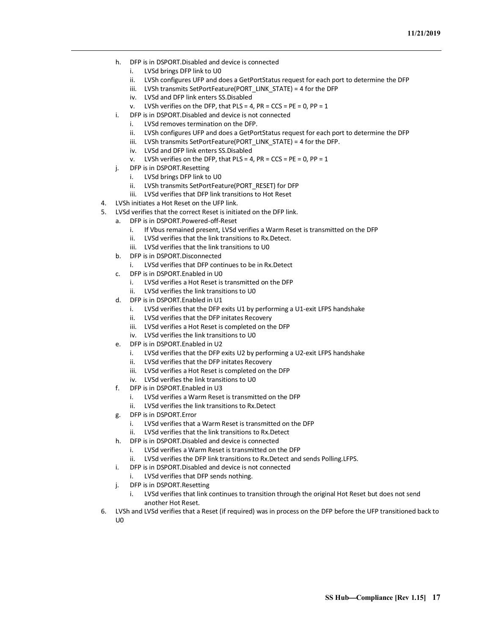- h. DFP is in DSPORT.Disabled and device is connected
	- i. LVSd brings DFP link to U0
	- ii. LVSh configures UFP and does a GetPortStatus request for each port to determine the DFP
	- iii. LVSh transmits SetPortFeature(PORT\_LINK\_STATE) = 4 for the DFP
	- iv. LVSd and DFP link enters SS.Disabled
	- v. LVSh verifies on the DFP, that  $PLS = 4$ ,  $PR = CCS = PE = 0$ ,  $PP = 1$
- i. DFP is in DSPORT.Disabled and device is not connected
	- i. LVSd removes termination on the DFP.
	- ii. LVSh configures UFP and does a GetPortStatus request for each port to determine the DFP
	- iii. LVSh transmits SetPortFeature(PORT\_LINK\_STATE) = 4 for the DFP.
	- iv. LVSd and DFP link enters SS.Disabled
	- v. LVSh verifies on the DFP, that  $PLS = 4$ ,  $PR = CCS = PE = 0$ ,  $PP = 1$
- j. DFP is in DSPORT.Resetting
	- i. LVSd brings DFP link to U0
	- ii. LVSh transmits SetPortFeature(PORT\_RESET) for DFP
	- iii. LVSd verifies that DFP link transitions to Hot Reset
- 4. LVSh initiates a Hot Reset on the UFP link.
- 5. LVSd verifies that the correct Reset is initiated on the DFP link.
	- a. DFP is in DSPORT.Powered-off-Reset
		- i. If Vbus remained present, LVSd verifies a Warm Reset is transmitted on the DFP
		- ii. LVSd verifies that the link transitions to Rx.Detect.
		- iii. LVSd verifies that the link transitions to U0
		- b. DFP is in DSPORT.Disconnected
			- i. LVSd verifies that DFP continues to be in Rx.Detect
		- c. DFP is in DSPORT.Enabled in U0
			- i. LVSd verifies a Hot Reset is transmitted on the DFP
			- ii. LVSd verifies the link transitions to U0
		- d. DFP is in DSPORT.Enabled in U1
			- i. LVSd verifies that the DFP exits U1 by performing a U1-exit LFPS handshake
			- ii. LVSd verifies that the DFP initates Recovery
			- iii. LVSd verifies a Hot Reset is completed on the DFP
			- iv. LVSd verifies the link transitions to U0
		- e. DFP is in DSPORT.Enabled in U2
			- i. LVSd verifies that the DFP exits U2 by performing a U2-exit LFPS handshake
			- ii. LVSd verifies that the DFP initates Recovery
			- iii. LVSd verifies a Hot Reset is completed on the DFP
			- iv. LVSd verifies the link transitions to U0
		- f. DFP is in DSPORT.Enabled in U3
			- i. LVSd verifies a Warm Reset is transmitted on the DFP
			- ii. LVSd verifies the link transitions to Rx.Detect
		- g. DFP is in DSPORT.Error
			- i. LVSd verifies that a Warm Reset is transmitted on the DFP
			- ii. LVSd verifies that the link transitions to Rx.Detect
		- h. DFP is in DSPORT.Disabled and device is connected
			- i. LVSd verifies a Warm Reset is transmitted on the DFP
			- ii. LVSd verifies the DFP link transitions to Rx.Detect and sends Polling.LFPS.
		- i. DFP is in DSPORT.Disabled and device is not connected
			- i. LVSd verifies that DFP sends nothing.
		- j. DFP is in DSPORT.Resetting
			- i. LVSd verifies that link continues to transition through the original Hot Reset but does not send another Hot Reset.
- 6. LVSh and LVSd verifies that a Reset (if required) was in process on the DFP before the UFP transitioned back to U0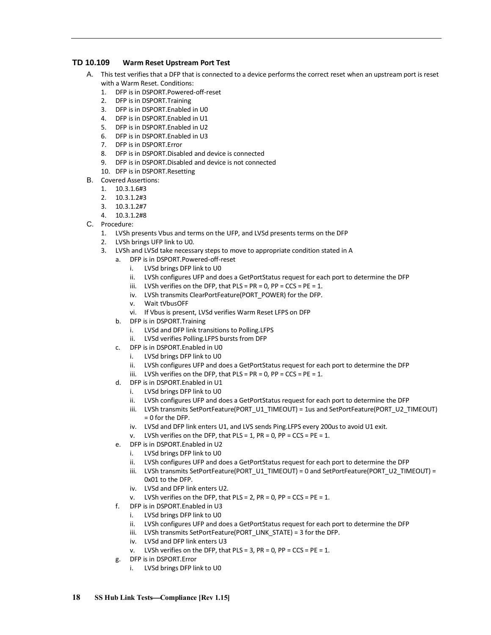## <span id="page-21-0"></span>**TD 10.109 Warm Reset Upstream Port Test**

- A. This test verifies that a DFP that is connected to a device performs the correct reset when an upstream port is reset with a Warm Reset. Conditions:
	- 1. DFP is in DSPORT.Powered-off-reset
	- 2. DFP is in DSPORT.Training
	- 3. DFP is in DSPORT.Enabled in U0
	- 4. DFP is in DSPORT.Enabled in U1
	- 5. DFP is in DSPORT.Enabled in U2
	- 6. DFP is in DSPORT.Enabled in U3
	- 7. DFP is in DSPORT.Error
	- 8. DFP is in DSPORT.Disabled and device is connected
	- 9. DFP is in DSPORT.Disabled and device is not connected
	- 10. DFP is in DSPORT.Resetting
- B. Covered Assertions:
	- 1. 10.3.1.6#3
	- 2. 10.3.1.2#3
	- 3. 10.3.1.2#7
	- 4. 10.3.1.2#8
- C. Procedure:
	- 1. LVSh presents Vbus and terms on the UFP, and LVSd presents terms on the DFP
	- 2. LVSh brings UFP link to U0.
	- 3. LVSh and LVSd take necessary steps to move to appropriate condition stated in A
		- a. DFP is in DSPORT.Powered-off-reset
			- i. LVSd brings DFP link to U0
			- ii. LVSh configures UFP and does a GetPortStatus request for each port to determine the DFP
			- iii. LVSh verifies on the DFP, that  $PLS = PR = 0$ ,  $PP = CCS = PE = 1$ .
			- iv. LVSh transmits ClearPortFeature(PORT\_POWER) for the DFP.
			- v. Wait tVbusOFF
			- vi. If Vbus is present, LVSd verifies Warm Reset LFPS on DFP
			- b. DFP is in DSPORT.Training
				- i. LVSd and DFP link transitions to Polling.LFPS
				- ii. LVSd verifies Polling.LFPS bursts from DFP
			- c. DFP is in DSPORT.Enabled in U0
				- i. LVSd brings DFP link to U0
				- ii. LVSh configures UFP and does a GetPortStatus request for each port to determine the DFP
				- iii. LVSh verifies on the DFP, that  $PLS = PR = 0$ ,  $PP = CCS = PE = 1$ .
			- d. DFP is in DSPORT.Enabled in U1
				- i. LVSd brings DFP link to U0
					- ii. LVSh configures UFP and does a GetPortStatus request for each port to determine the DFP
					- iii. LVSh transmits SetPortFeature(PORT\_U1\_TIMEOUT) = 1us and SetPortFeature(PORT\_U2\_TIMEOUT) = 0 for the DFP.
					- iv. LVSd and DFP link enters U1, and LVS sends Ping.LFPS every 200us to avoid U1 exit.
					- v. LVSh verifies on the DFP, that  $PLS = 1$ ,  $PR = 0$ ,  $PP = CCS = PE = 1$ .
			- e. DFP is in DSPORT.Enabled in U2
				- i. LVSd brings DFP link to U0
				- ii. LVSh configures UFP and does a GetPortStatus request for each port to determine the DFP
				- iii. LVSh transmits SetPortFeature(PORT\_U1\_TIMEOUT) = 0 and SetPortFeature(PORT\_U2\_TIMEOUT) = 0x01 to the DFP.
				- iv. LVSd and DFP link enters U2.
				- v. LVSh verifies on the DFP, that  $PLS = 2$ ,  $PR = 0$ ,  $PP = CCS = PE = 1$ .
			- f. DFP is in DSPORT.Enabled in U3
				- i. LVSd brings DFP link to U0
				- ii. LVSh configures UFP and does a GetPortStatus request for each port to determine the DFP
				- iii. LVSh transmits SetPortFeature(PORT\_LINK\_STATE) = 3 for the DFP.
				- iv. LVSd and DFP link enters U3
				- LVSh verifies on the DFP, that PLS = 3, PR = 0, PP =  $CCS$  = PE = 1.
			- g. DFP is in DSPORT.Error
				- i. LVSd brings DFP link to U0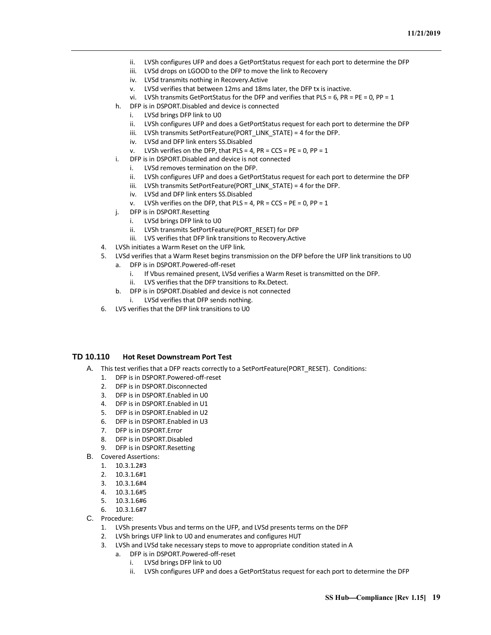- ii. LVSh configures UFP and does a GetPortStatus request for each port to determine the DFP
- iii. LVSd drops on LGOOD to the DFP to move the link to Recovery
- iv. LVSd transmits nothing in Recovery.Active
- v. LVSd verifies that between 12ms and 18ms later, the DFP tx is inactive.
- vi. LVSh transmits GetPortStatus for the DFP and verifies that PLS = 6, PR = PE = 0, PP = 1
- h. DFP is in DSPORT.Disabled and device is connected
	- i. LVSd brings DFP link to U0
	- ii. LVSh configures UFP and does a GetPortStatus request for each port to determine the DFP
	- iii. LVSh transmits SetPortFeature(PORT\_LINK\_STATE) = 4 for the DFP.
	- iv. LVSd and DFP link enters SS.Disabled
	- v. LVSh verifies on the DFP, that  $PLS = 4$ ,  $PR = CCS = PE = 0$ ,  $PP = 1$
- i. DFP is in DSPORT.Disabled and device is not connected
	- i. LVSd removes termination on the DFP.
	- ii. LVSh configures UFP and does a GetPortStatus request for each port to determine the DFP
	- iii. LVSh transmits SetPortFeature(PORT\_LINK\_STATE) = 4 for the DFP.
	- iv. LVSd and DFP link enters SS.Disabled
	- v. LVSh verifies on the DFP, that  $PLS = 4$ ,  $PR = CCS = PE = 0$ ,  $PP = 1$
- j. DFP is in DSPORT.Resetting
	- i. LVSd brings DFP link to U0
	- ii. LVSh transmits SetPortFeature(PORT\_RESET) for DFP
	- iii. LVS verifies that DFP link transitions to Recovery.Active
- 4. LVSh initiates a Warm Reset on the UFP link.
- 5. LVSd verifies that a Warm Reset begins transmission on the DFP before the UFP link transitions to U0
	- a. DFP is in DSPORT.Powered-off-reset
		- i. If Vbus remained present, LVSd verifies a Warm Reset is transmitted on the DFP.
		- ii. LVS verifies that the DFP transitions to Rx.Detect.
	- b. DFP is in DSPORT.Disabled and device is not connected
	- i. LVSd verifies that DFP sends nothing.
- 6. LVS verifies that the DFP link transitions to U0

## <span id="page-22-0"></span>**TD 10.110 Hot Reset Downstream Port Test**

- A. This test verifies that a DFP reacts correctly to a SetPortFeature(PORT\_RESET). Conditions:
	- 1. DFP is in DSPORT.Powered-off-reset
	- 2. DFP is in DSPORT.Disconnected
	- 3. DFP is in DSPORT.Enabled in U0
	- 4. DFP is in DSPORT.Enabled in U1
	- 5. DFP is in DSPORT.Enabled in U2
	- 6. DFP is in DSPORT.Enabled in U3
	- 7. DFP is in DSPORT.Error
	- 8. DFP is in DSPORT.Disabled
	- 9. DFP is in DSPORT.Resetting
- B. Covered Assertions:
	- 1. 10.3.1.2#3
	- 2. 10.3.1.6#1
	- 3. 10.3.1.6#4
	- 4. 10.3.1.6#5
	- 5. 10.3.1.6#6
	- 6. 10.3.1.6#7
- C. Procedure:
	- 1. LVSh presents Vbus and terms on the UFP, and LVSd presents terms on the DFP
	- 2. LVSh brings UFP link to U0 and enumerates and configures HUT
	- 3. LVSh and LVSd take necessary steps to move to appropriate condition stated in A
		- a. DFP is in DSPORT.Powered-off-reset
			- i. LVSd brings DFP link to U0
			- ii. LVSh configures UFP and does a GetPortStatus request for each port to determine the DFP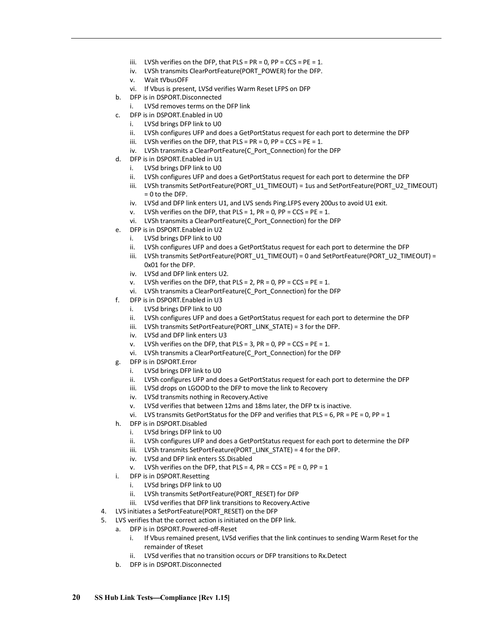- iii. LVSh verifies on the DFP, that  $PLS = PR = 0$ ,  $PP = CCS = PE = 1$ .
- iv. LVSh transmits ClearPortFeature(PORT\_POWER) for the DFP.
- v. Wait tVbusOFF
- vi. If Vbus is present, LVSd verifies Warm Reset LFPS on DFP
- b. DFP is in DSPORT.Disconnected
	- i. LVSd removes terms on the DFP link
- c. DFP is in DSPORT.Enabled in U0
	- i. LVSd brings DFP link to U0
	- ii. LVSh configures UFP and does a GetPortStatus request for each port to determine the DFP
	- iii. LVSh verifies on the DFP, that  $PLS = PR = 0$ ,  $PP = CCS = PE = 1$ .
	- iv. LVSh transmits a ClearPortFeature(C\_Port\_Connection) for the DFP
- d. DFP is in DSPORT.Enabled in U1
	- i. LVSd brings DFP link to U0
	- ii. LVSh configures UFP and does a GetPortStatus request for each port to determine the DFP
	- iii. LVSh transmits SetPortFeature(PORT\_U1\_TIMEOUT) = 1us and SetPortFeature(PORT\_U2\_TIMEOUT) = 0 to the DFP.
	- iv. LVSd and DFP link enters U1, and LVS sends Ping.LFPS every 200us to avoid U1 exit.
	- v. LVSh verifies on the DFP, that  $PLS = 1$ ,  $PR = 0$ ,  $PP = CCS = PE = 1$ .
	- vi. LVSh transmits a ClearPortFeature(C\_Port\_Connection) for the DFP
- e. DFP is in DSPORT.Enabled in U2
	- i. LVSd brings DFP link to U0
	- ii. LVSh configures UFP and does a GetPortStatus request for each port to determine the DFP
	- iii. LVSh transmits SetPortFeature(PORT\_U1\_TIMEOUT) = 0 and SetPortFeature(PORT\_U2\_TIMEOUT) = 0x01 for the DFP.
	- iv. LVSd and DFP link enters U2.
	- v. LVSh verifies on the DFP, that  $PLS = 2$ ,  $PR = 0$ ,  $PP = CCS = PE = 1$ .
	- vi. LVSh transmits a ClearPortFeature(C\_Port\_Connection) for the DFP
- f. DFP is in DSPORT.Enabled in U3
	- i. LVSd brings DFP link to U0
	- ii. LVSh configures UFP and does a GetPortStatus request for each port to determine the DFP
	- iii. LVSh transmits SetPortFeature(PORT\_LINK\_STATE) = 3 for the DFP.
	- iv. LVSd and DFP link enters U3
	- v. LVSh verifies on the DFP, that  $PLS = 3$ ,  $PR = 0$ ,  $PP = CCS = PE = 1$ .
	- vi. LVSh transmits a ClearPortFeature(C\_Port\_Connection) for the DFP
- g. DFP is in DSPORT.Error
	- i. LVSd brings DFP link to U0
	- ii. LVSh configures UFP and does a GetPortStatus request for each port to determine the DFP
	- iii. LVSd drops on LGOOD to the DFP to move the link to Recovery
	- iv. LVSd transmits nothing in Recovery.Active
	- v. LVSd verifies that between 12ms and 18ms later, the DFP tx is inactive.
	- vi. LVS transmits GetPortStatus for the DFP and verifies that PLS =  $6$ , PR = PE = 0, PP = 1
- h. DFP is in DSPORT.Disabled
	- i. LVSd brings DFP link to U0
	- ii. LVSh configures UFP and does a GetPortStatus request for each port to determine the DFP
	- iii. LVSh transmits SetPortFeature(PORT\_LINK\_STATE) = 4 for the DFP.
	- iv. LVSd and DFP link enters SS.Disabled
	- v. LVSh verifies on the DFP, that PLS = 4, PR =  $CCS = PE = 0$ , PP = 1
- i. DFP is in DSPORT.Resetting
	- i. LVSd brings DFP link to U0
	- ii. LVSh transmits SetPortFeature(PORT\_RESET) for DFP
	- iii. LVSd verifies that DFP link transitions to Recovery.Active
- 4. LVS initiates a SetPortFeature(PORT\_RESET) on the DFP
- 5. LVS verifies that the correct action is initiated on the DFP link.
	- a. DFP is in DSPORT.Powered-off-Reset
		- i. If Vbus remained present, LVSd verifies that the link continues to sending Warm Reset for the remainder of tReset
		- ii. LVSd verifies that no transition occurs or DFP transitions to Rx.Detect
	- b. DFP is in DSPORT.Disconnected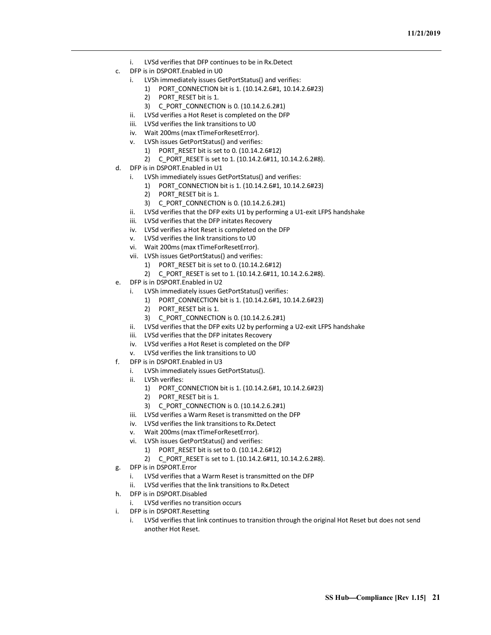- i. LVSd verifies that DFP continues to be in Rx.Detect
- c. DFP is in DSPORT.Enabled in U0
	- i. LVSh immediately issues GetPortStatus() and verifies:
		- 1) PORT\_CONNECTION bit is 1. (10.14.2.6#1, 10.14.2.6#23)
		- 2) PORT RESET bit is 1.
		- 3) C\_PORT\_CONNECTION is 0. (10.14.2.6.2#1)
	- ii. LVSd verifies a Hot Reset is completed on the DFP
	- iii. LVSd verifies the link transitions to U0
	- iv. Wait 200ms (max tTimeForResetError).
	- v. LVSh issues GetPortStatus() and verifies:
		- 1) PORT\_RESET bit is set to 0. (10.14.2.6#12)
		- 2) C\_PORT\_RESET is set to 1. (10.14.2.6#11, 10.14.2.6.2#8).
- d. DFP is in DSPORT.Enabled in U1
	- i. LVSh immediately issues GetPortStatus() and verifies:
		- 1) PORT\_CONNECTION bit is 1. (10.14.2.6#1, 10.14.2.6#23)
		- 2) PORT\_RESET bit is 1.
		- 3) C\_PORT\_CONNECTION is 0. (10.14.2.6.2#1)
	- ii. LVSd verifies that the DFP exits U1 by performing a U1-exit LFPS handshake
	- iii. LVSd verifies that the DFP initates Recovery
	- iv. LVSd verifies a Hot Reset is completed on the DFP
	- v. LVSd verifies the link transitions to U0
	- vi. Wait 200ms (max tTimeForResetError).
	- vii. LVSh issues GetPortStatus() and verifies:
		- 1) PORT\_RESET bit is set to 0. (10.14.2.6#12)
		- 2) C\_PORT\_RESET is set to 1. (10.14.2.6#11, 10.14.2.6.2#8).
- e. DFP is in DSPORT.Enabled in U2
	- i. LVSh immediately issues GetPortStatus() verifies:
		- 1) PORT\_CONNECTION bit is 1. (10.14.2.6#1, 10.14.2.6#23)
		- 2) PORT RESET bit is 1.
		- 3) C\_PORT\_CONNECTION is 0. (10.14.2.6.2#1)
	- ii. LVSd verifies that the DFP exits U2 by performing a U2-exit LFPS handshake
	- iii. LVSd verifies that the DFP initates Recovery
	- iv. LVSd verifies a Hot Reset is completed on the DFP
	- v. LVSd verifies the link transitions to U0
- f. DFP is in DSPORT.Enabled in U3
	- i. LVSh immediately issues GetPortStatus().
	- ii. LVSh verifies:
		- 1) PORT\_CONNECTION bit is 1. (10.14.2.6#1, 10.14.2.6#23)
		- 2) PORT\_RESET bit is 1.
		- 3) C\_PORT\_CONNECTION is 0. (10.14.2.6.2#1)
	- iii. LVSd verifies a Warm Reset is transmitted on the DFP
	- iv. LVSd verifies the link transitions to Rx.Detect
	- v. Wait 200ms (max tTimeForResetError).
	- vi. LVSh issues GetPortStatus() and verifies:
		- 1) PORT\_RESET bit is set to 0. (10.14.2.6#12)
		- 2) C\_PORT\_RESET is set to 1. (10.14.2.6#11, 10.14.2.6.2#8).
- g. DFP is in DSPORT.Error
	- i. LVSd verifies that a Warm Reset is transmitted on the DFP
	- ii. LVSd verifies that the link transitions to Rx.Detect
- h. DFP is in DSPORT.Disabled
	- i. LVSd verifies no transition occurs
- i. DFP is in DSPORT.Resetting
	- i. LVSd verifies that link continues to transition through the original Hot Reset but does not send another Hot Reset.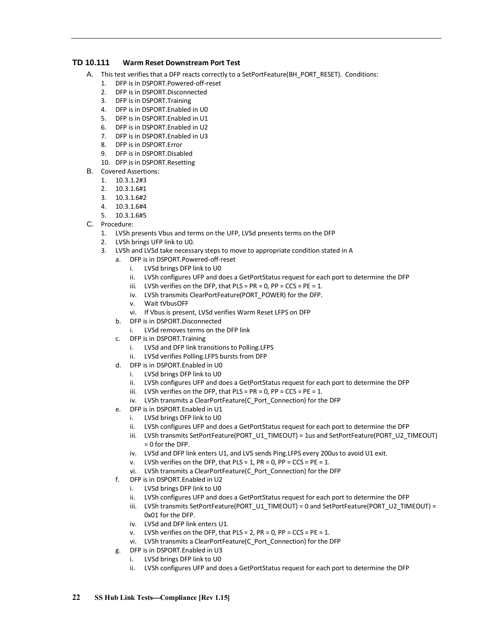## <span id="page-25-0"></span>**TD 10.111 Warm Reset Downstream Port Test**

- A. This test verifies that a DFP reacts correctly to a SetPortFeature(BH\_PORT\_RESET). Conditions:
	- 1. DFP is in DSPORT.Powered-off-reset
	- 2. DEP is in DSPORT Disconnected
	- 3. DFP is in DSPORT.Training
	- 4. DFP is in DSPORT.Enabled in U0
	- 5. DFP is in DSPORT.Enabled in U1
	- 6. DFP is in DSPORT.Enabled in U2
	- 7. DFP is in DSPORT.Enabled in U3
	- 8. DFP is in DSPORT.Error
	- 9. DFP is in DSPORT.Disabled
	- 10. DFP is in DSPORT.Resetting
- B. Covered Assertions:
	- 1. 10.3.1.2#3
	- 2. 10.3.1.6#1
	- 3. 10.3.1.6#2
	- 4. 10.3.1.6#4
	- 5. 10.3.1.6#5
- C. Procedure:
	- 1. LVSh presents Vbus and terms on the UFP, LVSd presents terms on the DFP
	- 2. LVSh brings UFP link to U0.
	- 3. LVSh and LVSd take necessary steps to move to appropriate condition stated in A
		- a. DFP is in DSPORT.Powered-off-reset
			- i. LVSd brings DFP link to U0
			- ii. LVSh configures UFP and does a GetPortStatus request for each port to determine the DFP
			- iii. LVSh verifies on the DFP, that  $PLS = PR = 0$ ,  $PP = CCS = PE = 1$ .
			- iv. LVSh transmits ClearPortFeature(PORT\_POWER) for the DFP.
			- v. Wait tVbusOFF
			- vi. If Vbus is present, LVSd verifies Warm Reset LFPS on DFP
			- b. DFP is in DSPORT.Disconnected
				- LVSd removes terms on the DFP link
			- c. DFP is in DSPORT.Training
				- i. LVSd and DFP link transitions to Polling.LFPS
				- ii. LVSd verifies Polling.LFPS bursts from DFP
			- d. DFP is in DSPORT.Enabled in U0
				- i. LVSd brings DFP link to U0
				- ii. LVSh configures UFP and does a GetPortStatus request for each port to determine the DFP
				- iii. LVSh verifies on the DFP, that  $PLS = PR = 0$ ,  $PP = CCS = PE = 1$ .
				- iv. LVSh transmits a ClearPortFeature(C\_Port\_Connection) for the DFP
			- e. DFP is in DSPORT.Enabled in U1
				- i. LVSd brings DFP link to U0
					- ii. LVSh configures UFP and does a GetPortStatus request for each port to determine the DFP
					- iii. LVSh transmits SetPortFeature(PORT\_U1\_TIMEOUT) = 1us and SetPortFeature(PORT\_U2\_TIMEOUT) = 0 for the DFP.
					- iv. LVSd and DFP link enters U1, and LVS sends Ping.LFPS every 200us to avoid U1 exit.
					- v. LVSh verifies on the DFP, that  $PLS = 1$ ,  $PR = 0$ ,  $PP = CCS = PE = 1$ .
					- vi. LVSh transmits a ClearPortFeature(C\_Port\_Connection) for the DFP
		- f. DFP is in DSPORT.Enabled in U2
			- i. LVSd brings DFP link to U0
			- ii. LVSh configures UFP and does a GetPortStatus request for each port to determine the DFP
			- iii. LVSh transmits SetPortFeature(PORT\_U1\_TIMEOUT) = 0 and SetPortFeature(PORT\_U2\_TIMEOUT) = 0x01 for the DFP.
			- iv. LVSd and DFP link enters U1.
			- v. LVSh verifies on the DFP, that  $PLS = 2$ ,  $PR = 0$ ,  $PP = CCS = PE = 1$ .
			- vi. LVSh transmits a ClearPortFeature(C\_Port\_Connection) for the DFP
		- g. DFP is in DSPORT.Enabled in U3
			- i. LVSd brings DFP link to U0
			- ii. LVSh configures UFP and does a GetPortStatus request for each port to determine the DFP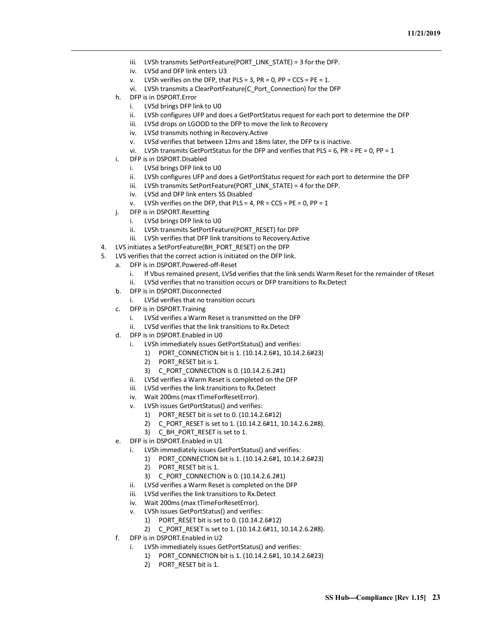- iii. LVSh transmits SetPortFeature(PORT\_LINK\_STATE) = 3 for the DFP.
- iv. LVSd and DFP link enters U3
- v. LVSh verifies on the DFP, that PLS = 3, PR = 0, PP =  $CCS = PE = 1$ .
- vi. LVSh transmits a ClearPortFeature(C\_Port\_Connection) for the DFP
- h. DFP is in DSPORT.Error
	- i. LVSd brings DFP link to U0
	- ii. LVSh configures UFP and does a GetPortStatus request for each port to determine the DFP
	- iii. LVSd drops on LGOOD to the DFP to move the link to Recovery
	- iv. LVSd transmits nothing in Recovery.Active
	- v. LVSd verifies that between 12ms and 18ms later, the DFP tx is inactive.
	- vi. LVSh transmits GetPortStatus for the DFP and verifies that PLS = 6, PR = PE = 0, PP = 1
- i. DFP is in DSPORT.Disabled
	- i. LVSd brings DFP link to U0
	- ii. LVSh configures UFP and does a GetPortStatus request for each port to determine the DFP
	- iii. LVSh transmits SetPortFeature(PORT\_LINK\_STATE) = 4 for the DFP.
	- iv. LVSd and DFP link enters SS.Disabled
	- v. LVSh verifies on the DFP, that  $PLS = 4$ ,  $PR = CCS = PE = 0$ ,  $PP = 1$
- j. DFP is in DSPORT.Resetting
	- i. LVSd brings DFP link to U0
	- ii. LVSh transmits SetPortFeature(PORT\_RESET) for DFP
- iii. LVSh verifies that DFP link transitions to Recovery.Active
- 4. LVS initiates a SetPortFeature(BH\_PORT\_RESET) on the DFP
- 5. LVS verifies that the correct action is initiated on the DFP link.
	- a. DFP is in DSPORT.Powered-off-Reset
		- i. If Vbus remained present, LVSd verifies that the link sends Warm Reset for the remainder of tReset ii. LVSd verifies that no transition occurs or DFP transitions to Rx.Detect
	- b. DFP is in DSPORT.Disconnected
		- i. LVSd verifies that no transition occurs
	- c. DFP is in DSPORT.Training
		- i. LVSd verifies a Warm Reset is transmitted on the DFP
		- ii. LVSd verifies that the link transitions to Rx.Detect
	- d. DFP is in DSPORT.Enabled in U0
		- i. LVSh immediately issues GetPortStatus() and verifies:
			- 1) PORT\_CONNECTION bit is 1. (10.14.2.6#1, 10.14.2.6#23)
			- 2) PORT RESET bit is 1.
			- 3) C\_PORT\_CONNECTION is 0. (10.14.2.6.2#1)
		- ii. LVSd verifies a Warm Reset is completed on the DFP
		- iii. LVSd verifies the link transitions to Rx.Detect
		- iv. Wait 200ms (max tTimeForResetError).
		- LVSh issues GetPortStatus() and verifies:
			- 1) PORT\_RESET bit is set to 0. (10.14.2.6#12)
			- 2) C\_PORT\_RESET is set to 1. (10.14.2.6#11, 10.14.2.6.2#8).
			- 3) C\_BH\_PORT\_RESET is set to 1.
	- e. DFP is in DSPORT.Enabled in U1
		- i. LVSh immediately issues GetPortStatus() and verifies:
			- 1) PORT\_CONNECTION bit is 1. (10.14.2.6#1, 10.14.2.6#23)
			- 2) PORT RESET bit is 1.
			- 3) C\_PORT\_CONNECTION is 0. (10.14.2.6.2#1)
		- ii. LVSd verifies a Warm Reset is completed on the DFP
		- iii. LVSd verifies the link transitions to Rx.Detect
		- iv. Wait 200ms (max tTimeForResetError).
		- LVSh issues GetPortStatus() and verifies:
			- 1) PORT\_RESET bit is set to 0. (10.14.2.6#12)
			- 2) C\_PORT\_RESET is set to 1. (10.14.2.6#11, 10.14.2.6.2#8).
	- f. DFP is in DSPORT.Enabled in U2
		- LVSh immediately issues GetPortStatus() and verifies:
			- 1) PORT\_CONNECTION bit is 1. (10.14.2.6#1, 10.14.2.6#23)
			- 2) PORT\_RESET bit is 1.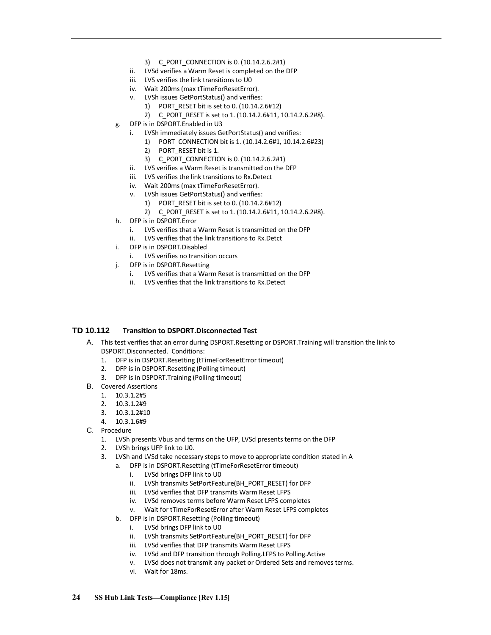- 3) C\_PORT\_CONNECTION is 0. (10.14.2.6.2#1)
- ii. LVSd verifies a Warm Reset is completed on the DFP
- iii. LVS verifies the link transitions to U0
- iv. Wait 200ms (max tTimeForResetError).
- v. LVSh issues GetPortStatus() and verifies:
	- 1) PORT\_RESET bit is set to 0. (10.14.2.6#12)
	- 2) C\_PORT\_RESET is set to 1. (10.14.2.6#11, 10.14.2.6.2#8).
- g. DFP is in DSPORT.Enabled in U3
	- i. LVSh immediately issues GetPortStatus() and verifies:
		- 1) PORT\_CONNECTION bit is 1. (10.14.2.6#1, 10.14.2.6#23)
		- 2) PORT RESET bit is 1.
		- 3) C\_PORT\_CONNECTION is 0. (10.14.2.6.2#1)
	- ii. LVS verifies a Warm Reset is transmitted on the DFP
	- iii. LVS verifies the link transitions to Rx.Detect
	- iv. Wait 200ms (max tTimeForResetError).
	- v. LVSh issues GetPortStatus() and verifies:
		- 1) PORT\_RESET bit is set to 0. (10.14.2.6#12)
		- 2) C\_PORT\_RESET is set to 1. (10.14.2.6#11, 10.14.2.6.2#8).
- h. DFP is in DSPORT.Error
	- i. LVS verifies that a Warm Reset is transmitted on the DFP
	- ii. LVS verifies that the link transitions to Rx.Detct
- i. DFP is in DSPORT.Disabled
	- i. LVS verifies no transition occurs
- j. DFP is in DSPORT.Resetting
	- i. LVS verifies that a Warm Reset is transmitted on the DFP
	- ii. LVS verifies that the link transitions to Rx.Detect

## <span id="page-27-0"></span>**TD 10.112 Transition to DSPORT.Disconnected Test**

- A. This test verifies that an error during DSPORT.Resetting or DSPORT.Training will transition the link to DSPORT.Disconnected. Conditions:
	- 1. DFP is in DSPORT.Resetting (tTimeForResetError timeout)
	- 2. DFP is in DSPORT.Resetting (Polling timeout)
	- 3. DFP is in DSPORT.Training (Polling timeout)
- B. Covered Assertions
	- 1. 10.3.1.2#5
	- 2. 10.3.1.2#9
	- 3. 10.3.1.2#10
	- 4. 10.3.1.6#9
- C. Procedure
	- 1. LVSh presents Vbus and terms on the UFP, LVSd presents terms on the DFP
	- 2. LVSh brings UFP link to U0.
	- 3. LVSh and LVSd take necessary steps to move to appropriate condition stated in A
		- a. DFP is in DSPORT.Resetting (tTimeForResetError timeout)
			- i. LVSd brings DFP link to U0
			- ii. LVSh transmits SetPortFeature(BH\_PORT\_RESET) for DFP
			- iii. LVSd verifies that DFP transmits Warm Reset LFPS
			- iv. LVSd removes terms before Warm Reset LFPS completes
			- v. Wait for tTimeForResetError after Warm Reset LFPS completes
		- b. DFP is in DSPORT.Resetting (Polling timeout)
			- i. LVSd brings DFP link to U0
			- ii. LVSh transmits SetPortFeature(BH\_PORT\_RESET) for DFP
			- iii. LVSd verifies that DFP transmits Warm Reset LFPS
			- iv. LVSd and DFP transition through Polling.LFPS to Polling.Active
			- v. LVSd does not transmit any packet or Ordered Sets and removes terms.
			- vi. Wait for 18ms.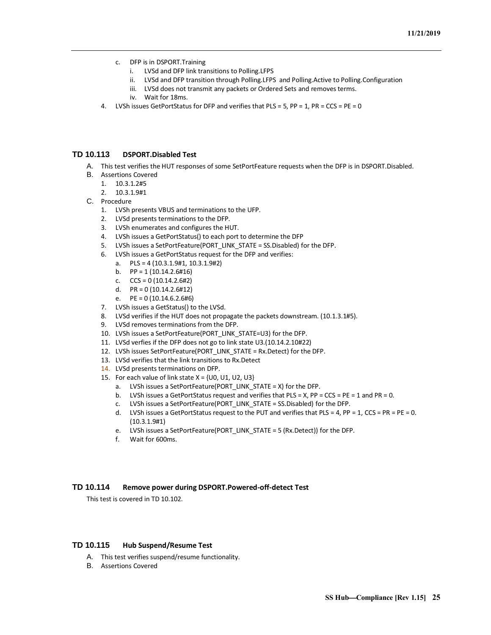- c. DFP is in DSPORT.Training
	- i. LVSd and DFP link transitions to Polling.LFPS
	- ii. LVSd and DFP transition through Polling.LFPS and Polling.Active to Polling.Configuration
	- iii. LVSd does not transmit any packets or Ordered Sets and removes terms.
	- iv. Wait for 18ms.
- 4. LVSh issues GetPortStatus for DFP and verifies that PLS = 5, PP = 1, PR = CCS = PE = 0

## <span id="page-28-0"></span>**TD 10.113 DSPORT.Disabled Test**

- A. This test verifies the HUT responses of some SetPortFeature requests when the DFP is in DSPORT.Disabled.
- B. Assertions Covered
	- 1. 10.3.1.2#5
	- 2. 10.3.1.9#1
- C. Procedure
	- 1. LVSh presents VBUS and terminations to the UFP.
	- 2. LVSd presents terminations to the DFP.
	- 3. LVSh enumerates and configures the HUT.
	- 4. LVSh issues a GetPortStatus() to each port to determine the DFP
	- 5. LVSh issues a SetPortFeature(PORT\_LINK\_STATE = SS.Disabled) for the DFP.
	- 6. LVSh issues a GetPortStatus request for the DFP and verifies:
		- a. PLS = 4 (10.3.1.9#1, 10.3.1.9#2)
		- b.  $PP = 1 (10.14.2.6#16)$
		- c.  $CCS = 0 (10.14.2.6#2)$
		- d.  $PR = 0 (10.14.2.6 \# 12)$
		- e.  $PE = 0 (10.14.6.2.6#6)$
	- 7. LVSh issues a GetStatus() to the LVSd.
	- 8. LVSd verifies if the HUT does not propagate the packets downstream. (10.1.3.1#5).
	- 9. LVSd removes terminations from the DFP.
	- 10. LVSh issues a SetPortFeature(PORT\_LINK\_STATE=U3) for the DFP.
	- 11. LVSd verfies if the DFP does not go to link state U3.(10.14.2.10#22)
	- 12. LVSh issues SetPortFeature(PORT\_LINK\_STATE = Rx.Detect) for the DFP.
	- 13. LVSd verifies that the link transitions to Rx.Detect
	- 14. LVSd presents terminations on DFP.
	- 15. For each value of link state  $X = \{U0, U1, U2, U3\}$ 
		- a. LVSh issues a SetPortFeature(PORT\_LINK\_STATE = X) for the DFP.
		- b. LVSh issues a GetPortStatus request and verifies that PLS = X, PP = CCS = PE = 1 and PR = 0.
		- c. LVSh issues a SetPortFeature(PORT\_LINK\_STATE = SS.Disabled) for the DFP.
		- d. LVSh issues a GetPortStatus request to the PUT and verifies that PLS = 4, PP = 1, CCS = PR = PE = 0. (10.3.1.9#1)
		- e. LVSh issues a SetPortFeature(PORT\_LINK\_STATE = 5 (Rx.Detect)) for the DFP.
		- f. Wait for 600ms.

## <span id="page-28-1"></span>**TD 10.114 Remove power during DSPORT.Powered-off-detect Test**

This test is covered in TD 10.102.

## <span id="page-28-2"></span>**TD 10.115 Hub Suspend/Resume Test**

- A. This test verifies suspend/resume functionality.
- B. Assertions Covered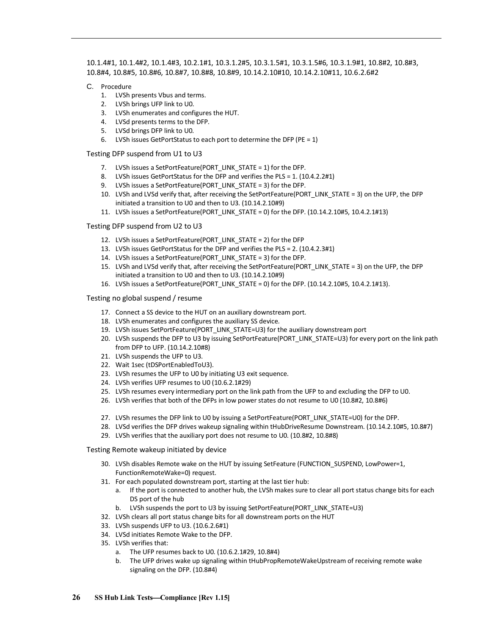10.1.4#1, 10.1.4#2, 10.1.4#3, 10.2.1#1, 10.3.1.2#5, 10.3.1.5#1, 10.3.1.5#6, 10.3.1.9#1, 10.8#2, 10.8#3, 10.8#4, 10.8#5, 10.8#6, 10.8#7, 10.8#8, 10.8#9, 10.14.2.10#10, 10.14.2.10#11, 10.6.2.6#2

- C. Procedure
	- 1. LVSh presents Vbus and terms.
	- 2. LVSh brings UFP link to U0.
	- 3. LVSh enumerates and configures the HUT.
	- 4. LVSd presents terms to the DFP.
	- 5. LVSd brings DFP link to U0.
	- 6. LVSh issues GetPortStatus to each port to determine the DFP (PE = 1)
- Testing DFP suspend from U1 to U3
	- 7. LVSh issues a SetPortFeature(PORT\_LINK\_STATE = 1) for the DFP.
	- 8. LVSh issues GetPortStatus for the DFP and verifies the PLS = 1. (10.4.2.2#1)
	- 9. LVSh issues a SetPortFeature(PORT\_LINK\_STATE = 3) for the DFP.
	- 10. LVSh and LVSd verify that, after receiving the SetPortFeature(PORT\_LINK\_STATE = 3) on the UFP, the DFP initiated a transition to U0 and then to U3. (10.14.2.10#9)
	- 11. LVSh issues a SetPortFeature(PORT\_LINK\_STATE = 0) for the DFP. (10.14.2.10#5, 10.4.2.1#13)

Testing DFP suspend from U2 to U3

- 12. LVSh issues a SetPortFeature(PORT\_LINK\_STATE = 2) for the DFP
- 13. LVSh issues GetPortStatus for the DFP and verifies the PLS = 2. (10.4.2.3#1)
- 14. LVSh issues a SetPortFeature(PORT\_LINK\_STATE = 3) for the DFP.
- 15. LVSh and LVSd verify that, after receiving the SetPortFeature(PORT\_LINK\_STATE = 3) on the UFP, the DFP initiated a transition to U0 and then to U3. (10.14.2.10#9)
- 16. LVSh issues a SetPortFeature(PORT\_LINK\_STATE = 0) for the DFP. (10.14.2.10#5, 10.4.2.1#13).

#### Testing no global suspend / resume

- 17. Connect a SS device to the HUT on an auxiliary downstream port.
- 18. LVSh enumerates and configures the auxiliary SS device.
- 19. LVSh issues SetPortFeature(PORT\_LINK\_STATE=U3) for the auxiliary downstream port
- 20. LVSh suspends the DFP to U3 by issuing SetPortFeature(PORT\_LINK\_STATE=U3) for every port on the link path from DFP to UFP. (10.14.2.10#8)
- 21. LVSh suspends the UFP to U3.
- 22. Wait 1sec (tDSPortEnabledToU3).
- 23. LVSh resumes the UFP to U0 by initiating U3 exit sequence.
- 24. LVSh verifies UFP resumes to U0 (10.6.2.1#29)
- 25. LVSh resumes every intermediary port on the link path from the UFP to and excluding the DFP to U0.
- 26. LVSh verifies that both of the DFPs in low power states do not resume to U0 (10.8#2, 10.8#6)
- 27. LVSh resumes the DFP link to U0 by issuing a SetPortFeature(PORT\_LINK\_STATE=U0) for the DFP.
- 28. LVSd verifies the DFP drives wakeup signaling within tHubDriveResume Downstream. (10.14.2.10#5, 10.8#7)
- 29. LVSh verifies that the auxiliary port does not resume to U0. (10.8#2, 10.8#8)

Testing Remote wakeup initiated by device

- 30. LVSh disables Remote wake on the HUT by issuing SetFeature (FUNCTION SUSPEND, LowPower=1, FunctionRemoteWake=0) request.
- 31. For each populated downstream port, starting at the last tier hub:
	- a. If the port is connected to another hub, the LVSh makes sure to clear all port status change bits for each DS port of the hub
	- b. LVSh suspends the port to U3 by issuing SetPortFeature(PORT\_LINK\_STATE=U3)
- 32. LVSh clears all port status change bits for all downstream ports on the HUT
- 33. LVSh suspends UFP to U3. (10.6.2.6#1)
- 34. LVSd initiates Remote Wake to the DFP.
- 35. LVSh verifies that:
	- a. The UFP resumes back to U0. (10.6.2.1#29, 10.8#4)
	- b. The UFP drives wake up signaling within tHubPropRemoteWakeUpstream of receiving remote wake signaling on the DFP. (10.8#4)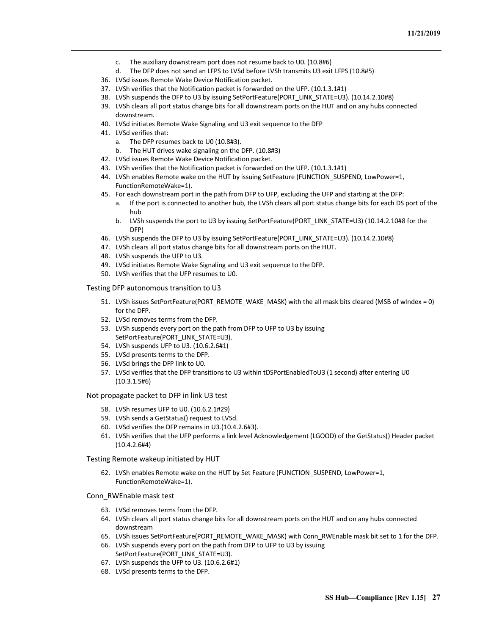- c. The auxiliary downstream port does not resume back to U0. (10.8#6)
- d. The DFP does not send an LFPS to LVSd before LVSh transmits U3 exit LFPS (10.8#5)
- 36. LVSd issues Remote Wake Device Notification packet.
- 37. LVSh verifies that the Notification packet is forwarded on the UFP. (10.1.3.1#1)
- 38. LVSh suspends the DFP to U3 by issuing SetPortFeature(PORT\_LINK\_STATE=U3). (10.14.2.10#8)
- 39. LVSh clears all port status change bits for all downstream ports on the HUT and on any hubs connected downstream.
- 40. LVSd initiates Remote Wake Signaling and U3 exit sequence to the DFP
- 41. LVSd verifies that:
	- a. The DFP resumes back to U0 (10.8#3).
	- b. The HUT drives wake signaling on the DFP. (10.8#3)
- 42. LVSd issues Remote Wake Device Notification packet.
- 43. LVSh verifies that the Notification packet is forwarded on the UFP. (10.1.3.1#1)
- 44. LVSh enables Remote wake on the HUT by issuing SetFeature (FUNCTION\_SUSPEND, LowPower=1, FunctionRemoteWake=1).
- 45. For each downstream port in the path from DFP to UFP, excluding the UFP and starting at the DFP:
	- a. If the port is connected to another hub, the LVSh clears all port status change bits for each DS port of the hub
	- b. LVSh suspends the port to U3 by issuing SetPortFeature(PORT\_LINK\_STATE=U3) (10.14.2.10#8 for the DFP)
- 46. LVSh suspends the DFP to U3 by issuing SetPortFeature(PORT\_LINK\_STATE=U3). (10.14.2.10#8)
- 47. LVSh clears all port status change bits for all downstream ports on the HUT.
- 48. LVSh suspends the UFP to U3.
- 49. LVSd initiates Remote Wake Signaling and U3 exit sequence to the DFP.
- 50. LVSh verifies that the UFP resumes to U0.

Testing DFP autonomous transition to U3

- 51. LVSh issues SetPortFeature(PORT\_REMOTE\_WAKE\_MASK) with the all mask bits cleared (MSB of wIndex = 0) for the DFP.
- 52. LVSd removes terms from the DFP.
- 53. LVSh suspends every port on the path from DFP to UFP to U3 by issuing SetPortFeature(PORT\_LINK\_STATE=U3).
- 54. LVSh suspends UFP to U3. (10.6.2.6#1)
- 55. LVSd presents terms to the DFP.
- 56. LVSd brings the DFP link to U0.
- 57. LVSd verifies that the DFP transitions to U3 within tDSPortEnabledToU3 (1 second) after entering U0 (10.3.1.5#6)

Not propagate packet to DFP in link U3 test

- 58. LVSh resumes UFP to U0. (10.6.2.1#29)
- 59. LVSh sends a GetStatus() request to LVSd.
- 60. LVSd verifies the DFP remains in U3.(10.4.2.6#3).
- 61. LVSh verifies that the UFP performs a link level Acknowledgement (LGOOD) of the GetStatus() Header packet (10.4.2.6#4)

Testing Remote wakeup initiated by HUT

62. LVSh enables Remote wake on the HUT by Set Feature (FUNCTION\_SUSPEND, LowPower=1, FunctionRemoteWake=1).

Conn\_RWEnable mask test

- 63. LVSd removes terms from the DFP.
- 64. LVSh clears all port status change bits for all downstream ports on the HUT and on any hubs connected downstream
- 65. LVSh issues SetPortFeature(PORT\_REMOTE\_WAKE\_MASK) with Conn\_RWEnable mask bit set to 1 for the DFP.
- 66. LVSh suspends every port on the path from DFP to UFP to U3 by issuing SetPortFeature(PORT\_LINK\_STATE=U3).
- 67. LVSh suspends the UFP to U3. (10.6.2.6#1)
- 68. LVSd presents terms to the DFP.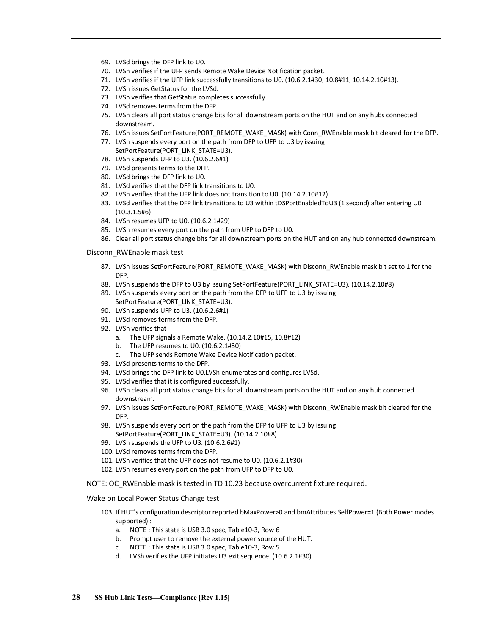- 69. LVSd brings the DFP link to U0.
- 70. LVSh verifies if the UFP sends Remote Wake Device Notification packet.
- 71. LVSh verifies if the UFP link successfully transitions to U0. (10.6.2.1#30, 10.8#11, 10.14.2.10#13).
- 72. LVSh issues GetStatus for the LVSd.
- 73. LVSh verifies that GetStatus completes successfully.
- 74. LVSd removes terms from the DFP.
- 75. LVSh clears all port status change bits for all downstream ports on the HUT and on any hubs connected downstream.
- 76. LVSh issues SetPortFeature(PORT\_REMOTE\_WAKE\_MASK) with Conn\_RWEnable mask bit cleared for the DFP.
- 77. LVSh suspends every port on the path from DFP to UFP to U3 by issuing SetPortFeature(PORT\_LINK\_STATE=U3).
- 78. LVSh suspends UFP to U3. (10.6.2.6#1)
- 79. LVSd presents terms to the DFP.
- 80. LVSd brings the DFP link to U0.
- 81. LVSd verifies that the DFP link transitions to U0.
- 82. LVSh verifies that the UFP link does not transition to U0. (10.14.2.10#12)
- 83. LVSd verifies that the DFP link transitions to U3 within tDSPortEnabledToU3 (1 second) after entering U0 (10.3.1.5#6)
- 84. LVSh resumes UFP to U0. (10.6.2.1#29)
- 85. LVSh resumes every port on the path from UFP to DFP to U0.
- 86. Clear all port status change bits for all downstream ports on the HUT and on any hub connected downstream.

#### Disconn\_RWEnable mask test

- 87. LVSh issues SetPortFeature(PORT\_REMOTE\_WAKE\_MASK) with Disconn\_RWEnable mask bit set to 1 for the DFP.
- 88. LVSh suspends the DFP to U3 by issuing SetPortFeature(PORT\_LINK\_STATE=U3). (10.14.2.10#8)
- 89. LVSh suspends every port on the path from the DFP to UFP to U3 by issuing SetPortFeature(PORT\_LINK\_STATE=U3).
- 90. LVSh suspends UFP to U3. (10.6.2.6#1)
- 91. LVSd removes terms from the DFP.
- 92. LVSh verifies that
	- a. The UFP signals a Remote Wake. (10.14.2.10#15, 10.8#12)
	- b. The UFP resumes to U0. (10.6.2.1#30)
	- c. The UFP sends Remote Wake Device Notification packet.
- 93. LVSd presents terms to the DFP.
- 94. LVSd brings the DFP link to U0.LVSh enumerates and configures LVSd.
- 95. LVSd verifies that it is configured successfully.
- 96. LVSh clears all port status change bits for all downstream ports on the HUT and on any hub connected downstream.
- 97. LVSh issues SetPortFeature(PORT\_REMOTE\_WAKE\_MASK) with Disconn\_RWEnable mask bit cleared for the DFP.
- 98. LVSh suspends every port on the path from the DFP to UFP to U3 by issuing SetPortFeature(PORT\_LINK\_STATE=U3). (10.14.2.10#8)
- 99. LVSh suspends the UFP to U3. (10.6.2.6#1)
- 100. LVSd removes terms from the DFP.
- 101. LVSh verifies that the UFP does not resume to U0. (10.6.2.1#30)
- 102. LVSh resumes every port on the path from UFP to DFP to U0.

NOTE: OC\_RWEnable mask is tested in TD 10.23 because overcurrent fixture required.

#### Wake on Local Power Status Change test

- 103. If HUT's configuration descriptor reported bMaxPower>0 and bmAttributes.SelfPower=1 (Both Power modes supported) :
	- a. NOTE : This state is USB 3.0 spec, Table10-3, Row 6
	- b. Prompt user to remove the external power source of the HUT.
	- c. NOTE : This state is USB 3.0 spec, Table10-3, Row 5
	- d. LVSh verifies the UFP initiates U3 exit sequence. (10.6.2.1#30)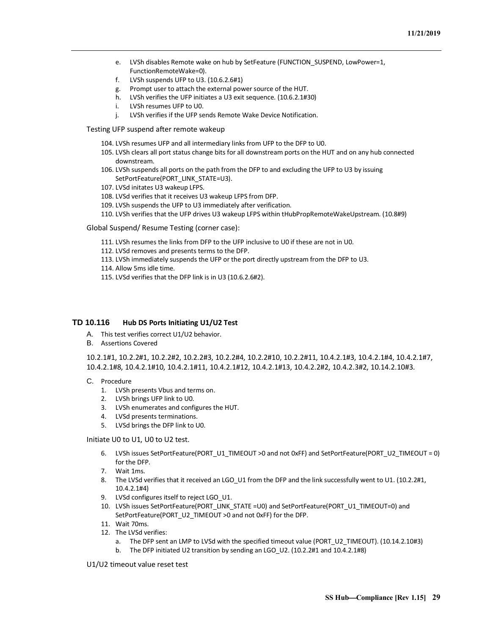- e. LVSh disables Remote wake on hub by SetFeature (FUNCTION\_SUSPEND, LowPower=1, FunctionRemoteWake=0).
- f. LVSh suspends UFP to U3. (10.6.2.6#1)
- g. Prompt user to attach the external power source of the HUT.
- h. LVSh verifies the UFP initiates a U3 exit sequence. (10.6.2.1#30)
- i. LVSh resumes UFP to U0.
- j. LVSh verifies if the UFP sends Remote Wake Device Notification.
- Testing UFP suspend after remote wakeup
	- 104. LVSh resumes UFP and all intermediary links from UFP to the DFP to U0.
	- 105. LVSh clears all port status change bits for all downstream ports on the HUT and on any hub connected downstream.
	- 106. LVSh suspends all ports on the path from the DFP to and excluding the UFP to U3 by issuing SetPortFeature(PORT\_LINK\_STATE=U3).
	- 107. LVSd initates U3 wakeup LFPS.
	- 108. LVSd verifies that it receives U3 wakeup LFPS from DFP.
	- 109. LVSh suspends the UFP to U3 immediately after verification.
	- 110. LVSh verifies that the UFP drives U3 wakeup LFPS within tHubPropRemoteWakeUpstream. (10.8#9)

Global Suspend/ Resume Testing (corner case):

- 111. LVSh resumes the links from DFP to the UFP inclusive to U0 if these are not in U0.
- 112. LVSd removes and presents terms to the DFP.
- 113. LVSh immediately suspends the UFP or the port directly upstream from the DFP to U3.
- 114. Allow 5ms idle time.
- 115. LVSd verifies that the DFP link is in U3 (10.6.2.6#2).

## <span id="page-32-0"></span>**TD 10.116 Hub DS Ports Initiating U1/U2 Test**

- A. This test verifies correct U1/U2 behavior.
- B. Assertions Covered

10.2.1#1, 10.2.2#1, 10.2.2#2, 10.2.2#3, 10.2.2#4, 10.2.2#10, 10.2.2#11, 10.4.2.1#3, 10.4.2.1#4, 10.4.2.1#7, 10.4.2.1#8, 10.4.2.1#10, 10.4.2.1#11, 10.4.2.1#12, 10.4.2.1#13, 10.4.2.2#2, 10.4.2.3#2, 10.14.2.10#3.

- C. Procedure
	- 1. LVSh presents Vbus and terms on.
	- 2. LVSh brings UFP link to U0.
	- 3. LVSh enumerates and configures the HUT.
	- 4. LVSd presents terminations.
	- 5. LVSd brings the DFP link to U0.

Initiate U0 to U1, U0 to U2 test.

- 6. LVSh issues SetPortFeature(PORT\_U1\_TIMEOUT >0 and not 0xFF) and SetPortFeature(PORT\_U2\_TIMEOUT = 0) for the DFP.
- 7. Wait 1ms.
- 8. The LVSd verifies that it received an LGO\_U1 from the DFP and the link successfully went to U1. (10.2.2#1, 10.4.2.1#4)
- 9. LVSd configures itself to reject LGO U1.
- 10. LVSh issues SetPortFeature(PORT\_LINK\_STATE =U0) and SetPortFeature(PORT\_U1\_TIMEOUT=0) and SetPortFeature(PORT\_U2\_TIMEOUT >0 and not 0xFF) for the DFP.
- 11. Wait 70ms.
- 12. The LVSd verifies:
	- a. The DFP sent an LMP to LVSd with the specified timeout value (PORT\_U2\_TIMEOUT). (10.14.2.10#3)
	- b. The DFP initiated U2 transition by sending an LGO U2. (10.2.2#1 and 10.4.2.1#8)

U1/U2 timeout value reset test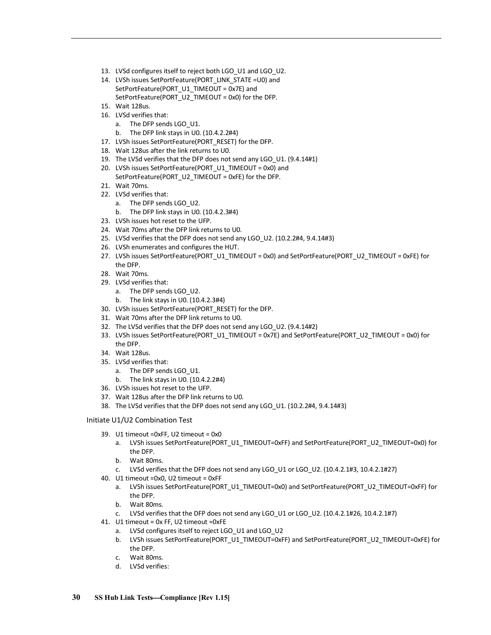- 13. LVSd configures itself to reject both LGO U1 and LGO U2.
- 14. LVSh issues SetPortFeature(PORT\_LINK\_STATE =U0) and SetPortFeature(PORT\_U1\_TIMEOUT = 0x7E) and SetPortFeature(PORT\_U2\_TIMEOUT = 0x0) for the DFP.
- 15. Wait 128us.
- 16. LVSd verifies that:
	- a. The DFP sends LGO\_U1.
	- b. The DFP link stays in U0. (10.4.2.2#4)
- 17. LVSh issues SetPortFeature(PORT\_RESET) for the DFP.
- 18. Wait 128us after the link returns to U0.
- 19. The LVSd verifies that the DFP does not send any LGO\_U1. (9.4.14#1)
- 20. LVSh issues SetPortFeature(PORT\_U1\_TIMEOUT = 0x0) and SetPortFeature(PORT\_U2\_TIMEOUT = 0xFE) for the DFP.
- 21. Wait 70ms.
- 22. LVSd verifies that:
	- a. The DFP sends LGO\_U2.
	- b. The DFP link stays in U0. (10.4.2.3#4)
- 23. LVSh issues hot reset to the UFP.
- 24. Wait 70ms after the DFP link returns to U0.
- 25. LVSd verifies that the DFP does not send any LGO\_U2. (10.2.2#4, 9.4.14#3)
- 26. LVSh enumerates and configures the HUT.
- 27. LVSh issues SetPortFeature(PORT\_U1\_TIMEOUT = 0x0) and SetPortFeature(PORT\_U2\_TIMEOUT = 0xFE) for the DFP.
- 28. Wait 70ms.
- 29. LVSd verifies that:
	- a. The DFP sends LGO\_U2.
	- b. The link stays in U0. (10.4.2.3#4)
- 30. LVSh issues SetPortFeature(PORT\_RESET) for the DFP.
- 31. Wait 70ms after the DFP link returns to U0.
- 32. The LVSd verifies that the DFP does not send any LGO\_U2. (9.4.14#2)
- 33. LVSh issues SetPortFeature(PORT\_U1\_TIMEOUT = 0x7E) and SetPortFeature(PORT\_U2\_TIMEOUT = 0x0) for the DFP.
- 34. Wait 128us.
- 35. LVSd verifies that:
	- a. The DFP sends LGO U1.
	- b. The link stays in U0. (10.4.2.2#4)
- 36. LVSh issues hot reset to the UFP.
- 37. Wait 128us after the DFP link returns to U0.
- 38. The LVSd verifies that the DFP does not send any LGO\_U1. (10.2.2#4, 9.4.14#3)

#### Initiate U1/U2 Combination Test

- 39. U1 timeout =0xFF, U2 timeout = 0x0
	- a. LVSh issues SetPortFeature(PORT\_U1\_TIMEOUT=0xFF) and SetPortFeature(PORT\_U2\_TIMEOUT=0x0) for the DFP.
	- b. Wait 80ms.
	- c. LVSd verifies that the DFP does not send any LGO\_U1 or LGO\_U2. (10.4.2.1#3, 10.4.2.1#27)
- 40. U1 timeout =0x0, U2 timeout = 0xFF
	- a. LVSh issues SetPortFeature(PORT\_U1\_TIMEOUT=0x0) and SetPortFeature(PORT\_U2\_TIMEOUT=0xFF) for the DFP.
	- b. Wait 80ms.
	- c. LVSd verifies that the DFP does not send any LGO\_U1 or LGO\_U2. (10.4.2.1#26, 10.4.2.1#7)
- 41. U1 timeout = 0x FF, U2 timeout =0xFE
	- a. LVSd configures itself to reject LGO U1 and LGO U2
	- b. LVSh issues SetPortFeature(PORT\_U1\_TIMEOUT=0xFF) and SetPortFeature(PORT\_U2\_TIMEOUT=0xFE) for the DFP.
	- c. Wait 80ms.
	- d. LVSd verifies: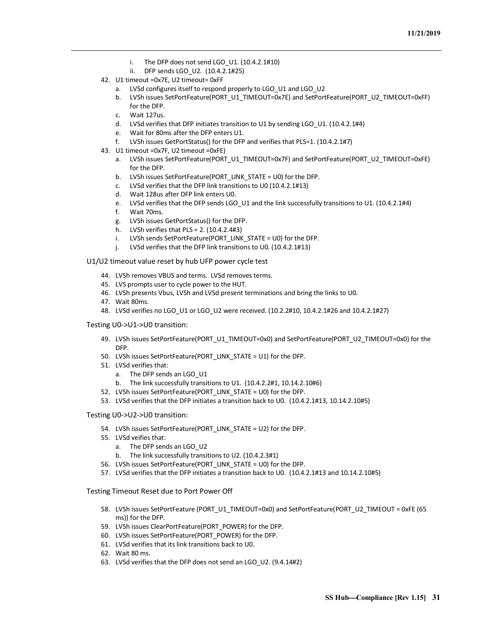- i. The DFP does not send LGO\_U1. (10.4.2.1#10)
- ii. DFP sends LGO\_U2. (10.4.2.1#25)
- 42. U1 timeout =0x7E, U2 timeout= 0xFF
	- a. LVSd configures itself to respond properly to LGO U1 and LGO U2
	- b. LVSh issues SetPortFeature(PORT\_U1\_TIMEOUT=0x7E) and SetPortFeature(PORT\_U2\_TIMEOUT=0xFF) for the DFP.
	- c. Wait 127us.
	- d. LVSd verifies that DFP initiates transition to U1 by sending LGO\_U1. (10.4.2.1#4)
	- e. Wait for 80ms after the DFP enters U1.
	- f. LVSh issues GetPortStatus() for the DFP and verifies that PLS=1. (10.4.2.1#7)
- 43. U1 timeout =0x7F, U2 timeout =0xFE)
	- a. LVSh issues SetPortFeature(PORT\_U1\_TIMEOUT=0x7F) and SetPortFeature(PORT\_U2\_TIMEOUT=0xFE) for the DFP.
	- b. LVSh issues SetPortFeature(PORT\_LINK\_STATE = U0) for the DFP.
	- c. LVSd verifies that the DFP link transitions to U0 (10.4.2.1#13)
	- d. Wait 128us after DFP link enters U0.
	- e. LVSd verifies that the DFP sends LGO\_U1 and the link successfully transitions to U1. (10.4.2.1#4)
	- f. Wait 70ms.
	- g. LVSh issues GetPortStatus() for the DFP.
	- h. LVSh verifies that PLS = 2. (10.4.2.4#3)
	- i. LVSh sends SetPortFeature(PORT\_LINK\_STATE = U0) for the DFP.
	- j. LVSd verifies that the DFP link transitions to U0. (10.4.2.1#13)

#### U1/U2 timeout value reset by hub UFP power cycle test

- 44. LVSh removes VBUS and terms. LVSd removes terms.
- 45. LVS prompts user to cycle power to the HUT.
- 46. LVSh presents Vbus, LVSh and LVSd present terminations and bring the links to U0.
- 47. Wait 80ms.
- 48. LVSd verifies no LGO\_U1 or LGO\_U2 were received. (10.2.2#10, 10.4.2.1#26 and 10.4.2.1#27)

#### Testing U0->U1->U0 transition:

- 49. LVSh issues SetPortFeature(PORT\_U1\_TIMEOUT=0x0) and SetPortFeature(PORT\_U2\_TIMEOUT=0x0) for the DFP.
- 50. LVSh issues SetPortFeature(PORT\_LINK\_STATE = U1) for the DFP.
- 51. LVSd verifies that:
	- a. The DFP sends an LGO U1
	- b. The link successfully transitions to U1. (10.4.2.2#1, 10.14.2.10#6)
- 52. LVSh issues SetPortFeature(PORT\_LINK\_STATE = U0) for the DFP.
- 53. LVSd verifies that the DFP initiates a transition back to U0. (10.4.2.1#13, 10.14.2.10#5)

#### Testing U0->U2->U0 transition:

- 54. LVSh issues SetPortFeature(PORT\_LINK\_STATE = U2) for the DFP.
- 55. LVSd veifies that:
	- a. The DFP sends an LGO U2
	- b. The link successfully transitions to U2. (10.4.2.3#1)
- 56. LVSh issues SetPortFeature(PORT\_LINK\_STATE = U0) for the DFP.
- 57. LVSd verifies that the DFP initiates a transition back to U0. (10.4.2.1#13 and 10.14.2.10#5)

#### Testing Timeout Reset due to Port Power Off

- 58. LVSh issues SetPortFeature (PORT\_U1\_TIMEOUT=0x0) and SetPortFeature(PORT\_U2\_TIMEOUT = 0xFE (65 ms)) for the DFP.
- 59. LVSh issues ClearPortFeature(PORT\_POWER) for the DFP.
- 60. LVSh issues SetPortFeature(PORT\_POWER) for the DFP.
- 61. LVSd verifies that its link transitions back to U0.
- 62. Wait 80 ms.
- 63. LVSd verifies that the DFP does not send an LGO\_U2. (9.4.14#2)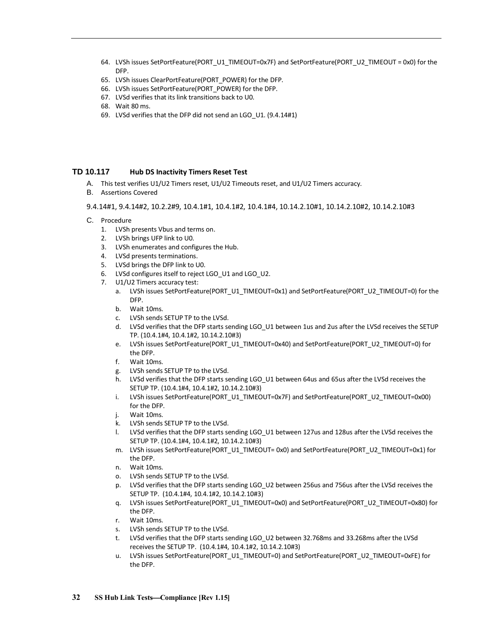- 64. LVSh issues SetPortFeature(PORT\_U1\_TIMEOUT=0x7F) and SetPortFeature(PORT\_U2\_TIMEOUT = 0x0) for the DFP.
- 65. LVSh issues ClearPortFeature(PORT\_POWER) for the DFP.
- 66. LVSh issues SetPortFeature(PORT\_POWER) for the DFP.
- 67. LVSd verifies that its link transitions back to U0.
- 68. Wait 80 ms.
- 69. LVSd verifies that the DFP did not send an LGO\_U1. (9.4.14#1)

## <span id="page-35-0"></span>**TD 10.117 Hub DS Inactivity Timers Reset Test**

- A. This test verifies U1/U2 Timers reset, U1/U2 Timeouts reset, and U1/U2 Timers accuracy.
- B. Assertions Covered

9.4.14#1, 9.4.14#2, 10.2.2#9, 10.4.1#1, 10.4.1#2, 10.4.1#4, 10.14.2.10#1, 10.14.2.10#2, 10.14.2.10#3

- C. Procedure
	- 1. LVSh presents Vbus and terms on.
	- 2. LVSh brings UFP link to U0.
	- 3. LVSh enumerates and configures the Hub.
	- 4. LVSd presents terminations.
	- 5. LVSd brings the DFP link to U0.
	- 6. LVSd configures itself to reject LGO\_U1 and LGO\_U2.
	- 7. U1/U2 Timers accuracy test:
		- a. LVSh issues SetPortFeature(PORT\_U1\_TIMEOUT=0x1) and SetPortFeature(PORT\_U2\_TIMEOUT=0) for the DFP.
		- b. Wait 10ms.
		- c. LVSh sends SETUP TP to the LVSd.
		- d. LVSd verifies that the DFP starts sending LGO\_U1 between 1us and 2us after the LVSd receives the SETUP TP. (10.4.1#4, 10.4.1#2, 10.14.2.10#3)
		- e. LVSh issues SetPortFeature(PORT\_U1\_TIMEOUT=0x40) and SetPortFeature(PORT\_U2\_TIMEOUT=0) for the DFP.
		- f. Wait 10ms.
		- g. LVSh sends SETUP TP to the LVSd.
		- h. LVSd verifies that the DFP starts sending LGO\_U1 between 64us and 65us after the LVSd receives the SETUP TP. (10.4.1#4, 10.4.1#2, 10.14.2.10#3)
		- i. LVSh issues SetPortFeature(PORT\_U1\_TIMEOUT=0x7F) and SetPortFeature(PORT\_U2\_TIMEOUT=0x00) for the DFP.
		- j. Wait 10ms.
		- k. LVSh sends SETUP TP to the LVSd.
		- l. LVSd verifies that the DFP starts sending LGO\_U1 between 127us and 128us after the LVSd receives the SETUP TP. (10.4.1#4, 10.4.1#2, 10.14.2.10#3)
		- m. LVSh issues SetPortFeature(PORT\_U1\_TIMEOUT= 0x0) and SetPortFeature(PORT\_U2\_TIMEOUT=0x1) for the DFP.
		- n. Wait 10ms.
		- o. LVSh sends SETUP TP to the LVSd.
		- p. LVSd verifies that the DFP starts sending LGO\_U2 between 256us and 756us after the LVSd receives the SETUP TP. (10.4.1#4, 10.4.1#2, 10.14.2.10#3)
		- q. LVSh issues SetPortFeature(PORT\_U1\_TIMEOUT=0x0) and SetPortFeature(PORT\_U2\_TIMEOUT=0x80) for the DFP.
		- r. Wait 10ms.
		- s. LVSh sends SETUP TP to the LVSd.
		- t. LVSd verifies that the DFP starts sending LGO\_U2 between 32.768ms and 33.268ms after the LVSd receives the SETUP TP. (10.4.1#4, 10.4.1#2, 10.14.2.10#3)
		- u. LVSh issues SetPortFeature(PORT\_U1\_TIMEOUT=0) and SetPortFeature(PORT\_U2\_TIMEOUT=0xFE) for the DFP.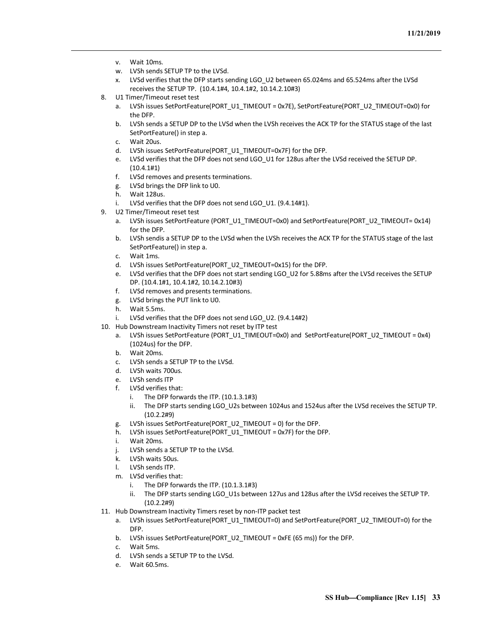- v. Wait 10ms.
- w. LVSh sends SETUP TP to the LVSd.
- x. LVSd verifies that the DFP starts sending LGO\_U2 between 65.024ms and 65.524ms after the LVSd receives the SETUP TP. (10.4.1#4, 10.4.1#2, 10.14.2.10#3)
- 8. U1 Timer/Timeout reset test
	- a. LVSh issues SetPortFeature(PORT\_U1\_TIMEOUT = 0x7E), SetPortFeature(PORT\_U2\_TIMEOUT=0x0) for the DFP.
	- b. LVSh sends a SETUP DP to the LVSd when the LVSh receives the ACK TP for the STATUS stage of the last SetPortFeature() in step a.
	- c. Wait 20us.
	- d. LVSh issues SetPortFeature(PORT\_U1\_TIMEOUT=0x7F) for the DFP.
	- e. LVSd verifies that the DFP does not send LGO\_U1 for 128us after the LVSd received the SETUP DP. (10.4.1#1)
	- f. LVSd removes and presents terminations.
	- g. LVSd brings the DFP link to U0.
	- h. Wait 128us.
	- i. LVSd verifies that the DFP does not send LGO\_U1. (9.4.14#1).
- 9. U2 Timer/Timeout reset test
	- a. LVSh issues SetPortFeature (PORT\_U1\_TIMEOUT=0x0) and SetPortFeature(PORT\_U2\_TIMEOUT= 0x14) for the DFP.
	- b. LVSh sendis a SETUP DP to the LVSd when the LVSh receives the ACK TP for the STATUS stage of the last SetPortFeature() in step a.
	- c. Wait 1ms.
	- d. LVSh issues SetPortFeature(PORT\_U2\_TIMEOUT=0x15) for the DFP.
	- e. LVSd verifies that the DFP does not start sending LGO\_U2 for 5.88ms after the LVSd receives the SETUP DP. (10.4.1#1, 10.4.1#2, 10.14.2.10#3)
	- f. LVSd removes and presents terminations.
	- g. LVSd brings the PUT link to U0.
	- h. Wait 5.5ms.
	- i. LVSd verifies that the DFP does not send LGO U2. (9.4.14#2)
- 10. Hub Downstream Inactivity Timers not reset by ITP test
	- a. LVSh issues SetPortFeature (PORT\_U1\_TIMEOUT=0x0) and SetPortFeature(PORT\_U2\_TIMEOUT = 0x4) (1024us) for the DFP.
	- b. Wait 20ms.
	- c. LVSh sends a SETUP TP to the LVSd.
	- d. LVSh waits 700us.
	- e. LVSh sends ITP
	- f. LVSd verifies that:
		- i. The DFP forwards the ITP. (10.1.3.1#3)
		- ii. The DFP starts sending LGO\_U2s between 1024us and 1524us after the LVSd receives the SETUP TP. (10.2.2#9)
	- g. LVSh issues SetPortFeature(PORT\_U2\_TIMEOUT = 0) for the DFP.
	- h. LVSh issues SetPortFeature(PORT\_U1\_TIMEOUT = 0x7F) for the DFP.
	- i. Wait 20ms.
	- j. LVSh sends a SETUP TP to the LVSd.
	- k. LVSh waits 50us.
	- l. LVSh sends ITP.
	- m. LVSd verifies that:
		- i. The DFP forwards the ITP. (10.1.3.1#3)
		- ii. The DFP starts sending LGO\_U1s between 127us and 128us after the LVSd receives the SETUP TP. (10.2.2#9)
- 11. Hub Downstream Inactivity Timers reset by non-ITP packet test
	- a. LVSh issues SetPortFeature(PORT\_U1\_TIMEOUT=0) and SetPortFeature(PORT\_U2\_TIMEOUT=0) for the DFP.
	- b. LVSh issues SetPortFeature(PORT\_U2\_TIMEOUT = 0xFE (65 ms)) for the DFP.
	- c. Wait 5ms.
	- d. LVSh sends a SETUP TP to the LVSd.
	- e. Wait 60.5ms.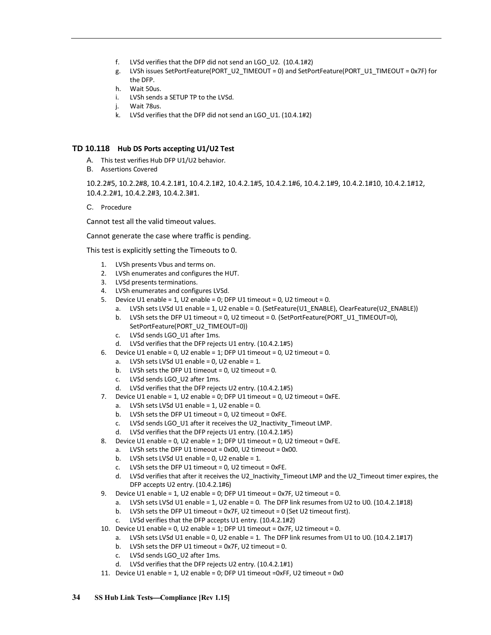- f. LVSd verifies that the DFP did not send an LGO\_U2. (10.4.1#2)
- g. LVSh issues SetPortFeature(PORT\_U2\_TIMEOUT = 0) and SetPortFeature(PORT\_U1\_TIMEOUT = 0x7F) for the DFP.
- h. Wait 50us.
- i. LVSh sends a SETUP TP to the LVSd.
- j. Wait 78us.
- k. LVSd verifies that the DFP did not send an LGO\_U1. (10.4.1#2)

## <span id="page-37-0"></span>**TD 10.118 Hub DS Ports accepting U1/U2 Test**

- A. This test verifies Hub DFP U1/U2 behavior.
- B. Assertions Covered

10.2.2#5, 10.2.2#8, 10.4.2.1#1, 10.4.2.1#2, 10.4.2.1#5, 10.4.2.1#6, 10.4.2.1#9, 10.4.2.1#10, 10.4.2.1#12, 10.4.2.2#1, 10.4.2.2#3, 10.4.2.3#1.

C. Procedure

Cannot test all the valid timeout values.

Cannot generate the case where traffic is pending.

This test is explicitly setting the Timeouts to 0.

- 1. LVSh presents Vbus and terms on.
- 2. LVSh enumerates and configures the HUT.
- 3. LVSd presents terminations.
- 4. LVSh enumerates and configures LVSd.
- 5. Device U1 enable = 1, U2 enable = 0; DFP U1 timeout = 0, U2 timeout = 0.
	- a. LVSh sets LVSd U1 enable = 1, U2 enable = 0. (SetFeature(U1\_ENABLE), ClearFeature(U2\_ENABLE)) b. LVSh sets the DFP U1 timeout = 0, U2 timeout = 0. (SetPortFeature(PORT\_U1\_TIMEOUT=0),
	- SetPortFeature(PORT\_U2\_TIMEOUT=0))
	- c. LVSd sends LGO\_U1 after 1ms.
	- d. LVSd verifies that the DFP rejects U1 entry. (10.4.2.1#5)
- 6. Device U1 enable = 0, U2 enable = 1; DFP U1 timeout = 0, U2 timeout = 0.
	- a. LVSh sets LVSd U1 enable =  $0$ , U2 enable =  $1$ .
	- b. LVSh sets the DFP U1 timeout =  $0$ , U2 timeout =  $0$ .
	- c. LVSd sends LGO\_U2 after 1ms.
	- d. LVSd verifies that the DFP rejects U2 entry. (10.4.2.1#5)
- 7. Device U1 enable = 1, U2 enable = 0; DFP U1 timeout = 0, U2 timeout = 0xFE.
	- a. LVSh sets LVSd U1 enable =  $1$ , U2 enable = 0.
	- b. LVSh sets the DFP U1 timeout = 0, U2 timeout = 0xFE.
	- c. LVSd sends LGO\_U1 after it receives the U2\_Inactivity\_Timeout LMP.
	- d. LVSd verifies that the DFP rejects U1 entry. (10.4.2.1#5)
- 8. Device U1 enable = 0, U2 enable = 1; DFP U1 timeout = 0, U2 timeout = 0xFE.
	- a. LVSh sets the DFP U1 timeout = 0x00, U2 timeout = 0x00.
	- b. LVSh sets LVSd U1 enable =  $0$ , U2 enable = 1.
	- c. LVSh sets the DFP U1 timeout = 0, U2 timeout = 0xFE.
	- d. LVSd verifies that after it receives the U2\_Inactivity\_Timeout LMP and the U2\_Timeout timer expires, the DFP accepts U2 entry. (10.4.2.1#6)
- 9. Device U1 enable = 1, U2 enable = 0; DFP U1 timeout = 0x7F, U2 timeout = 0.
	- a. LVSh sets LVSd U1 enable = 1, U2 enable = 0. The DFP link resumes from U2 to U0. (10.4.2.1#18)
	- b. LVSh sets the DFP U1 timeout = 0x7F, U2 timeout = 0 (Set U2 timeout first).
	- c. LVSd verifies that the DFP accepts U1 entry. (10.4.2.1#2)
- 10. Device U1 enable = 0, U2 enable = 1; DFP U1 timeout = 0x7F, U2 timeout = 0.
	- a. LVSh sets LVSd U1 enable = 0, U2 enable = 1. The DFP link resumes from U1 to U0. (10.4.2.1#17)
	- b. LVSh sets the DFP U1 timeout = 0x7F, U2 timeout = 0.
	- c. LVSd sends LGO\_U2 after 1ms.
	- d. LVSd verifies that the DFP rejects U2 entry. (10.4.2.1#1)
- 11. Device U1 enable = 1, U2 enable = 0; DFP U1 timeout =0xFF, U2 timeout = 0x0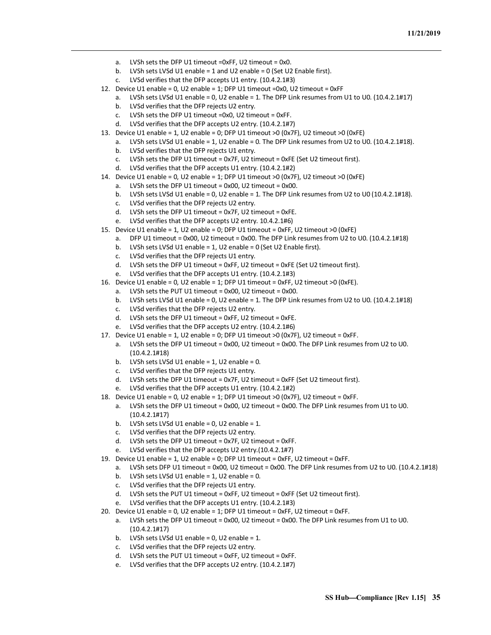- a. LVSh sets the DFP U1 timeout =0xFF, U2 timeout = 0x0.
- b. LVSh sets LVSd U1 enable = 1 and U2 enable = 0 (Set U2 Enable first).
- c. LVSd verifies that the DFP accepts U1 entry. (10.4.2.1#3)
- 12. Device U1 enable = 0, U2 enable = 1; DFP U1 timeout =0x0, U2 timeout = 0xFF
	- a. LVSh sets LVSd U1 enable = 0, U2 enable = 1. The DFP Link resumes from U1 to U0. (10.4.2.1#17)
		- b. LVSd verifies that the DFP rejects U2 entry.
		- c. LVSh sets the DFP U1 timeout =0x0, U2 timeout = 0xFF.
		- d. LVSd verifies that the DFP accepts U2 entry. (10.4.2.1#7)
- 13. Device U1 enable = 1, U2 enable = 0; DFP U1 timeout >0 (0x7F), U2 timeout >0 (0xFE)
	- a. LVSh sets LVSd U1 enable = 1, U2 enable = 0. The DFP Link resumes from U2 to U0. (10.4.2.1#18).
		- b. LVSd verifies that the DFP rejects U1 entry.
		- c. LVSh sets the DFP U1 timeout = 0x7F, U2 timeout = 0xFE (Set U2 timeout first).
		- d. LVSd verifies that the DFP accepts U1 entry. (10.4.2.1#2)
- 14. Device U1 enable = 0, U2 enable = 1; DFP U1 timeout >0 (0x7F), U2 timeout >0 (0xFE)
	- a. LVSh sets the DFP U1 timeout = 0x00, U2 timeout = 0x00.
	- b. LVSh sets LVSd U1 enable = 0, U2 enable = 1. The DFP Link resumes from U2 to U0 (10.4.2.1#18).
	- c. LVSd verifies that the DFP rejects U2 entry.
	- d. LVSh sets the DFP U1 timeout = 0x7F, U2 timeout = 0xFE.
	- e. LVSd verifies that the DFP accepts U2 entry. 10.4.2.1#6)
- 15. Device U1 enable = 1, U2 enable = 0; DFP U1 timeout = 0xFF, U2 timeout >0 (0xFE)
	- a. DFP U1 timeout = 0x00, U2 timeout = 0x00. The DFP Link resumesfrom U2 to U0. (10.4.2.1#18)
	- b. LVSh sets LVSd U1 enable = 1, U2 enable = 0 (Set U2 Enable first).
	- c. LVSd verifies that the DFP rejects U1 entry.
	- d. LVSh sets the DFP U1 timeout = 0xFF, U2 timeout = 0xFE (Set U2 timeout first).
	- e. LVSd verifies that the DFP accepts U1 entry. (10.4.2.1#3)
- 16. Device U1 enable = 0, U2 enable = 1; DFP U1 timeout = 0xFF, U2 timeout >0 (0xFE).
	- a. LVSh sets the PUT U1 timeout = 0x00, U2 timeout = 0x00.
	- b. LVSh sets LVSd U1 enable = 0, U2 enable = 1. The DFP Link resumes from U2 to U0. (10.4.2.1#18)
	- c. LVSd verifies that the DFP rejects U2 entry.
	- d. LVSh sets the DFP U1 timeout = 0xFF, U2 timeout = 0xFE.
	- e. LVSd verifies that the DFP accepts U2 entry. (10.4.2.1#6)
- 17. Device U1 enable = 1, U2 enable = 0; DFP U1 timeout >0 (0x7F), U2 timeout = 0xFF.
	- a. LVSh sets the DFP U1 timeout = 0x00, U2 timeout = 0x00. The DFP Link resumes from U2 to U0. (10.4.2.1#18)
	- b. LVSh sets LVSd U1 enable = 1, U2 enable = 0.
	- c. LVSd verifies that the DFP rejects U1 entry.
	- d. LVSh sets the DFP U1 timeout = 0x7F, U2 timeout = 0xFF (Set U2 timeout first).
	- e. LVSd verifies that the DFP accepts U1 entry. (10.4.2.1#2)
- 18. Device U1 enable = 0, U2 enable = 1; DFP U1 timeout >0 (0x7F), U2 timeout = 0xFF.
	- a. LVSh sets the DFP U1 timeout = 0x00, U2 timeout = 0x00. The DFP Link resumes from U1 to U0. (10.4.2.1#17)
	- b. LVSh sets LVSd U1 enable =  $0$ , U2 enable = 1.
	- c. LVSd verifies that the DFP rejects U2 entry.
	- d. LVSh sets the DFP U1 timeout = 0x7F, U2 timeout = 0xFF.
	- e. LVSd verifies that the DFP accepts U2 entry.(10.4.2.1#7)
- 19. Device U1 enable = 1, U2 enable = 0; DFP U1 timeout = 0xFF, U2 timeout = 0xFF.
	- a. LVSh sets DFP U1 timeout = 0x00, U2 timeout = 0x00. The DFP Link resumes from U2 to U0. (10.4.2.1#18)
	- b. LVSh sets LVSd U1 enable =  $1$ , U2 enable = 0.
	- c. LVSd verifies that the DFP rejects U1 entry.
	- d. LVSh sets the PUT U1 timeout = 0xFF, U2 timeout = 0xFF (Set U2 timeout first).
	- e. LVSd verifies that the DFP accepts U1 entry. (10.4.2.1#3)
- 20. Device U1 enable = 0, U2 enable = 1; DFP U1 timeout = 0xFF, U2 timeout = 0xFF.
	- a. LVSh sets the DFP U1 timeout = 0x00, U2 timeout = 0x00. The DFP Link resumes from U1 to U0. (10.4.2.1#17)
	- b. LVSh sets LVSd U1 enable = 0, U2 enable = 1.
	- c. LVSd verifies that the DFP rejects U2 entry.
	- d. LVSh sets the PUT U1 timeout = 0xFF, U2 timeout = 0xFF.
	- e. LVSd verifies that the DFP accepts U2 entry. (10.4.2.1#7)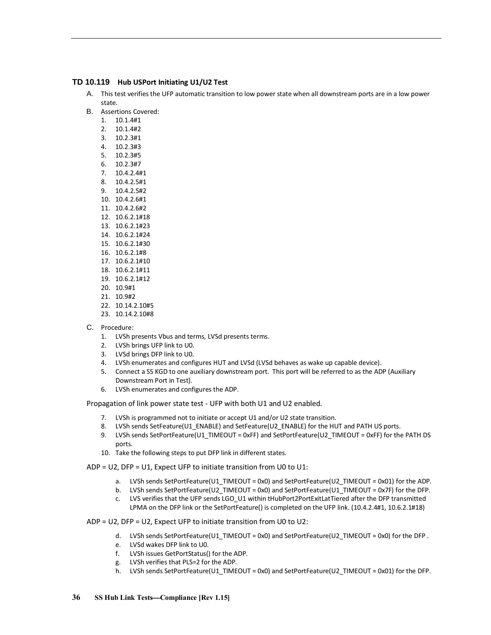## <span id="page-39-0"></span>**TD 10.119 Hub USPort Initiating U1/U2 Test**

- A. This test verifies the UFP automatic transition to low power state when all downstream ports are in a low power state.
- B. Assertions Covered:
	- 1. 10.1.4#1
	- 2. 10.1.4#2
	- 3. 10.2.3#1
	- 4. 10.2.3#3 5. 10.2.3#5
	- 6. 10.2.3#7
	- 7. 10.4.2.4#1
	- 8. 10.4.2.5#1
	- 9. 10.4.2.5#2
	- 10. 10.4.2.6#1
	- 11. 10.4.2.6#2
	- 12. 10.6.2.1#18
	- 13. 10.6.2.1#23
	- 14. 10.6.2.1#24
	- 15. 10.6.2.1#30
	- 16. 10.6.2.1#8
	- 17. 10.6.2.1#10
	- 18. 10.6.2.1#11
	- 19. 10.6.2.1#12
	- 20. 10.9#1
	- 21. 10.9#2
	- 22. 10.14.2.10#5
	- 23. 10.14.2.10#8
- C. Procedure:
	- 1. LVSh presents Vbus and terms, LVSd presents terms.
	- 2. LVSh brings UFP link to U0.
	- 3. LVSd brings DFP link to U0.
	- 4. LVSh enumerates and configures HUT and LVSd (LVSd behaves as wake up capable device).
	- 5. Connect a SS KGD to one auxiliary downstream port. This port will be referred to as the ADP (Auxiliary Downstream Port in Test).
	- 6. LVSh enumerates and configures the ADP.

Propagation of link power state test - UFP with both U1 and U2 enabled.

- 7. LVSh is programmed not to initiate or accept U1 and/or U2 state transition.
- 8. LVSh sends SetFeature(U1\_ENABLE) and SetFeature(U2\_ENABLE) for the HUT and PATH US ports.
- 9. LVSh sends SetPortFeature(U1\_TIMEOUT = 0xFF) and SetPortFeature(U2\_TIMEOUT = 0xFF) for the PATH DS ports.
- 10. Take the following steps to put DFP link in different states.

ADP = U2, DFP = U1, Expect UFP to initiate transition from U0 to U1:

- a. LVSh sends SetPortFeature(U1\_TIMEOUT = 0x0) and SetPortFeature(U2\_TIMEOUT = 0x01) for the ADP.
- b. LVSh sends SetPortFeature(U2\_TIMEOUT = 0x0) and SetPortFeature(U1\_TIMEOUT = 0x7F) for the DFP.
- c. LVS verifies that the UFP sends LGO\_U1 within tHubPort2PortExitLatTiered after the DFP transmitted LPMA on the DFP link or the SetPortFeature() is completed on the UFP link. (10.4.2.4#1, 10.6.2.1#18)

ADP = U2, DFP = U2, Expect UFP to initiate transition from U0 to U2:

- d. LVSh sends SetPortFeature(U1\_TIMEOUT = 0x0) and SetPortFeature(U2\_TIMEOUT = 0x0) for the DFP .
- e. LVSd wakes DFP link to U0.
- f. LVSh issues GetPortStatus() for the ADP.
- g. LVSh verifies that PLS=2 for the ADP.
- h. LVSh sends SetPortFeature(U1\_TIMEOUT = 0x0) and SetPortFeature(U2\_TIMEOUT = 0x01) for the DFP.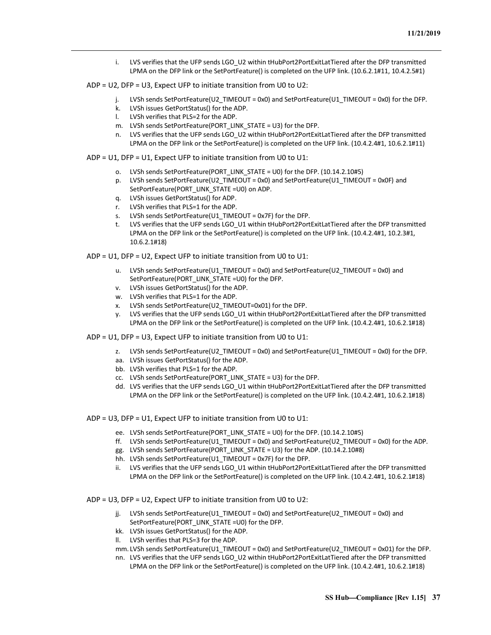- i. LVS verifies that the UFP sends LGO\_U2 within tHubPort2PortExitLatTiered after the DFP transmitted LPMA on the DFP link or the SetPortFeature() is completed on the UFP link. (10.6.2.1#11, 10.4.2.5#1)
- ADP = U2, DFP = U3, Expect UFP to initiate transition from U0 to U2:
	- j. LVSh sends SetPortFeature(U2\_TIMEOUT = 0x0) and SetPortFeature(U1\_TIMEOUT = 0x0) for the DFP.
	- k. LVSh issues GetPortStatus() for the ADP.
	- l. LVSh verifies that PLS=2 for the ADP.
	- m. LVSh sends SetPortFeature(PORT\_LINK\_STATE = U3) for the DFP.
	- n. LVS verifies that the UFP sends LGO U2 within tHubPort2PortExitLatTiered after the DFP transmitted LPMA on the DFP link or the SetPortFeature() is completed on the UFP link. (10.4.2.4#1, 10.6.2.1#11)

ADP = U1, DFP = U1, Expect UFP to initiate transition from U0 to U1:

- o. LVSh sends SetPortFeature(PORT\_LINK\_STATE = U0) for the DFP. (10.14.2.10#5)
- p. LVSh sends SetPortFeature(U2\_TIMEOUT = 0x0) and SetPortFeature(U1\_TIMEOUT = 0x0F) and SetPortFeature(PORT\_LINK\_STATE =U0) on ADP.
- q. LVSh issues GetPortStatus() for ADP.
- r. LVSh verifies that PLS=1 for the ADP.
- s. LVSh sends SetPortFeature(U1\_TIMEOUT = 0x7F) for the DFP.
- LVS verifies that the UFP sends LGO U1 within tHubPort2PortExitLatTiered after the DFP transmitted LPMA on the DFP link or the SetPortFeature() is completed on the UFP link. (10.4.2.4#1, 10.2.3#1, 10.6.2.1#18)

ADP = U1, DFP = U2, Expect UFP to initiate transition from U0 to U1:

- u. LVSh sends SetPortFeature(U1\_TIMEOUT = 0x0) and SetPortFeature(U2\_TIMEOUT = 0x0) and SetPortFeature(PORT\_LINK\_STATE =U0) for the DFP.
- v. LVSh issues GetPortStatus() for the ADP.
- w. LVSh verifies that PLS=1 for the ADP.
- x. LVSh sends SetPortFeature(U2\_TIMEOUT=0x01) for the DFP.
- y. LVS verifies that the UFP sends LGO\_U1 within tHubPort2PortExitLatTiered after the DFP transmitted LPMA on the DFP link or the SetPortFeature() is completed on the UFP link. (10.4.2.4#1, 10.6.2.1#18)
- ADP = U1, DFP = U3, Expect UFP to initiate transition from U0 to U1:
	- z. LVSh sends SetPortFeature(U2\_TIMEOUT = 0x0) and SetPortFeature(U1\_TIMEOUT = 0x0) for the DFP.
	- aa. LVSh issues GetPortStatus() for the ADP.
	- bb. LVSh verifies that PLS=1 for the ADP.
	- cc. LVSh sends SetPortFeature(PORT\_LINK\_STATE = U3) for the DFP.
	- dd. LVS verifies that the UFP sends LGO U1 within tHubPort2PortExitLatTiered after the DFP transmitted LPMA on the DFP link or the SetPortFeature() is completed on the UFP link. (10.4.2.4#1, 10.6.2.1#18)
- ADP = U3, DFP = U1, Expect UFP to initiate transition from U0 to U1:
	- ee. LVSh sends SetPortFeature(PORT\_LINK\_STATE = U0) for the DFP. (10.14.2.10#5)
	- ff. LVSh sends SetPortFeature(U1\_TIMEOUT = 0x0) and SetPortFeature(U2\_TIMEOUT = 0x0) for the ADP.
	- gg. LVSh sends SetPortFeature(PORT\_LINK\_STATE = U3) for the ADP. (10.14.2.10#8)
	- hh. LVSh sends SetPortFeature(U1\_TIMEOUT = 0x7F) for the DFP.
	- ii. LVS verifies that the UFP sends LGO U1 within tHubPort2PortExitLatTiered after the DFP transmitted LPMA on the DFP link or the SetPortFeature() is completed on the UFP link. (10.4.2.4#1, 10.6.2.1#18)

ADP = U3, DFP = U2, Expect UFP to initiate transition from U0 to U2:

- jj. LVSh sends SetPortFeature(U1\_TIMEOUT = 0x0) and SetPortFeature(U2\_TIMEOUT = 0x0) and SetPortFeature(PORT\_LINK\_STATE =U0) for the DFP.
- kk. LVSh issues GetPortStatus() for the ADP.
- ll. LVSh verifies that PLS=3 for the ADP.

mm. LVSh sends SetPortFeature(U1\_TIMEOUT = 0x0) and SetPortFeature(U2\_TIMEOUT = 0x01) for the DFP.

nn. LVS verifies that the UFP sends LGO U2 within tHubPort2PortExitLatTiered after the DFP transmitted LPMA on the DFP link or the SetPortFeature() is completed on the UFP link. (10.4.2.4#1, 10.6.2.1#18)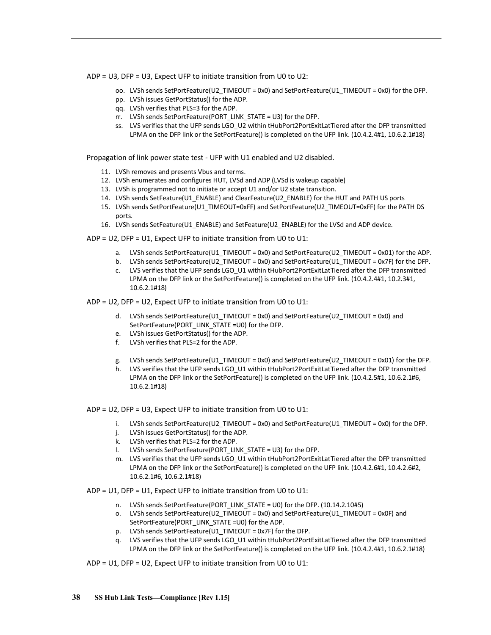ADP = U3, DFP = U3, Expect UFP to initiate transition from U0 to U2:

- oo. LVSh sends SetPortFeature(U2\_TIMEOUT = 0x0) and SetPortFeature(U1\_TIMEOUT = 0x0) for the DFP.
- pp. LVSh issues GetPortStatus() for the ADP.
- qq. LVSh verifies that PLS=3 for the ADP.
- rr. LVSh sends SetPortFeature(PORT\_LINK\_STATE = U3) for the DFP.
- ss. LVS verifies that the UFP sends LGO\_U2 within tHubPort2PortExitLatTiered after the DFP transmitted LPMA on the DFP link or the SetPortFeature() is completed on the UFP link. (10.4.2.4#1, 10.6.2.1#18)

Propagation of link power state test - UFP with U1 enabled and U2 disabled.

- 11. LVSh removes and presents Vbus and terms.
- 12. LVSh enumerates and configures HUT, LVSd and ADP (LVSd is wakeup capable)
- 13. LVSh is programmed not to initiate or accept U1 and/or U2 state transition.
- 14. LVSh sends SetFeature(U1\_ENABLE) and ClearFeature(U2\_ENABLE) for the HUT and PATH US ports
- 15. LVSh sends SetPortFeature(U1\_TIMEOUT=0xFF) and SetPortFeature(U2\_TIMEOUT=0xFF) for the PATH DS ports.
- 16. LVSh sends SetFeature(U1\_ENABLE) and SetFeature(U2\_ENABLE) for the LVSd and ADP device.

ADP = U2, DFP = U1, Expect UFP to initiate transition from U0 to U1:

- a. LVSh sends SetPortFeature(U1\_TIMEOUT = 0x0) and SetPortFeature(U2\_TIMEOUT = 0x01) for the ADP.
- b. LVSh sends SetPortFeature(U2\_TIMEOUT = 0x0) and SetPortFeature(U1\_TIMEOUT = 0x7F) for the DFP.
- c. LVS verifies that the UFP sends LGO\_U1 within tHubPort2PortExitLatTiered after the DFP transmitted LPMA on the DFP link or the SetPortFeature() is completed on the UFP link. (10.4.2.4#1, 10.2.3#1, 10.6.2.1#18)

ADP = U2, DFP = U2, Expect UFP to initiate transition from U0 to U1:

- d. LVSh sends SetPortFeature(U1\_TIMEOUT = 0x0) and SetPortFeature(U2\_TIMEOUT = 0x0) and SetPortFeature(PORT\_LINK\_STATE =U0) for the DFP.
- e. LVSh issues GetPortStatus() for the ADP.
- f. LVSh verifies that PLS=2 for the ADP.
- g. LVSh sends SetPortFeature(U1\_TIMEOUT = 0x0) and SetPortFeature(U2\_TIMEOUT = 0x01) for the DFP.
- h. LVS verifies that the UFP sends LGO U1 within tHubPort2PortExitLatTiered after the DFP transmitted LPMA on the DFP link or the SetPortFeature() is completed on the UFP link. (10.4.2.5#1, 10.6.2.1#6, 10.6.2.1#18)

ADP = U2, DFP = U3, Expect UFP to initiate transition from U0 to U1:

- i. LVSh sends SetPortFeature(U2\_TIMEOUT = 0x0) and SetPortFeature(U1\_TIMEOUT = 0x0) for the DFP.
- j. LVSh issues GetPortStatus() for the ADP.
- k. LVSh verifies that PLS=2 for the ADP.
- l. LVSh sends SetPortFeature(PORT\_LINK\_STATE = U3) for the DFP.
- m. LVS verifies that the UFP sends LGO\_U1 within tHubPort2PortExitLatTiered after the DFP transmitted LPMA on the DFP link or the SetPortFeature() is completed on the UFP link. (10.4.2.6#1, 10.4.2.6#2, 10.6.2.1#6, 10.6.2.1#18)

ADP = U1, DFP = U1, Expect UFP to initiate transition from U0 to U1:

- n. LVSh sends SetPortFeature(PORT\_LINK\_STATE = U0) for the DFP. (10.14.2.10#5)
- o. LVSh sends SetPortFeature(U2\_TIMEOUT = 0x0) and SetPortFeature(U1\_TIMEOUT = 0x0F) and SetPortFeature(PORT\_LINK\_STATE =U0) for the ADP.
- p. LVSh sends SetPortFeature(U1\_TIMEOUT = 0x7F) for the DFP.
- q. LVS verifies that the UFP sends LGO\_U1 within tHubPort2PortExitLatTiered after the DFP transmitted LPMA on the DFP link or the SetPortFeature() is completed on the UFP link. (10.4.2.4#1, 10.6.2.1#18)

ADP = U1, DFP = U2, Expect UFP to initiate transition from U0 to U1: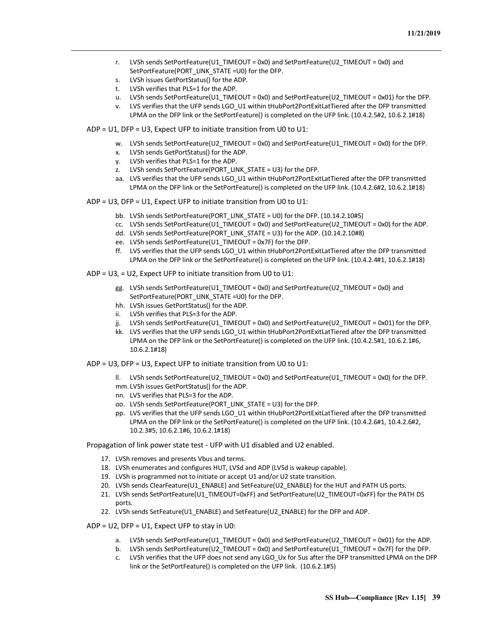- r. LVSh sends SetPortFeature(U1\_TIMEOUT = 0x0) and SetPortFeature(U2\_TIMEOUT = 0x0) and SetPortFeature(PORT\_LINK\_STATE =U0) for the DFP.
- s. LVSh issues GetPortStatus() for the ADP.
- t. LVSh verifies that PLS=1 for the ADP.
- u. LVSh sends SetPortFeature(U1\_TIMEOUT = 0x0) and SetPortFeature(U2\_TIMEOUT = 0x01) for the DFP.
- v. LVS verifies that the UFP sends LGO\_U1 within tHubPort2PortExitLatTiered after the DFP transmitted LPMA on the DFP link or the SetPortFeature() is completed on the UFP link. (10.4.2.5#2, 10.6.2.1#18)
- ADP = U1, DFP = U3, Expect UFP to initiate transition from U0 to U1:
	- w. LVSh sends SetPortFeature(U2\_TIMEOUT = 0x0) and SetPortFeature(U1\_TIMEOUT = 0x0) for the DFP.
	- x. LVSh sends GetPortStatus() for the ADP.
	- y. LVSh verifies that PLS=1 for the ADP.
	- z. LVSh sends SetPortFeature(PORT\_LINK\_STATE = U3) for the DFP.
	- aa. LVS verifies that the UFP sends LGO U1 within tHubPort2PortExitLatTiered after the DFP transmitted LPMA on the DFP link or the SetPortFeature() is completed on the UFP link. (10.4.2.6#2, 10.6.2.1#18)
- ADP = U3, DFP = U1, Expect UFP to initiate transition from U0 to U1:
	- bb. LVSh sends SetPortFeature(PORT\_LINK\_STATE = U0) for the DFP. (10.14.2.10#5)
	- cc. LVSh sends SetPortFeature(U1\_TIMEOUT = 0x0) and SetPortFeature(U2\_TIMEOUT = 0x0) for the ADP.
	- dd. LVSh sends SetPortFeature(PORT\_LINK\_STATE = U3) for the ADP. (10.14.2.10#8)
	- ee. LVSh sends SetPortFeature(U1\_TIMEOUT = 0x7F) for the DFP.
	- ff. LVS verifies that the UFP sends LGO\_U1 within tHubPort2PortExitLatTiered after the DFP transmitted LPMA on the DFP link or the SetPortFeature() is completed on the UFP link. (10.4.2.4#1, 10.6.2.1#18)
- ADP = U3, = U2, Expect UFP to initiate transition from U0 to U1:
	- gg. LVSh sends SetPortFeature(U1\_TIMEOUT = 0x0) and SetPortFeature(U2\_TIMEOUT = 0x0) and SetPortFeature(PORT\_LINK\_STATE =U0) for the DFP.
	- hh. LVSh issues GetPortStatus() for the ADP.
	- ii. LVSh verifies that PLS=3 for the ADP.
	- ji. LVSh sends SetPortFeature(U1\_TIMEOUT = 0x0) and SetPortFeature(U2\_TIMEOUT = 0x01) for the DFP.
	- kk. LVS verifies that the UFP sends LGO U1 within tHubPort2PortExitLatTiered after the DFP transmitted LPMA on the DFP link or the SetPortFeature() is completed on the UFP link. (10.4.2.5#1, 10.6.2.1#6, 10.6.2.1#18)
- ADP = U3, DFP = U3, Expect UFP to initiate transition from U0 to U1:
	- ll. LVSh sends SetPortFeature(U2\_TIMEOUT = 0x0) and SetPortFeature(U1\_TIMEOUT = 0x0) for the DFP. mm. LVSh issues GetPortStatus() for the ADP.
	- nn. LVS verifies that PLS=3 for the ADP.
	- oo. LVSh sends SetPortFeature(PORT\_LINK\_STATE = U3) for the DFP.
	- pp. LVS verifies that the UFP sends LGO\_U1 within tHubPort2PortExitLatTiered after the DFP transmitted LPMA on the DFP link or the SetPortFeature() is completed on the UFP link. (10.4.2.6#1, 10.4.2.6#2, 10.2.3#5, 10.6.2.1#6, 10.6.2.1#18)

Propagation of link power state test - UFP with U1 disabled and U2 enabled.

- 17. LVSh removes and presents Vbus and terms.
- 18. LVSh enumerates and configures HUT, LVSd and ADP (LVSd is wakeup capable).
- 19. LVSh is programmed not to initiate or accept U1 and/or U2 state transition.
- 20. LVSh sends ClearFeature(U1\_ENABLE) and SetFeature(U2\_ENABLE) for the HUT and PATH US ports.
- 21. LVSh sends SetPortFeature(U1\_TIMEOUT=0xFF) and SetPortFeature(U2\_TIMEOUT=0xFF) for the PATH DS ports.
- 22. LVSh sends SetFeature(U1\_ENABLE) and SetFeature(U2\_ENABLE) for the DFP and ADP.

 $ADP = U2$ ,  $DFP = U1$ , Expect UFP to stay in U0:

- a. LVSh sends SetPortFeature(U1\_TIMEOUT = 0x0) and SetPortFeature(U2\_TIMEOUT = 0x01) for the ADP.
- b. LVSh sends SetPortFeature(U2\_TIMEOUT = 0x0) and SetPortFeature(U1\_TIMEOUT = 0x7F) for the DFP.
- c. LVSh verifies that the UFP does not send any LGO\_Ux for 5us after the DFP transmitted LPMA on the DFP link or the SetPortFeature() is completed on the UFP link. (10.6.2.1#5)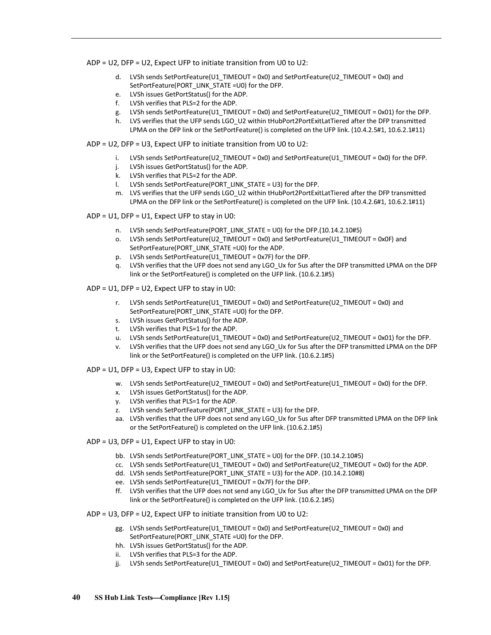ADP = U2, DFP = U2, Expect UFP to initiate transition from U0 to U2:

- d. LVSh sends SetPortFeature(U1\_TIMEOUT = 0x0) and SetPortFeature(U2\_TIMEOUT = 0x0) and SetPortFeature(PORT\_LINK\_STATE =U0) for the DFP.
- e. LVSh issues GetPortStatus() for the ADP.
- f. LVSh verifies that PLS=2 for the ADP.
- g. LVSh sends SetPortFeature(U1\_TIMEOUT = 0x0) and SetPortFeature(U2\_TIMEOUT = 0x01) for the DFP.
- h. LVS verifies that the UFP sends LGO U2 within tHubPort2PortExitLatTiered after the DFP transmitted LPMA on the DFP link or the SetPortFeature() is completed on the UFP link. (10.4.2.5#1, 10.6.2.1#11)

ADP = U2, DFP = U3, Expect UFP to initiate transition from U0 to U2:

- i. LVSh sends SetPortFeature(U2\_TIMEOUT = 0x0) and SetPortFeature(U1\_TIMEOUT = 0x0) for the DFP.
- j. LVSh issues GetPortStatus() for the ADP.
- k. LVSh verifies that PLS=2 for the ADP.
- l. LVSh sends SetPortFeature(PORT\_LINK\_STATE = U3) for the DFP.
- m. LVS verifies that the UFP sends LGO U2 within tHubPort2PortExitLatTiered after the DFP transmitted LPMA on the DFP link or the SetPortFeature() is completed on the UFP link. (10.4.2.6#1, 10.6.2.1#11)

 $ADP = U1$ ,  $DFP = U1$ , Expect UFP to stay in U0:

- n. LVSh sends SetPortFeature(PORT\_LINK\_STATE = U0) for the DFP.(10.14.2.10#5)
- o. LVSh sends SetPortFeature(U2\_TIMEOUT = 0x0) and SetPortFeature(U1\_TIMEOUT = 0x0F) and SetPortFeature(PORT\_LINK\_STATE =U0) for the ADP.
- p. LVSh sends SetPortFeature(U1\_TIMEOUT = 0x7F) for the DFP.
- q. LVSh verifies that the UFP does not send any LGO\_Ux for 5us after the DFP transmitted LPMA on the DFP link or the SetPortFeature() is completed on the UFP link. (10.6.2.1#5)

 $ADP = U1$ ,  $DFP = U2$ , Expect UFP to stay in U0:

- r. LVSh sends SetPortFeature(U1\_TIMEOUT = 0x0) and SetPortFeature(U2\_TIMEOUT = 0x0) and SetPortFeature(PORT\_LINK\_STATE =U0) for the DFP.
- s. LVSh issues GetPortStatus() for the ADP.
- t. LVSh verifies that PLS=1 for the ADP.
- u. LVSh sends SetPortFeature(U1\_TIMEOUT = 0x0) and SetPortFeature(U2\_TIMEOUT = 0x01) for the DFP.
- v. LVSh verifies that the UFP does not send any LGO\_Ux for 5us after the DFP transmitted LPMA on the DFP link or the SetPortFeature() is completed on the UFP link. (10.6.2.1#5)
- ADP = U1, DFP = U3, Expect UFP to stay in U0:
	- w. LVSh sends SetPortFeature(U2\_TIMEOUT = 0x0) and SetPortFeature(U1\_TIMEOUT = 0x0) for the DFP.
	- x. LVSh issues GetPortStatus() for the ADP.
		- y. LVSh verifies that PLS=1 for the ADP.
		- z. LVSh sends SetPortFeature(PORT\_LINK\_STATE = U3) for the DFP.
		- aa. LVSh verifies that the UFP does not send any LGO Ux for 5us after DFP transmitted LPMA on the DFP link or the SetPortFeature() is completed on the UFP link. (10.6.2.1#5)
- ADP = U3, DFP = U1, Expect UFP to stay in U0:
	- bb. LVSh sends SetPortFeature(PORT\_LINK\_STATE = U0) for the DFP. (10.14.2.10#5)
	- cc. LVSh sends SetPortFeature(U1\_TIMEOUT = 0x0) and SetPortFeature(U2\_TIMEOUT = 0x0) for the ADP.
	- dd. LVSh sends SetPortFeature(PORT\_LINK\_STATE = U3) for the ADP. (10.14.2.10#8)
	- ee. LVSh sends SetPortFeature(U1\_TIMEOUT = 0x7F) for the DFP.
	- ff. LVSh verifies that the UFP does not send any LGO\_Ux for 5us after the DFP transmitted LPMA on the DFP link or the SetPortFeature() is completed on the UFP link. (10.6.2.1#5)
- ADP = U3, DFP = U2, Expect UFP to initiate transition from U0 to U2:
	- gg. LVSh sends SetPortFeature(U1\_TIMEOUT = 0x0) and SetPortFeature(U2\_TIMEOUT = 0x0) and SetPortFeature(PORT\_LINK\_STATE =U0) for the DFP.
	- hh. LVSh issues GetPortStatus() for the ADP.
	- ii. LVSh verifies that PLS=3 for the ADP.
	- jj. LVSh sends SetPortFeature(U1\_TIMEOUT = 0x0) and SetPortFeature(U2\_TIMEOUT = 0x01) for the DFP.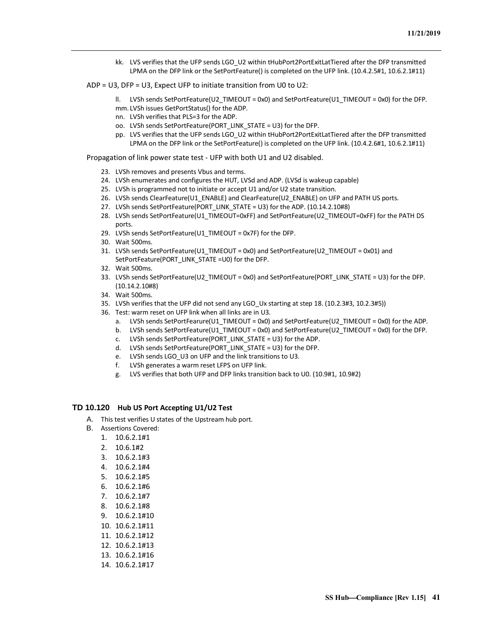- kk. LVS verifies that the UFP sends LGO\_U2 within tHubPort2PortExitLatTiered after the DFP transmitted LPMA on the DFP link or the SetPortFeature() is completed on the UFP link. (10.4.2.5#1, 10.6.2.1#11)
- ADP = U3, DFP = U3, Expect UFP to initiate transition from U0 to U2:
	- ll. LVSh sends SetPortFeature(U2\_TIMEOUT = 0x0) and SetPortFeature(U1\_TIMEOUT = 0x0) for the DFP. mm. LVSh issues GetPortStatus() for the ADP.
	- nn. LVSh verifies that PLS=3 for the ADP.
	- oo. LVSh sends SetPortFeature(PORT\_LINK\_STATE = U3) for the DFP.
	- pp. LVS verifies that the UFP sends LGO\_U2 within tHubPort2PortExitLatTiered after the DFP transmitted LPMA on the DFP link or the SetPortFeature() is completed on the UFP link. (10.4.2.6#1, 10.6.2.1#11)

Propagation of link power state test - UFP with both U1 and U2 disabled.

- 23. LVSh removes and presents Vbus and terms.
- 24. LVSh enumerates and configures the HUT, LVSd and ADP. (LVSd is wakeup capable)
- 25. LVSh is programmed not to initiate or accept U1 and/or U2 state transition.
- 26. LVSh sends ClearFeature(U1\_ENABLE) and ClearFeature(U2\_ENABLE) on UFP and PATH US ports.
- 27. LVSh sends SetPortFeature(PORT\_LINK\_STATE = U3) for the ADP. (10.14.2.10#8)
- 28. LVSh sends SetPortFeature(U1\_TIMEOUT=0xFF) and SetPortFeature(U2\_TIMEOUT=0xFF) for the PATH DS ports.
- 29. LVSh sends SetPortFeature(U1\_TIMEOUT = 0x7F) for the DFP.
- 30. Wait 500ms.
- 31. LVSh sends SetPortFeature(U1\_TIMEOUT = 0x0) and SetPortFeature(U2\_TIMEOUT = 0x01) and SetPortFeature(PORT\_LINK\_STATE =U0) for the DFP.
- 32. Wait 500ms.
- 33. LVSh sends SetPortFeature(U2\_TIMEOUT = 0x0) and SetPortFeature(PORT\_LINK\_STATE = U3) for the DFP. (10.14.2.10#8)
- 34. Wait 500ms.
- 35. LVSh verifies that the UFP did not send any LGO\_Ux starting at step 18. (10.2.3#3, 10.2.3#5))
- 36. Test: warm reset on UFP link when all links are in U3.
	- a. LVSh sends SetPortFearure(U1\_TIMEOUT = 0x0) and SetPortFeature(U2\_TIMEOUT = 0x0) for the ADP.
	- b. LVSh sends SetPortFeature(U1\_TIMEOUT = 0x0) and SetPortFeature(U2\_TIMEOUT = 0x0) for the DFP.
	- c. LVSh sends SetPortFeature(PORT\_LINK\_STATE = U3) for the ADP.
	- d. LVSh sends SetPortFeature(PORT\_LINK\_STATE = U3) for the DFP.
	- e. LVSh sends LGO\_U3 on UFP and the link transitions to U3.
	- f. LVSh generates a warm reset LFPS on UFP link.
	- g. LVS verifies that both UFP and DFP links transition back to U0. (10.9#1, 10.9#2)

#### <span id="page-44-0"></span>**TD 10.120 Hub US Port Accepting U1/U2 Test**

- A. This test verifies U states of the Upstream hub port.
- B. Assertions Covered:
	- 1. 10.6.2.1#1
	- 2. 10.6.1#2
	- 3. 10.6.2.1#3
	- 4. 10.6.2.1#4
	- 5. 10.6.2.1#5
	- 6. 10.6.2.1#6
	- 7. 10.6.2.1#7
	-
	- 8. 10.6.2.1#8
	- 9. 10.6.2.1#10
	- 10. 10.6.2.1#11
	- 11. 10.6.2.1#12
	- 12. 10.6.2.1#13
	- 13. 10.6.2.1#16
	- 14. 10.6.2.1#17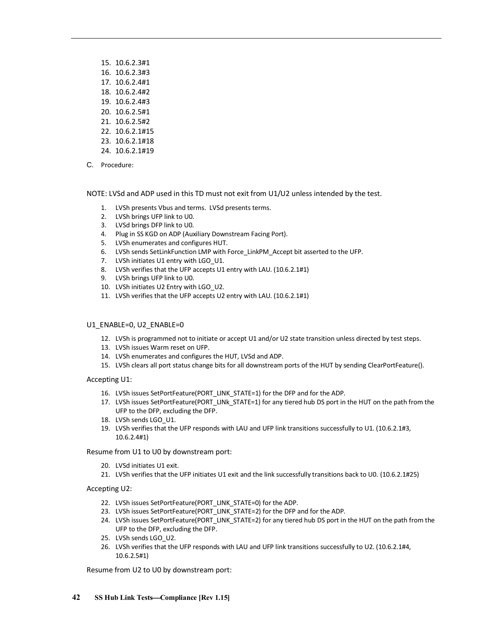- 15. 10.6.2.3#1
- 16. 10.6.2.3#3
- 17. 10.6.2.4#1
- 18. 10.6.2.4#2
- 19. 10.6.2.4#3
- 20. 10.6.2.5#1
- 21. 10.6.2.5#2
- 22. 10.6.2.1#15
- 23. 10.6.2.1#18
- 24. 10.6.2.1#19
- C. Procedure:

NOTE: LVSd and ADP used in this TD must not exit from U1/U2 unless intended by the test.

- 1. LVSh presents Vbus and terms. LVSd presents terms.
- 2. LVSh brings UFP link to U0.
- 3. LVSd brings DFP link to U0.
- 4. Plug in SS KGD on ADP (Auxiliary Downstream Facing Port).
- 5. LVSh enumerates and configures HUT.
- 6. LVSh sends SetLinkFunction LMP with Force\_LinkPM\_Accept bit asserted to the UFP.
- 7. LVSh initiates U1 entry with LGO\_U1.
- 8. LVSh verifies that the UFP accepts U1 entry with LAU. (10.6.2.1#1)
- 9. LVSh brings UFP link to U0.
- 10. LVSh initiates U2 Entry with LGO U2.
- 11. LVSh verifies that the UFP accepts U2 entry with LAU. (10.6.2.1#1)

## U1\_ENABLE=0, U2\_ENABLE=0

- 12. LVSh is programmed not to initiate or accept U1 and/or U2 state transition unless directed by test steps.
- 13. LVSh issues Warm reset on UFP.
- 14. LVSh enumerates and configures the HUT, LVSd and ADP.
- 15. LVSh clears all port status change bits for all downstream ports of the HUT by sending ClearPortFeature().

Accepting U1:

- 16. LVSh issues SetPortFeature(PORT\_LINK\_STATE=1) for the DFP and for the ADP.
- 17. LVSh issues SetPortFeature(PORT\_LINk\_STATE=1) for any tiered hub DS port in the HUT on the path from the UFP to the DFP, excluding the DFP.
- 18. LVSh sends LGO\_U1.
- 19. LVSh verifies that the UFP responds with LAU and UFP link transitions successfully to U1. (10.6.2.1#3, 10.6.2.4#1)

Resume from U1 to U0 by downstream port:

- 20. LVSd initiates U1 exit.
- 21. LVSh verifies that the UFP initiates U1 exit and the link successfully transitions back to U0. (10.6.2.1#25)

Accepting U2:

- 22. LVSh issues SetPortFeature(PORT\_LINK\_STATE=0) for the ADP.
- 23. LVSh issues SetPortFeature(PORT\_LINK\_STATE=2) for the DFP and for the ADP.
- 24. LVSh issues SetPortFeature(PORT\_LINK\_STATE=2) for any tiered hub DS port in the HUT on the path from the UFP to the DFP, excluding the DFP.
- 25. LVSh sends LGO\_U2.
- 26. LVSh verifies that the UFP responds with LAU and UFP link transitions successfully to U2. (10.6.2.1#4, 10.6.2.5#1)

Resume from U2 to U0 by downstream port: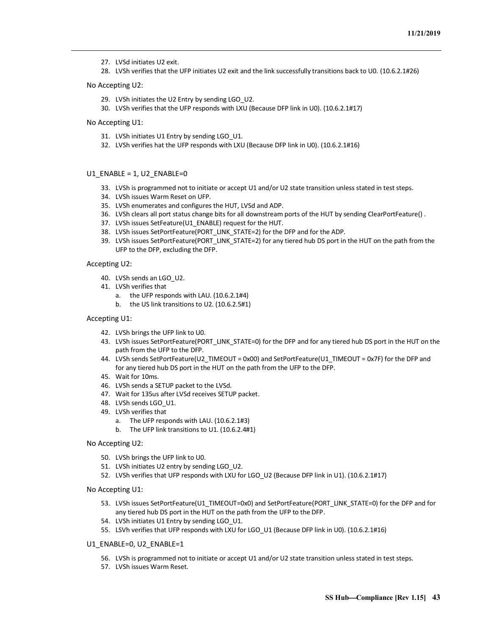- 27. LVSd initiates U2 exit.
- 28. LVSh verifies that the UFP initiates U2 exit and the link successfully transitions back to U0. (10.6.2.1#26)

#### No Accepting U2:

- 29. LVSh initiates the U2 Entry by sending LGO U2.
- 30. LVSh verifies that the UFP responds with LXU (Because DFP link in U0). (10.6.2.1#17)

#### No Accepting U1:

- 31. LVSh initiates U1 Entry by sending LGO\_U1.
- 32. LVSh verifies hat the UFP responds with LXU (Because DFP link in U0). (10.6.2.1#16)

#### U1\_ENABLE = 1, U2\_ENABLE=0

- 33. LVSh is programmed not to initiate or accept U1 and/or U2 state transition unless stated in test steps.
- 34. LVSh issues Warm Reset on UFP.
- 35. LVSh enumerates and configures the HUT, LVSd and ADP.
- 36. LVSh clears all port status change bits for all downstream ports of the HUT by sending ClearPortFeature() .
- 37. LVSh issues SetFeature(U1\_ENABLE) request for the HUT.
- 38. LVSh issues SetPortFeature(PORT\_LINK\_STATE=2) for the DFP and for the ADP.
- 39. LVSh issues SetPortFeature(PORT\_LINK\_STATE=2) for any tiered hub DS port in the HUT on the path from the UFP to the DFP, excluding the DFP.

#### Accepting U2:

- 40. LVSh sends an LGO\_U2.
- 41. LVSh verifies that
	- a. the UFP responds with LAU. (10.6.2.1#4)
	- b. the US link transitions to U2. (10.6.2.5#1)

#### Accepting U1:

- 42. LVSh brings the UFP link to U0.
- 43. LVSh issues SetPortFeature(PORT\_LINK\_STATE=0) for the DFP and for any tiered hub DS port in the HUT on the path from the UFP to the DFP.
- 44. LVSh sends SetPortFeature(U2\_TIMEOUT = 0x00) and SetPortFeature(U1\_TIMEOUT = 0x7F) for the DFP and for any tiered hub DS port in the HUT on the path from the UFP to the DFP.
- 45. Wait for 10ms.
- 46. LVSh sends a SETUP packet to the LVSd.
- 47. Wait for 135us after LVSd receives SETUP packet.
- 48. LVSh sends LGO\_U1.
- 49. LVSh verifies that
	- a. The UFP responds with LAU. (10.6.2.1#3)
	- b. The UFP link transitions to U1. (10.6.2.4#1)
- No Accepting U2:
	- 50. LVSh brings the UFP link to U0.
	- 51. LVSh initiates U2 entry by sending LGO U2.
	- 52. LVSh verifies that UFP responds with LXU for LGO U2 (Because DFP link in U1). (10.6.2.1#17)
- No Accepting U1:
	- 53. LVSh issues SetPortFeature(U1\_TIMEOUT=0x0) and SetPortFeature(PORT\_LINK\_STATE=0) for the DFP and for any tiered hub DS port in the HUT on the path from the UFP to the DFP.
	- 54. LVSh initiates U1 Entry by sending LGO U1.
	- 55. LSVh verifies that UFP responds with LXU for LGO U1 (Because DFP link in U0). (10.6.2.1#16)
- U1\_ENABLE=0, U2\_ENABLE=1
	- 56. LVSh is programmed not to initiate or accept U1 and/or U2 state transition unless stated in test steps.
	- 57. LVSh issues Warm Reset.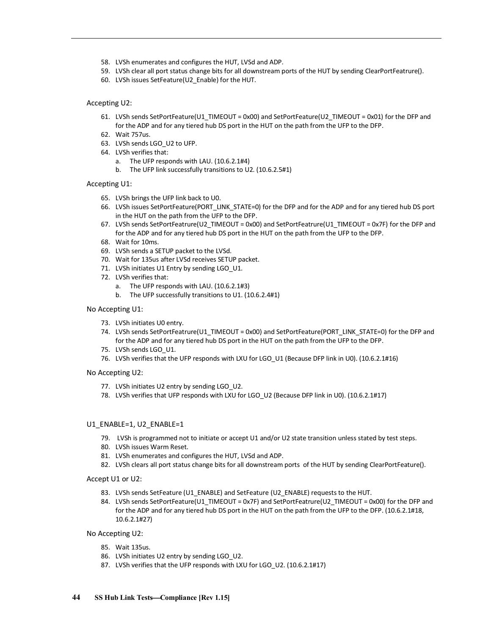- 58. LVSh enumerates and configures the HUT, LVSd and ADP.
- 59. LVSh clear all port status change bits for all downstream ports of the HUT by sending ClearPortFeatrure().
- 60. LVSh issues SetFeature(U2\_Enable) for the HUT.

#### Accepting U2:

- 61. LVSh sends SetPortFeature(U1\_TIMEOUT = 0x00) and SetPortFeature(U2\_TIMEOUT = 0x01) for the DFP and for the ADP and for any tiered hub DS port in the HUT on the path from the UFP to the DFP.
- 62. Wait 757us.
- 63. LVSh sends LGO\_U2 to UFP.
- 64. LVSh verifies that:
	- a. The UFP responds with LAU. (10.6.2.1#4)
	- b. The UFP link successfully transitions to U2. (10.6.2.5#1)

#### Accepting U1:

- 65. LVSh brings the UFP link back to U0.
- 66. LVSh issues SetPortFeature(PORT\_LINK\_STATE=0) for the DFP and for the ADP and for any tiered hub DS port in the HUT on the path from the UFP to the DFP.
- 67. LVSh sends SetPortFeatrure(U2\_TIMEOUT = 0x00) and SetPortFeatrure(U1\_TIMEOUT = 0x7F) for the DFP and for the ADP and for any tiered hub DS port in the HUT on the path from the UFP to the DFP.
- 68. Wait for 10ms.
- 69. LVSh sends a SETUP packet to the LVSd.
- 70. Wait for 135us after LVSd receives SETUP packet.
- 71. LVSh initiates U1 Entry by sending LGO U1.
- 72. LVSh verifies that:
	- a. The UFP responds with LAU. (10.6.2.1#3)
	- b. The UFP successfully transitions to U1. (10.6.2.4#1)

#### No Accepting U1:

- 73. LVSh initiates U0 entry.
- 74. LVSh sends SetPortFeatrure(U1\_TIMEOUT = 0x00) and SetPortFeature(PORT\_LINK\_STATE=0) for the DFP and for the ADP and for any tiered hub DS port in the HUT on the path from the UFP to the DFP.
- 75. LVSh sends LGO\_U1.
- 76. LVSh verifies that the UFP responds with LXU for LGO\_U1 (Because DFP link in U0). (10.6.2.1#16)
- No Accepting U2:
	- 77. LVSh initiates U2 entry by sending LGO\_U2.
	- 78. LVSh verifies that UFP responds with LXU for LGO U2 (Because DFP link in U0). (10.6.2.1#17)

#### U1\_ENABLE=1, U2\_ENABLE=1

- 79. LVSh is programmed not to initiate or accept U1 and/or U2 state transition unless stated by test steps.
- 80. LVSh issues Warm Reset.
- 81. LVSh enumerates and configures the HUT, LVSd and ADP.
- 82. LVSh clears all port status change bits for all downstream ports of the HUT by sending ClearPortFeature().

Accept U1 or U2:

- 83. LVSh sends SetFeature (U1\_ENABLE) and SetFeature (U2\_ENABLE) requests to the HUT.
- 84. LVSh sends SetPortFeature(U1\_TIMEOUT = 0x7F) and SetPortFeatrure(U2\_TIMEOUT = 0x00) for the DFP and for the ADP and for any tiered hub DS port in the HUT on the path from the UFP to the DFP. (10.6.2.1#18, 10.6.2.1#27)

#### No Accepting U2:

- 85. Wait 135us.
- 86. LVSh initiates U2 entry by sending LGO\_U2.
- 87. LVSh verifies that the UFP responds with LXU for LGO\_U2. (10.6.2.1#17)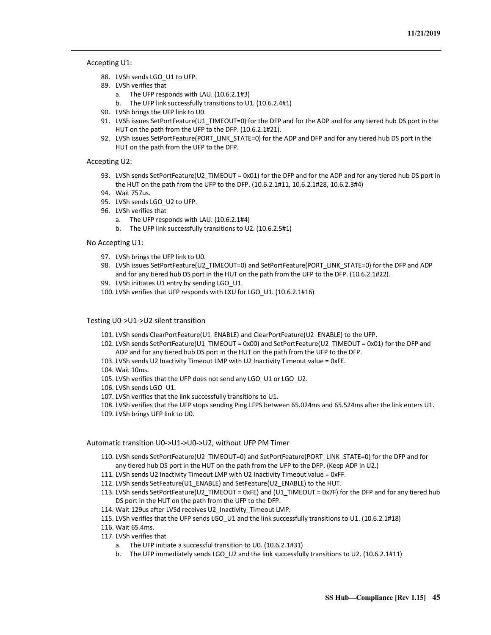#### Accepting U1:

- 88. LVSh sends LGO U1 to UFP.
- 89. LVSh verifies that
	- a. The UFP responds with LAU. (10.6.2.1#3)
	- b. The UFP link successfully transitions to U1. (10.6.2.4#1)
- 90. LVSh brings the UFP link to U0.
- 91. LVSh issues SetPortFeature(U1\_TIMEOUT=0) for the DFP and for the ADP and for any tiered hub DS port in the HUT on the path from the UFP to the DFP. (10.6.2.1#21).
- 92. LVSh issues SetPortFeature(PORT\_LINK\_STATE=0) for the ADP and DFP and for any tiered hub DS port in the HUT on the path from the UFP to the DFP.

#### Accepting U2:

- 93. LVSh sends SetPortFeature(U2\_TIMEOUT = 0x01) for the DFP and for the ADP and for any tiered hub DS port in the HUT on the path from the UFP to the DFP. (10.6.2.1#11, 10.6.2.1#28, 10.6.2.3#4)
- 94. Wait 757us.
- 95. LVSh sends LGO U2 to UFP.
- 96. LVSh verifies that
	- a. The UFP responds with LAU. (10.6.2.1#4)
	- b. The UFP link successfully transitions to U2. (10.6.2.5#1)

#### No Accepting U1:

- 97. LVSh brings the UFP link to U0.
- 98. LVSh issues SetPortFeature(U2\_TIMEOUT=0) and SetPortFeature(PORT\_LINK\_STATE=0) for the DFP and ADP and for any tiered hub DS port in the HUT on the path from the UFP to the DFP. (10.6.2.1#22).
- 99. LVSh initiates U1 entry by sending LGO U1.
- 100. LVSh verifies that UFP responds with LXU for LGO\_U1. (10.6.2.1#16)

#### Testing U0->U1->U2 silent transition

- 101. LVSh sends ClearPortFeature(U1\_ENABLE) and ClearPortFeature(U2\_ENABLE) to the UFP.
- 102. LVSh sends SetPortFeature(U1\_TIMEOUT = 0x00) and SetPortFeature(U2\_TIMEOUT = 0x01) for the DFP and ADP and for any tiered hub DS port in the HUT on the path from the UFP to the DFP.
- 103. LVSh sends U2 Inactivity Timeout LMP with U2 Inactivity Timeout value = 0xFE.
- 104. Wait 10ms.
- 105. LVSh verifies that the UFP does not send any LGO\_U1 or LGO\_U2.
- 106. LVSh sends LGO\_U1.
- 107. LVSh verifies that the link successfully transitions to U1.
- 108. LVSh verifies that the UFP stops sending Ping.LFPS between 65.024ms and 65.524ms after the link enters U1.
- 109. LVSh brings UFP link to U0.

#### Automatic transition U0->U1->U0->U2, without UFP PM Timer

- 110. LVSh sends SetPortFeature(U2\_TIMEOUT=0) and SetPortFeature(PORT\_LINK\_STATE=0) for the DFP and for any tiered hub DS port in the HUT on the path from the UFP to the DFP. (Keep ADP in U2.)
- 111. LVSh sends U2 Inactivity Timeout LMP with U2 Inactivity Timeout value = 0xFF.
- 112. LVSh sends SetFeature(U1\_ENABLE) and SetFeature(U2\_ENABLE) to the HUT.
- 113. LVSh sends SetPortFeature(U2\_TIMEOUT = 0xFE) and (U1\_TIMEOUT = 0x7F) for the DFP and for any tiered hub DS port in the HUT on the path from the UFP to the DFP.
- 114. Wait 129us after LVSd receives U2 Inactivity Timeout LMP.
- 115. LVSh verifies that the UFP sends LGO\_U1 and the link successfully transitions to U1. (10.6.2.1#18)
- 116. Wait 65.4ms.
- 117. LVSh verifies that
	- a. The UFP initiate a successful transition to U0. (10.6.2.1#31)
	- b. The UFP immediately sends LGO U2 and the link successfully transitions to U2. (10.6.2.1#11)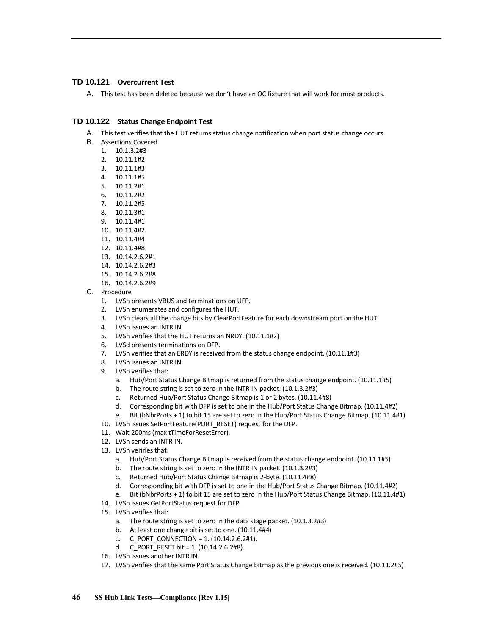## <span id="page-49-0"></span>**TD 10.121 Overcurrent Test**

A. This test has been deleted because we don't have an OC fixture that will work for most products.

## **TD 10.122 Status Change Endpoint Test**

- A. This test verifies that the HUT returns status change notification when port status change occurs.
- B. Assertions Covered
	- 1. 10.1.3.2#3
	- 2. 10.11.1#2
	- 3. 10.11.1#3
	- 4. 10.11.1#5
	- 5. 10.11.2#1
	- 6. 10.11.2#2
	- 7. 10.11.2#5
	- 8. 10.11.3#1
	- 9. 10.11.4#1
	- 10. 10.11.4#2 11. 10.11.4#4
	- 12. 10.11.4#8
	- 13. 10.14.2.6.2#1
	- 14. 10.14.2.6.2#3
	- 15. 10.14.2.6.2#8
	- 16. 10.14.2.6.2#9
- C. Procedure
	- 1. LVSh presents VBUS and terminations on UFP.
	- 2. LVSh enumerates and configures the HUT.
	- 3. LVSh clears all the change bits by ClearPortFeature for each downstream port on the HUT.
	- 4. LVSh issues an INTR IN.
	- 5. LVSh verifies that the HUT returns an NRDY. (10.11.1#2)
	- 6. LVSd presents terminations on DFP.
	- 7. LVSh verifies that an ERDY is received from the status change endpoint. (10.11.1#3)
	- 8. LVSh issues an INTR IN.
	- 9. LVSh verifies that:
		- a. Hub/Port Status Change Bitmap is returned from the status change endpoint. (10.11.1#5)
		- b. The route string is set to zero in the INTR IN packet. (10.1.3.2#3)
		- c. Returned Hub/Port Status Change Bitmap is 1 or 2 bytes. (10.11.4#8)
		- d. Corresponding bit with DFP is set to one in the Hub/Port Status Change Bitmap. (10.11.4#2)
		- e. Bit (bNbrPorts + 1) to bit 15 are set to zero in the Hub/Port Status Change Bitmap. (10.11.4#1)
	- 10. LVSh issues SetPortFeature(PORT\_RESET) request for the DFP.
	- 11. Wait 200ms (max tTimeForResetError).
	- 12. LVSh sends an INTR IN.
	- 13. LVSh veriries that:
		- a. Hub/Port Status Change Bitmap is received from the status change endpoint. (10.11.1#5)
		- b. The route string is set to zero in the INTR IN packet. (10.1.3.2#3)
		- c. Returned Hub/Port Status Change Bitmap is 2-byte. (10.11.4#8)
		- d. Corresponding bit with DFP is set to one in the Hub/Port Status Change Bitmap. (10.11.4#2)
		- e. Bit (bNbrPorts + 1) to bit 15 are set to zero in the Hub/Port Status Change Bitmap. (10.11.4#1)
	- 14. LVSh issues GetPortStatus request for DFP.
	- 15. LVSh verifies that:
		- a. The route string is set to zero in the data stage packet. (10.1.3.2#3)
		- b. At least one change bit is set to one. (10.11.4#4)
		- c.  $C_PORT_CONNECTION = 1. (10.14.2.6.2#1).$
		- d. C\_PORT\_RESET bit = 1. (10.14.2.6.2#8).
	- 16. LVSh issues another INTR IN.
	- 17. LVSh verifies that the same Port Status Change bitmap as the previous one is received. (10.11.2#5)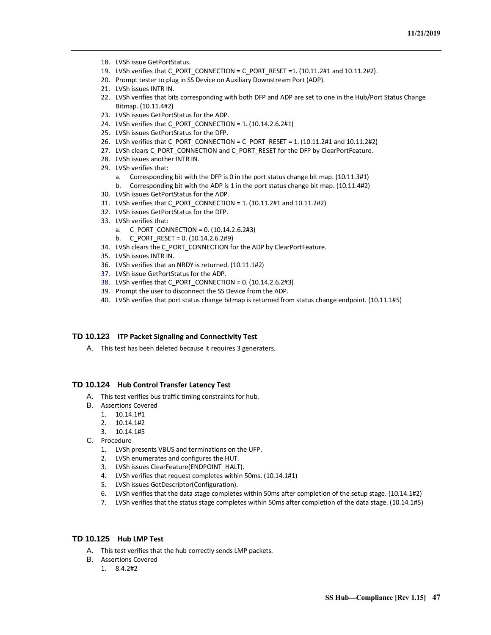- 18. LVSh issue GetPortStatus.
- 19. LVSh verifies that C\_PORT\_CONNECTION = C\_PORT\_RESET =1. (10.11.2#1 and 10.11.2#2).
- 20. Prompt tester to plug in SS Device on Auxiliary Downstream Port (ADP).
- 21. LVSh issues INTR IN.
- 22. LVSh verifies that bits corresponding with both DFP and ADP are set to one in the Hub/Port Status Change Bitmap. (10.11.4#2)
- 23. LVSh issues GetPortStatus for the ADP.
- 24. LVSh verifies that C\_PORT\_CONNECTION = 1. (10.14.2.6.2#1)
- 25. LVSh issues GetPortStatus for the DFP.
- 26. LVSh verifies that C\_PORT\_CONNECTION = C\_PORT\_RESET = 1.  $(10.11.2#1$  and  $10.11.2#2)$
- 27. LVSh clears C\_PORT\_CONNECTION and C\_PORT\_RESET for the DFP by ClearPortFeature.
- 28. LVSh issues another INTR IN.
- 29. LVSh verifies that:
	- a. Corresponding bit with the DFP is 0 in the port status change bit map. (10.11.3#1)
	- b. Corresponding bit with the ADP is 1 in the port status change bit map. (10.11.4#2)
- 30. LVSh issues GetPortStatus for the ADP.
- 31. LVSh verifies that C\_PORT\_CONNECTION = 1. (10.11.2#1 and 10.11.2#2)
- 32. LVSh issues GetPortStatus for the DFP.
- 33. LVSh verifies that:
	- a. C\_PORT\_CONNECTION = 0. (10.14.2.6.2#3)
	- b. C PORT RESET = 0.  $(10.14.2.6.2#9)$
- 34. LVSh clears the C\_PORT\_CONNECTION for the ADP by ClearPortFeature.
- 35. LVSh issues INTR IN.
- 36. LVSh verifies that an NRDY is returned. (10.11.1#2)
- 37. LVSh issue GetPortStatus for the ADP.
- 38. LVSh verifies that C\_PORT\_CONNECTION = 0. (10.14.2.6.2#3)
- 39. Prompt the user to disconnect the SS Device from the ADP.
- 40. LVSh verifies that port status change bitmap is returned from status change endpoint. (10.11.1#5)

#### <span id="page-50-0"></span>**TD 10.123 ITP Packet Signaling and Connectivity Test**

A. This test has been deleted because it requires 3 generaters.

#### <span id="page-50-1"></span>**TD 10.124 Hub Control Transfer Latency Test**

- A. This test verifies bus traffic timing constraints for hub.
- B. Assertions Covered
	- 1. 10.14.1#1
	- 2. 10.14.1#2
	- 3. 10.14.1#5
- C. Procedure
	- 1. LVSh presents VBUS and terminations on the UFP.
	- 2. LVSh enumerates and configures the HUT.
	- 3. LVSh issues ClearFeature(ENDPOINT\_HALT).
	- 4. LVSh verifies that request completes within 50ms. (10.14.1#1)
	- 5. LVSh issues GetDescriptor(Configuration).
	- 6. LVSh verifies that the data stage completes within 50ms after completion of the setup stage. (10.14.1#2)
	- 7. LVSh verifies that the status stage completes within 50ms after completion of the data stage. (10.14.1#5)

## <span id="page-50-2"></span>**TD 10.125 Hub LMP Test**

- A. This test verifies that the hub correctly sends LMP packets.
- B. Assertions Covered
	- 1. 8.4.2#2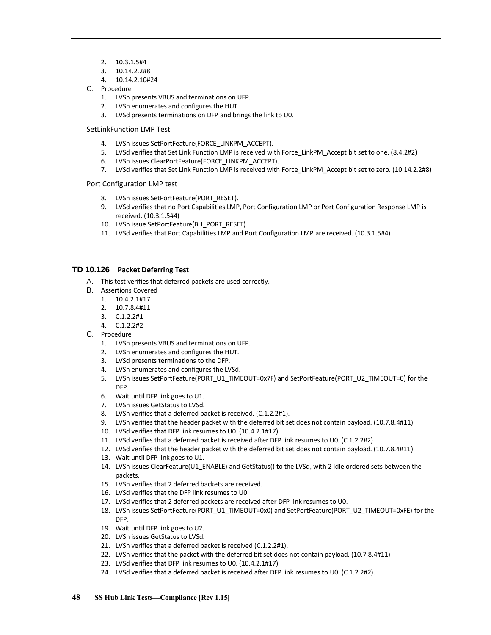- 2. 10.3.1.5#4
- 3. 10.14.2.2#8
- 4. 10.14.2.10#24
- C. Procedure
	- 1. LVSh presents VBUS and terminations on UFP.
	- 2. LVSh enumerates and configures the HUT.
	- 3. LVSd presents terminations on DFP and brings the link to U0.

#### SetLinkFunction LMP Test

- 4. LVSh issues SetPortFeature(FORCE\_LINKPM\_ACCEPT).
- 5. LVSd verifies that Set Link Function LMP is received with Force\_LinkPM\_Accept bit set to one. (8.4.2#2)
- 6. LVSh issues ClearPortFeature(FORCE\_LINKPM\_ACCEPT).
- 7. LVSd verifies that Set Link Function LMP is received with Force LinkPM Accept bit set to zero. (10.14.2.2#8)

#### Port Configuration LMP test

- 8. LVSh issues SetPortFeature(PORT\_RESET).
- 9. LVSd verifies that no Port Capabilities LMP, Port Configuration LMP or Port Configuration Response LMP is received. (10.3.1.5#4)
- 10. LVSh issue SetPortFeature(BH\_PORT\_RESET).
- 11. LVSd verifies that Port Capabilities LMP and Port Configuration LMP are received. (10.3.1.5#4)

## <span id="page-51-0"></span>**TD 10.126 Packet Deferring Test**

- A. This test verifies that deferred packets are used correctly.
- B. Assertions Covered
	- 1. 10.4.2.1#17
	- 2. 10.7.8.4#11
	- 3. C.1.2.2#1
	- 4. C.1.2.2#2
- C. Procedure
	- 1. LVSh presents VBUS and terminations on UFP.
	- 2. LVSh enumerates and configures the HUT.
	- 3. LVSd presents terminations to the DFP.
	- 4. LVSh enumerates and configures the LVSd.
	- 5. LVSh issues SetPortFeature(PORT\_U1\_TIMEOUT=0x7F) and SetPortFeature(PORT\_U2\_TIMEOUT=0) for the DFP.
	- 6. Wait until DFP link goes to U1.
	- 7. LVSh issues GetStatus to LVSd.
	- 8. LVSh verifies that a deferred packet is received. (C.1.2.2#1).
	- 9. LVSh verifies that the header packet with the deferred bit set does not contain payload. (10.7.8.4#11)
	- 10. LVSd verifies that DFP link resumes to U0. (10.4.2.1#17)
	- 11. LVSd verifies that a deferred packet is received after DFP link resumes to U0. (C.1.2.2#2).
	- 12. LVSd verifies that the header packet with the deferred bit set does not contain payload. (10.7.8.4#11)
	- 13. Wait until DFP link goes to U1.
	- 14. LVSh issues ClearFeature(U1\_ENABLE) and GetStatus() to the LVSd, with 2 Idle ordered sets between the packets.
	- 15. LVSh verifies that 2 deferred backets are received.
	- 16. LVSd verifies that the DFP link resumes to U0.
	- 17. LVSd verifies that 2 deferred packets are received after DFP link resumes to U0.
	- 18. LVSh issues SetPortFeature(PORT\_U1\_TIMEOUT=0x0) and SetPortFeature(PORT\_U2\_TIMEOUT=0xFE) for the DFP.
	- 19. Wait until DFP link goes to U2.
	- 20. LVSh issues GetStatus to LVSd.
	- 21. LVSh verifies that a deferred packet is received (C.1.2.2#1).
	- 22. LVSh verifies that the packet with the deferred bit set does not contain payload. (10.7.8.4#11)
	- 23. LVSd verifies that DFP link resumes to U0. (10.4.2.1#17)
	- 24. LVSd verifies that a deferred packet is received after DFP link resumes to U0. (C.1.2.2#2).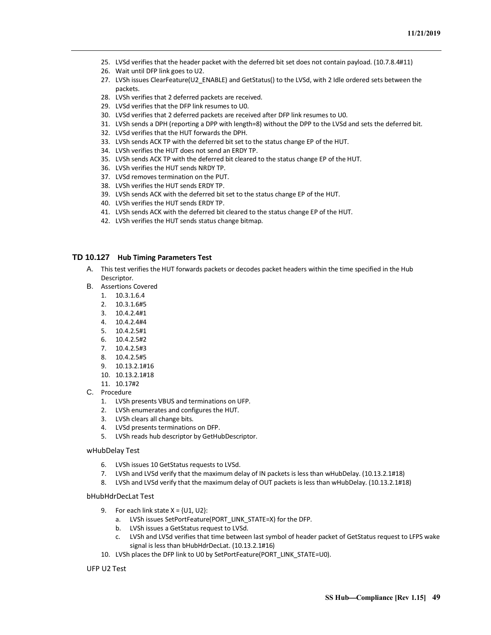- 25. LVSd verifies that the header packet with the deferred bit set does not contain payload. (10.7.8.4#11)
- 26. Wait until DFP link goes to U2.
- 27. LVSh issues ClearFeature(U2\_ENABLE) and GetStatus() to the LVSd, with 2 Idle ordered sets between the packets.
- 28. LVSh verifies that 2 deferred packets are received.
- 29. LVSd verifies that the DFP link resumes to U0.
- 30. LVSd verifies that 2 deferred packets are received after DFP link resumes to U0.
- 31. LVSh sends a DPH (reporting a DPP with length=8) without the DPP to the LVSd and sets the deferred bit.
- 32. LVSd verifies that the HUT forwards the DPH.
- 33. LVSh sends ACK TP with the deferred bit set to the status change EP of the HUT.
- 34. LVSh verifies the HUT does not send an ERDY TP.
- 35. LVSh sends ACK TP with the deferred bit cleared to the status change EP of the HUT.
- 36. LVSh verifies the HUT sends NRDY TP.
- 37. LVSd removes termination on the PUT.
- 38. LVSh verifies the HUT sends ERDY TP.
- 39. LVSh sends ACK with the deferred bit set to the status change EP of the HUT.
- 40. LVSh verifies the HUT sends ERDY TP.
- 41. LVSh sends ACK with the deferred bit cleared to the status change EP of the HUT.
- 42. LVSh verifies the HUT sends status change bitmap.

#### <span id="page-52-0"></span>**TD 10.127 Hub Timing Parameters Test**

- A. This test verifies the HUT forwards packets or decodes packet headers within the time specified in the Hub Descriptor.
- B. Assertions Covered
	- 1. 10.3.1.6.4
	- 2. 10.3.1.6#5
	- 3. 10.4.2.4#1
	- 4. 10.4.2.4#4
	- 5. 10.4.2.5#1
	- 6. 10.4.2.5#2
	- 7. 10.4.2.5#3
	- 8. 10.4.2.5#5
	- 9. 10.13.2.1#16
	- 10. 10.13.2.1#18
	- 11. 10.17#2
- C. Procedure
	- 1. LVSh presents VBUS and terminations on UFP.
	- 2. LVSh enumerates and configures the HUT.
	- 3. LVSh clears all change bits.
	- 4. LVSd presents terminations on DFP.
	- 5. LVSh reads hub descriptor by GetHubDescriptor.

#### wHubDelay Test

- 6. LVSh issues 10 GetStatus requests to LVSd.
- 7. LVSh and LVSd verify that the maximum delay of IN packets is less than wHubDelay. (10.13.2.1#18)
- 8. LVSh and LVSd verify that the maximum delay of OUT packets is less than wHubDelay. (10.13.2.1#18)

#### bHubHdrDecLat Test

- 9. For each link state  $X = \{U1, U2\}$ :
	- a. LVSh issues SetPortFeature(PORT\_LINK\_STATE=X) for the DFP.
	- b. LVSh issues a GetStatus request to LVSd.
	- c. LVSh and LVSd verifies that time between last symbol of header packet of GetStatus request to LFPS wake signal is less than bHubHdrDecLat. (10.13.2.1#16)
- 10. LVSh places the DFP link to U0 by SetPortFeature(PORT\_LINK\_STATE=U0).

#### UFP U2 Test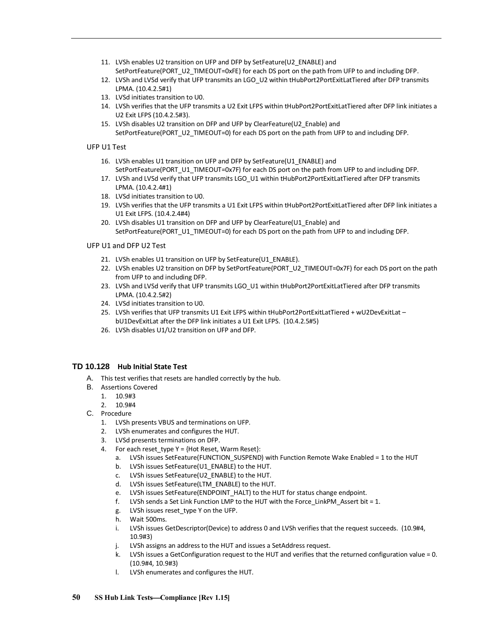- 11. LVSh enables U2 transition on UFP and DFP by SetFeature(U2\_ENABLE) and SetPortFeature(PORT\_U2\_TIMEOUT=0xFE) for each DS port on the path from UFP to and including DFP.
- 12. LVSh and LVSd verify that UFP transmits an LGO\_U2 within tHubPort2PortExitLatTiered after DFP transmits LPMA. (10.4.2.5#1)
- 13. LVSd initiates transition to U0.
- 14. LVSh verifies that the UFP transmits a U2 Exit LFPS within tHubPort2PortExitLatTiered after DFP link initiates a U2 Exit LFPS (10.4.2.5#3).
- 15. LVSh disables U2 transition on DFP and UFP by ClearFeature(U2\_Enable) and SetPortFeature(PORT\_U2\_TIMEOUT=0) for each DS port on the path from UFP to and including DFP.

## UFP U1 Test

- 16. LVSh enables U1 transition on UFP and DFP by SetFeature(U1\_ENABLE) and SetPortFeature(PORT\_U1\_TIMEOUT=0x7F) for each DS port on the path from UFP to and including DFP.
- 17. LVSh and LVSd verify that UFP transmits LGO\_U1 within tHubPort2PortExitLatTiered after DFP transmits LPMA. (10.4.2.4#1)
- 18. LVSd initiates transition to U0.
- 19. LVSh verifies that the UFP transmits a U1 Exit LFPS within tHubPort2PortExitLatTiered after DFP link initiates a U1 Exit LFPS. (10.4.2.4#4)
- 20. LVSh disables U1 transition on DFP and UFP by ClearFeature(U1 Enable) and SetPortFeature(PORT\_U1\_TIMEOUT=0) for each DS port on the path from UFP to and including DFP.

## UFP U1 and DFP U2 Test

- 21. LVSh enables U1 transition on UFP by SetFeature(U1\_ENABLE).
- 22. LVSh enables U2 transition on DFP by SetPortFeature(PORT\_U2\_TIMEOUT=0x7F) for each DS port on the path from UFP to and including DFP.
- 23. LVSh and LVSd verify that UFP transmits LGO\_U1 within tHubPort2PortExitLatTiered after DFP transmits LPMA. (10.4.2.5#2)
- 24. LVSd initiates transition to U0.
- 25. LVSh verifies that UFP transmits U1 Exit LFPS within tHubPort2PortExitLatTiered + wU2DevExitLat bU1DevExitLat after the DFP link initiates a U1 Exit LFPS. (10.4.2.5#5)
- 26. LVSh disables U1/U2 transition on UFP and DFP.

## <span id="page-53-0"></span>**TD 10.128 Hub Initial State Test**

- A. This test verifies that resets are handled correctly by the hub.
- B. Assertions Covered
	- 1. 10.9#3
	- 2. 10.9#4
- C. Procedure
	- 1. LVSh presents VBUS and terminations on UFP.
	- 2. LVSh enumerates and configures the HUT.
	- 3. LVSd presents terminations on DFP.
	- 4. For each reset type  $Y = \{Hot Reset, Warm Reset\}$ :
		- a. LVSh issues SetFeature(FUNCTION\_SUSPEND) with Function Remote Wake Enabled = 1 to the HUT
		- b. LVSh issues SetFeature(U1\_ENABLE) to the HUT.
		- c. LVSh issues SetFeature(U2\_ENABLE) to the HUT.
		- d. LVSh issues SetFeature(LTM\_ENABLE) to the HUT.
		- e. LVSh issues SetFeature(ENDPOINT HALT) to the HUT for status change endpoint.
		- f. LVSh sends a Set Link Function LMP to the HUT with the Force LinkPM Assert bit = 1.
		- g. LVSh issues reset\_type Y on the UFP.
		- h. Wait 500ms.
		- i. LVSh issues GetDescriptor(Device) to address 0 and LVSh verifies that the request succeeds. (10.9#4, 10.9#3)
		- j. LVSh assigns an address to the HUT and issues a SetAddress request.
		- k. LVSh issues a GetConfiguration request to the HUT and verifies that the returned configuration value = 0. (10.9#4, 10.9#3)
		- l. LVSh enumerates and configures the HUT.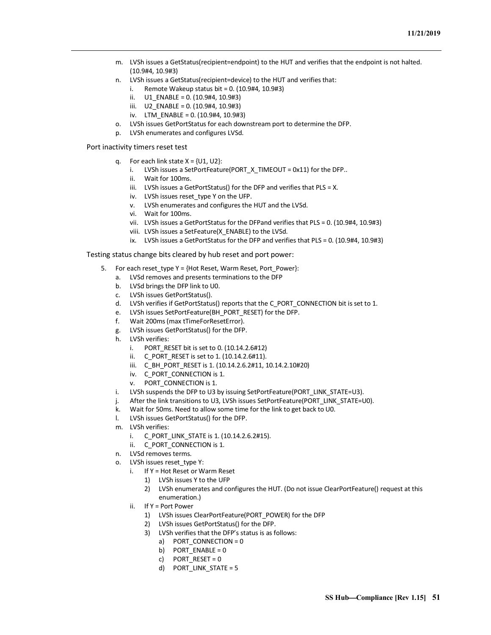- m. LVSh issues a GetStatus(recipient=endpoint) to the HUT and verifies that the endpoint is not halted. (10.9#4, 10.9#3)
- n. LVSh issues a GetStatus(recipient=device) to the HUT and verifies that:
	- i. Remote Wakeup status bit =  $0. (10.9#4, 10.9#3)$
	- ii.  $U1$  ENABLE = 0. (10.9#4, 10.9#3)
	- iii. U2\_ENABLE = 0. (10.9#4, 10.9#3)
	- iv. LTM\_ENABLE = 0. (10.9#4, 10.9#3)
- o. LVSh issues GetPortStatus for each downstream port to determine the DFP.
- p. LVSh enumerates and configures LVSd.

Port inactivity timers reset test

- q. For each link state  $X = \{U1, U2\}$ :
	- i. LVSh issues a SetPortFeature(PORT  $X$  TIMEOUT = 0x11) for the DFP..
	- ii. Wait for 100ms.
	- iii. LVSh issues a GetPortStatus() for the DFP and verifies that PLS = X.
	- iv. LVSh issues reset type Y on the UFP.
	- v. LVSh enumerates and configures the HUT and the LVSd.
	- vi. Wait for 100ms.
	- vii. LVSh issues a GetPortStatus for the DFPand verifies that PLS = 0. (10.9#4, 10.9#3)
	- viii. LVSh issues a SetFeature(X\_ENABLE) to the LVSd.
	- ix. LVSh issues a GetPortStatus for the DFP and verifies that PLS = 0. (10.9#4, 10.9#3)

Testing status change bits cleared by hub reset and port power:

- 5. For each reset type Y = {Hot Reset, Warm Reset, Port Power}:
	- a. LVSd removes and presents terminations to the DFP
	- b. LVSd brings the DFP link to U0.
	- c. LVSh issues GetPortStatus().
	- d. LVSh verifies if GetPortStatus() reports that the C\_PORT\_CONNECTION bit is set to 1.
	- e. LVSh issues SetPortFeature(BH\_PORT\_RESET) for the DFP.
	- f. Wait 200ms (max tTimeForResetError).
	- g. LVSh issues GetPortStatus() for the DFP.
	- h. LVSh verifies:
		- i. PORT RESET bit is set to 0.  $(10.14.2.6#12)$
		- ii. C\_PORT\_RESET is set to 1. (10.14.2.6#11).
		- iii. C\_BH\_PORT\_RESET is 1. (10.14.2.6.2#11, 10.14.2.10#20)
		- iv. C\_PORT\_CONNECTION is 1.
		- v. PORT\_CONNECTION is 1.
	- i. LVSh suspends the DFP to U3 by issuing SetPortFeature(PORT\_LINK\_STATE=U3).
	- j. After the link transitions to U3, LVSh issues SetPortFeature(PORT\_LINK\_STATE=U0).
	- k. Wait for 50ms. Need to allow some time for the link to get back to U0.
	- l. LVSh issues GetPortStatus() for the DFP.
	- m. LVSh verifies:
		- i. C\_PORT\_LINK\_STATE is 1. (10.14.2.6.2#15).
		- ii. C\_PORT\_CONNECTION is 1.
	- n. LVSd removes terms.
	- o. LVSh issues reset type Y:
		- i. If Y = Hot Reset or Warm Reset
			- 1) LVSh issues Y to the UFP
			- 2) LVSh enumerates and configures the HUT. (Do not issue ClearPortFeature() request at this enumeration.)
		- ii. If Y = Port Power
			- 1) LVSh issues ClearPortFeature(PORT\_POWER) for the DFP
			- 2) LVSh issues GetPortStatus() for the DFP.
			- 3) LVSh verifies that the DFP's status is as follows:
				- a) PORT CONNECTION = 0
				- b) PORT  $ENABLE = 0$
				- c) PORT RESET =  $0$
				- d) PORT\_LINK\_STATE = 5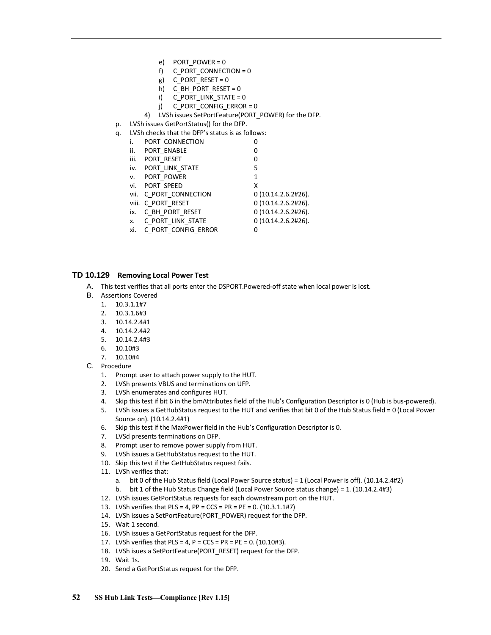- e) PORT\_POWER = 0
- f) C PORT CONNECTION =  $0$
- g)  $C_PORT_RESET = 0$
- h) C\_BH\_PORT\_RESET =  $0$
- i) C\_PORT\_LINK\_STATE = 0
- j) C\_PORT\_CONFIG\_ERROR = 0
- 4) LVSh issues SetPortFeature(PORT\_POWER) for the DFP.
- p. LVSh issues GetPortStatus() for the DFP.
- q. LVSh checks that the DFP's status is as follows:

| i.              | PORT CONNECTION         | 0                  |
|-----------------|-------------------------|--------------------|
| $\mathbf{ii}$ . | PORT_ENABLE             | 0                  |
| iii.            | PORT RESET              | 0                  |
| iv.             | PORT LINK STATE         | 5                  |
|                 | v. PORT POWER           | 1                  |
|                 | vi. PORT SPEED          | x                  |
|                 | vii. C PORT CONNECTION  | 0(10.14.2.6.2#26). |
|                 | viii. C PORT RESET      | 0(10.14.2.6.2#26). |
|                 | ix. C_BH_PORT_RESET     | 0(10.14.2.6.2#26). |
|                 | x. C PORT LINK STATE    | 0(10.14.2.6.2#26). |
|                 | xi. C PORT CONFIG ERROR | 0                  |

## <span id="page-55-0"></span>**TD 10.129 Removing Local Power Test**

- A. This test verifies that all ports enter the DSPORT.Powered-off state when local power is lost.
- B. Assertions Covered
	- 1. 10.3.1.1#7
	- 2. 10.3.1.6#3
	- 3. 10.14.2.4#1
	- 4. 10.14.2.4#2
	- 5. 10.14.2.4#3
	- 6. 10.10#3
	- 7. 10.10#4
- C. Procedure
	- 1. Prompt user to attach power supply to the HUT.
	- 2. LVSh presents VBUS and terminations on UFP.
	- 3. LVSh enumerates and configures HUT.
	- 4. Skip this test if bit 6 in the bmAttributes field of the Hub's Configuration Descriptor is 0 (Hub is bus-powered).
	- 5. LVSh issues a GetHubStatus request to the HUT and verifies that bit 0 of the Hub Status field = 0 (Local Power Source on). (10.14.2.4#1)
	- 6. Skip this test if the MaxPower field in the Hub's Configuration Descriptor is 0.
	- 7. LVSd presents terminations on DFP.
	- 8. Prompt user to remove power supply from HUT.
	- 9. LVSh issues a GetHubStatus request to the HUT.
	- 10. Skip this test if the GetHubStatus request fails.
	- 11. LVSh verifies that:
		- a. bit 0 of the Hub Status field (Local Power Source status) = 1 (Local Power is off). (10.14.2.4#2)
		- b. bit 1 of the Hub Status Change field (Local Power Source status change) = 1. (10.14.2.4#3)
	- 12. LVSh issues GetPortStatus requests for each downstream port on the HUT.
	- 13. LVSh verifies that PLS = 4, PP = CCS = PR = PE = 0. (10.3.1.1#7)
	- 14. LVSh issues a SetPortFeature(PORT\_POWER) request for the DFP.
	- 15. Wait 1 second.
	- 16. LVSh issues a GetPortStatus request for the DFP.
	- 17. LVSh verifies that  $PLS = 4$ ,  $P = CCS = PR = PE = 0. (10.10#3)$ .
	- 18. LVSh isues a SetPortFeature(PORT\_RESET) request for the DFP.
	- 19. Wait 1s.
	- 20. Send a GetPortStatus request for the DFP.